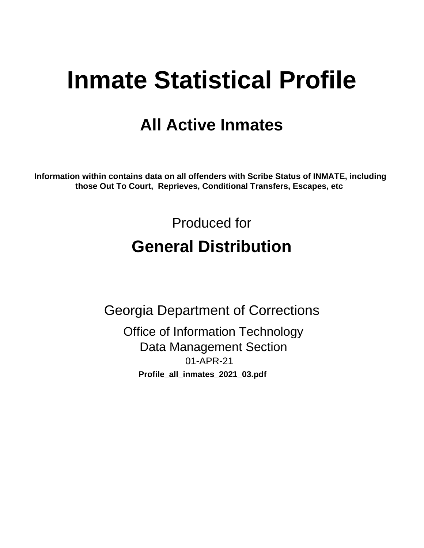# **Inmate Statistical Profile**

## **All Active Inmates**

Information within contains data on all offenders with Scribe Status of INMATE, including those Out To Court, Reprieves, Conditional Transfers, Escapes, etc

> Produced for **General Distribution**

**Georgia Department of Corrections Office of Information Technology Data Management Section** 01-APR-21 Profile\_all\_inmates\_2021\_03.pdf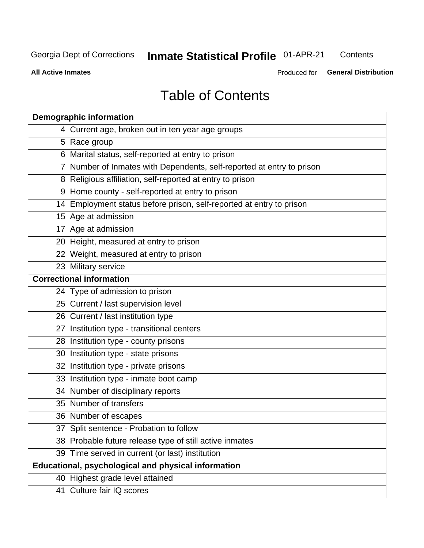#### **Inmate Statistical Profile 01-APR-21** Contents

**All Active Inmates** 

Produced for General Distribution

## **Table of Contents**

| <b>Demographic information</b>                                        |
|-----------------------------------------------------------------------|
| 4 Current age, broken out in ten year age groups                      |
| 5 Race group                                                          |
| 6 Marital status, self-reported at entry to prison                    |
| 7 Number of Inmates with Dependents, self-reported at entry to prison |
| 8 Religious affiliation, self-reported at entry to prison             |
| 9 Home county - self-reported at entry to prison                      |
| 14 Employment status before prison, self-reported at entry to prison  |
| 15 Age at admission                                                   |
| 17 Age at admission                                                   |
| 20 Height, measured at entry to prison                                |
| 22 Weight, measured at entry to prison                                |
| 23 Military service                                                   |
| <b>Correctional information</b>                                       |
| 24 Type of admission to prison                                        |
| 25 Current / last supervision level                                   |
| 26 Current / last institution type                                    |
| 27 Institution type - transitional centers                            |
| 28 Institution type - county prisons                                  |
| 30 Institution type - state prisons                                   |
| 32 Institution type - private prisons                                 |
| 33 Institution type - inmate boot camp                                |
| 34 Number of disciplinary reports                                     |
| 35 Number of transfers                                                |
| 36 Number of escapes                                                  |
| 37 Split sentence - Probation to follow                               |
| 38 Probable future release type of still active inmates               |
| 39 Time served in current (or last) institution                       |
| Educational, psychological and physical information                   |
| 40 Highest grade level attained                                       |
| 41 Culture fair IQ scores                                             |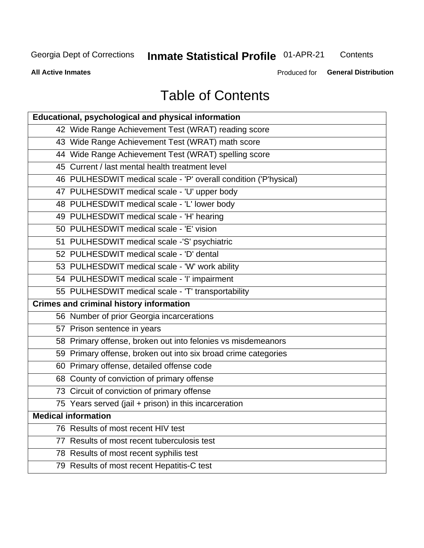## Inmate Statistical Profile 01-APR-21

Contents

**All Active Inmates** 

Produced for General Distribution

## **Table of Contents**

| Educational, psychological and physical information              |
|------------------------------------------------------------------|
| 42 Wide Range Achievement Test (WRAT) reading score              |
| 43 Wide Range Achievement Test (WRAT) math score                 |
| 44 Wide Range Achievement Test (WRAT) spelling score             |
| 45 Current / last mental health treatment level                  |
| 46 PULHESDWIT medical scale - 'P' overall condition ('P'hysical) |
| 47 PULHESDWIT medical scale - 'U' upper body                     |
| 48 PULHESDWIT medical scale - 'L' lower body                     |
| 49 PULHESDWIT medical scale - 'H' hearing                        |
| 50 PULHESDWIT medical scale - 'E' vision                         |
| 51 PULHESDWIT medical scale -'S' psychiatric                     |
| 52 PULHESDWIT medical scale - 'D' dental                         |
| 53 PULHESDWIT medical scale - 'W' work ability                   |
| 54 PULHESDWIT medical scale - 'I' impairment                     |
| 55 PULHESDWIT medical scale - 'T' transportability               |
| <b>Crimes and criminal history information</b>                   |
| 56 Number of prior Georgia incarcerations                        |
| 57 Prison sentence in years                                      |
| 58 Primary offense, broken out into felonies vs misdemeanors     |
| 59 Primary offense, broken out into six broad crime categories   |
| 60 Primary offense, detailed offense code                        |
| 68 County of conviction of primary offense                       |
| 73 Circuit of conviction of primary offense                      |
| 75 Years served (jail + prison) in this incarceration            |
| <b>Medical information</b>                                       |
| 76 Results of most recent HIV test                               |
| 77 Results of most recent tuberculosis test                      |
| 78 Results of most recent syphilis test                          |
| 79 Results of most recent Hepatitis-C test                       |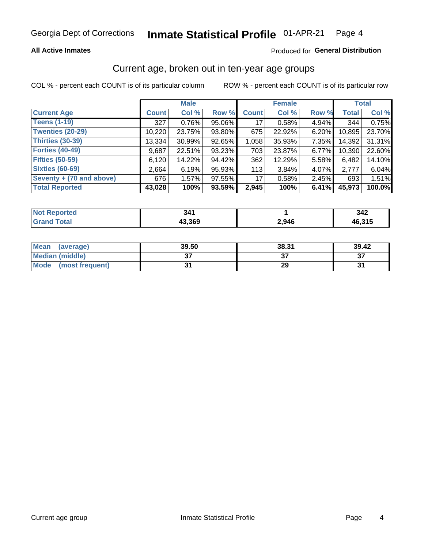#### **All Active Inmates**

#### Produced for General Distribution

### Current age, broken out in ten-year age groups

COL % - percent each COUNT is of its particular column

|                          |              | <b>Male</b> |        | <b>Female</b>   |        |          | <b>Total</b> |        |
|--------------------------|--------------|-------------|--------|-----------------|--------|----------|--------------|--------|
| <b>Current Age</b>       | <b>Count</b> | Col %       | Row %  | <b>Count</b>    | Col %  | Row %    | <b>Total</b> | Col %  |
| <b>Teens (1-19)</b>      | 327          | 0.76%       | 95.06% | 17 <sup>1</sup> | 0.58%  | 4.94%    | 344          | 0.75%  |
| <b>Twenties (20-29)</b>  | 10,220       | 23.75%      | 93.80% | 675             | 22.92% | 6.20%    | 10,895       | 23.70% |
| <b>Thirties (30-39)</b>  | 13,334       | 30.99%      | 92.65% | 1,058           | 35.93% | $7.35\%$ | 14,392       | 31.31% |
| <b>Forties (40-49)</b>   | 9,687        | 22.51%      | 93.23% | 703             | 23.87% | 6.77%    | 10,390       | 22.60% |
| <b>Fifties (50-59)</b>   | 6,120        | 14.22%      | 94.42% | 362             | 12.29% | 5.58%    | 6,482        | 14.10% |
| <b>Sixties (60-69)</b>   | 2,664        | 6.19%       | 95.93% | 113             | 3.84%  | 4.07%    | 2,777        | 6.04%  |
| Seventy + (70 and above) | 676          | 1.57%       | 97.55% | 17              | 0.58%  | $2.45\%$ | 693          | 1.51%  |
| <b>Total Reported</b>    | 43,028       | 100%        | 93.59% | 2,945           | 100%   | 6.41%    | 45,973       | 100.0% |

| Not I<br><b>Experience</b> | . J .  |       | 212<br>342 |
|----------------------------|--------|-------|------------|
| <b>Total</b>               | 43,369 | 2,946 | $AC$ $24F$ |

| <b>Mean</b><br>(average)       | 39.50    | 38.31 | 39.42    |
|--------------------------------|----------|-------|----------|
| Median (middle)                | ^<br>ا پ |       | ^¬<br>o. |
| <b>Mode</b><br>(most frequent) |          | 29    |          |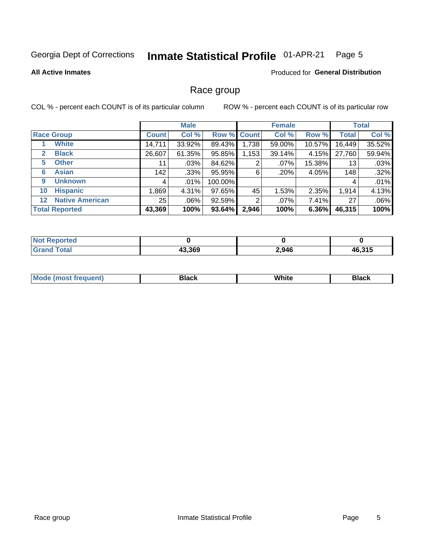#### Inmate Statistical Profile 01-APR-21 Page 5

#### **All Active Inmates**

#### **Produced for General Distribution**

### Race group

COL % - percent each COUNT is of its particular column

|                                   |                 | <b>Male</b> |         |             | <b>Female</b> |          |              | <b>Total</b> |  |
|-----------------------------------|-----------------|-------------|---------|-------------|---------------|----------|--------------|--------------|--|
| <b>Race Group</b>                 | <b>Count</b>    | Col %       |         | Row % Count | Col %         | Row %    | <b>Total</b> | Col %        |  |
| <b>White</b>                      | 14,711          | 33.92%      | 89.43%  | 1,738       | 59.00%        | 10.57%   | 16,449       | 35.52%       |  |
| <b>Black</b><br>2                 | 26,607          | 61.35%      | 95.85%  | 1,153       | 39.14%        | 4.15%    | 27,760       | 59.94%       |  |
| <b>Other</b><br>5                 | 11              | $.03\%$     | 84.62%  | 2           | $.07\%$       | 15.38%   | 13           | .03%         |  |
| <b>Asian</b><br>6                 | 142             | .33%        | 95.95%  | 6           | .20%          | 4.05%    | 148          | .32%         |  |
| <b>Unknown</b><br>9               | 4               | $.01\%$     | 100.00% |             |               |          | 4            | .01%         |  |
| <b>Hispanic</b><br>10             | .869            | 4.31%       | 97.65%  | 45          | 1.53%         | 2.35%    | 1,914        | 4.13%        |  |
| <b>Native American</b><br>$12 \,$ | 25 <sub>1</sub> | $.06\%$     | 92.59%  | 2           | $.07\%$       | 7.41%    | 27           | .06%         |  |
| <b>Total Reported</b>             | 43,369          | 100%        | 93.64%  | 2,946       | 100%          | $6.36\%$ | 46,315       | 100%         |  |

| ported<br>'NO.         |        |       |        |
|------------------------|--------|-------|--------|
| <b>Fotal</b><br>'Grano | 43,369 | 2,946 | 46,315 |

| M | . |  |
|---|---|--|
|   |   |  |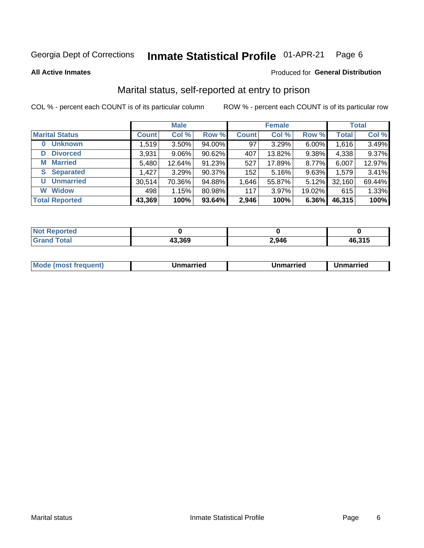#### Inmate Statistical Profile 01-APR-21 Page 6

**All Active Inmates** 

#### Produced for General Distribution

### Marital status, self-reported at entry to prison

COL % - percent each COUNT is of its particular column

|                            | <b>Male</b>  |          |        |              | <b>Female</b> | <b>Total</b> |              |        |
|----------------------------|--------------|----------|--------|--------------|---------------|--------------|--------------|--------|
| <b>Marital Status</b>      | <b>Count</b> | Col %    | Row %  | <b>Count</b> | Col %         | Row %        | <b>Total</b> | Col %  |
| <b>Unknown</b><br>$\bf{0}$ | 1,519        | $3.50\%$ | 94.00% | 97           | 3.29%         | 6.00%        | 1,616        | 3.49%  |
| <b>Divorced</b><br>D       | 3,931        | $9.06\%$ | 90.62% | 407          | 13.82%        | 9.38%        | 4,338        | 9.37%  |
| <b>Married</b><br>М        | 5,480        | 12.64%   | 91.23% | 527          | 17.89%        | 8.77%        | 6,007        | 12.97% |
| <b>Separated</b><br>S.     | 1,427        | 3.29%    | 90.37% | 152          | 5.16%         | 9.63%        | 1,579        | 3.41%  |
| <b>Unmarried</b><br>U      | 30,514       | 70.36%   | 94.88% | 1,646        | 55.87%        | 5.12%        | 32,160       | 69.44% |
| <b>Widow</b><br>W          | 498          | 1.15%    | 80.98% | 117          | 3.97%         | 19.02%       | 615          | 1.33%  |
| <b>Total Reported</b>      | 43,369       | 100%     | 93.64% | 2,946        | 100%          | 6.36%        | 46,315       | 100%   |

| <b>orted</b><br>I NOT |        |       |        |
|-----------------------|--------|-------|--------|
| $\sim$<br>. Gre       | 13,369 | 2,946 | 46.315 |

|--|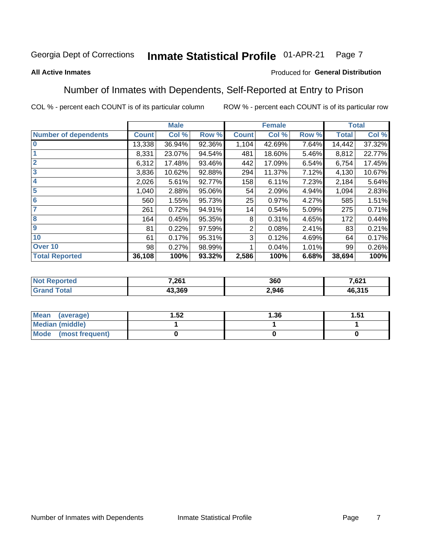#### **Inmate Statistical Profile 01-APR-21** Page 7

#### **All Active Inmates**

#### Produced for General Distribution

### Number of Inmates with Dependents, Self-Reported at Entry to Prison

COL % - percent each COUNT is of its particular column

|                             |              | <b>Male</b> |        |              | <b>Female</b> |       |              | <b>Total</b> |
|-----------------------------|--------------|-------------|--------|--------------|---------------|-------|--------------|--------------|
| <b>Number of dependents</b> | <b>Count</b> | Col %       | Row %  | <b>Count</b> | Col %         | Row % | <b>Total</b> | Col %        |
| l 0                         | 13,338       | 36.94%      | 92.36% | 1,104        | 42.69%        | 7.64% | 14,442       | 37.32%       |
|                             | 8,331        | 23.07%      | 94.54% | 481          | 18.60%        | 5.46% | 8,812        | 22.77%       |
| $\overline{2}$              | 6,312        | 17.48%      | 93.46% | 442          | 17.09%        | 6.54% | 6,754        | 17.45%       |
| $\mathbf{3}$                | 3,836        | 10.62%      | 92.88% | 294          | 11.37%        | 7.12% | 4,130        | 10.67%       |
| $\overline{\mathbf{4}}$     | 2,026        | 5.61%       | 92.77% | 158          | 6.11%         | 7.23% | 2,184        | 5.64%        |
| 5                           | 1,040        | 2.88%       | 95.06% | 54           | 2.09%         | 4.94% | 1,094        | 2.83%        |
| 6                           | 560          | 1.55%       | 95.73% | 25           | 0.97%         | 4.27% | 585          | 1.51%        |
| 7                           | 261          | 0.72%       | 94.91% | 14           | 0.54%         | 5.09% | 275          | 0.71%        |
| 8                           | 164          | 0.45%       | 95.35% | 8            | 0.31%         | 4.65% | 172          | 0.44%        |
| 9                           | 81           | 0.22%       | 97.59% | 2            | 0.08%         | 2.41% | 83           | 0.21%        |
| 10                          | 61           | 0.17%       | 95.31% | 3            | 0.12%         | 4.69% | 64           | 0.17%        |
| Over 10                     | 98           | 0.27%       | 98.99% |              | 0.04%         | 1.01% | 99           | 0.26%        |
| <b>Total Reported</b>       | 36,108       | 100%        | 93.32% | 2,586        | 100%          | 6.68% | 38,694       | 100%         |

| 7,261  | 360   | 7 C 24<br>ا ∠ס. ⁄ |
|--------|-------|-------------------|
| 43.369 | 2,946 | ,315<br>AF.       |

| Mean (average)         | .52 | 1.36 | 51.، |
|------------------------|-----|------|------|
| <b>Median (middle)</b> |     |      |      |
| Mode (most frequent)   |     |      |      |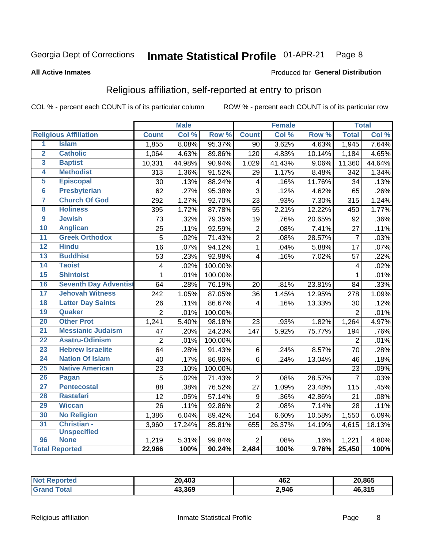#### Inmate Statistical Profile 01-APR-21 Page 8

#### **All Active Inmates**

#### Produced for General Distribution

### Religious affiliation, self-reported at entry to prison

COL % - percent each COUNT is of its particular column

|                 |                              |                 | <b>Male</b> |         |                         | <b>Female</b> |                  |                 | <b>Total</b> |
|-----------------|------------------------------|-----------------|-------------|---------|-------------------------|---------------|------------------|-----------------|--------------|
|                 | <b>Religious Affiliation</b> | <b>Count</b>    | Col %       | Row %   | <b>Count</b>            | Col %         | Row <sup>%</sup> | <b>Total</b>    | Col %        |
| 1               | <b>Islam</b>                 | 1,855           | 8.08%       | 95.37%  | $\overline{90}$         | 3.62%         | 4.63%            | 1,945           | 7.64%        |
| $\overline{2}$  | <b>Catholic</b>              | 1,064           | 4.63%       | 89.86%  | 120                     | 4.83%         | 10.14%           | 1,184           | 4.65%        |
| 3               | <b>Baptist</b>               | 10,331          | 44.98%      | 90.94%  | 1,029                   | 41.43%        | 9.06%            | 11,360          | 44.64%       |
| 4               | <b>Methodist</b>             | 313             | 1.36%       | 91.52%  | 29                      | 1.17%         | 8.48%            | 342             | 1.34%        |
| 5               | <b>Episcopal</b>             | 30              | .13%        | 88.24%  | $\overline{\mathbf{4}}$ | .16%          | 11.76%           | 34              | .13%         |
| $\overline{6}$  | <b>Presbyterian</b>          | 62              | .27%        | 95.38%  | 3                       | .12%          | 4.62%            | 65              | .26%         |
| 7               | <b>Church Of God</b>         | 292             | 1.27%       | 92.70%  | 23                      | .93%          | 7.30%            | 315             | 1.24%        |
| 8               | <b>Holiness</b>              | 395             | 1.72%       | 87.78%  | 55                      | 2.21%         | 12.22%           | 450             | 1.77%        |
| $\overline{9}$  | <b>Jewish</b>                | $\overline{73}$ | .32%        | 79.35%  | 19                      | .76%          | 20.65%           | 92              | .36%         |
| 10              | <b>Anglican</b>              | 25              | .11%        | 92.59%  | $\mathbf 2$             | .08%          | 7.41%            | 27              | .11%         |
| 11              | <b>Greek Orthodox</b>        | $\overline{5}$  | .02%        | 71.43%  | $\overline{2}$          | .08%          | 28.57%           | $\overline{7}$  | .03%         |
| 12              | <b>Hindu</b>                 | $\overline{16}$ | .07%        | 94.12%  | $\mathbf{1}$            | .04%          | 5.88%            | $\overline{17}$ | .07%         |
| 13              | <b>Buddhist</b>              | 53              | .23%        | 92.98%  | $\overline{4}$          | .16%          | 7.02%            | 57              | .22%         |
| $\overline{14}$ | <b>Taoist</b>                | $\overline{4}$  | .02%        | 100.00% |                         |               |                  | 4               | .02%         |
| 15              | <b>Shintoist</b>             | $\mathbf 1$     | .01%        | 100.00% |                         |               |                  | 1               | .01%         |
| 16              | <b>Seventh Day Adventist</b> | 64              | .28%        | 76.19%  | 20                      | .81%          | 23.81%           | 84              | .33%         |
| 17              | <b>Jehovah Witness</b>       | 242             | 1.05%       | 87.05%  | 36                      | 1.45%         | 12.95%           | 278             | 1.09%        |
| 18              | <b>Latter Day Saints</b>     | 26              | .11%        | 86.67%  | 4                       | .16%          | 13.33%           | 30              | .12%         |
| 19              | Quaker                       | $\overline{2}$  | .01%        | 100.00% |                         |               |                  | $\overline{2}$  | $.01\%$      |
| 20              | <b>Other Prot</b>            | 1,241           | 5.40%       | 98.18%  | 23                      | .93%          | 1.82%            | 1,264           | 4.97%        |
| 21              | <b>Messianic Judaism</b>     | 47              | .20%        | 24.23%  | 147                     | 5.92%         | 75.77%           | 194             | .76%         |
| 22              | <b>Asatru-Odinism</b>        | $\overline{2}$  | .01%        | 100.00% |                         |               |                  | $\overline{2}$  | .01%         |
| 23              | <b>Hebrew Israelite</b>      | 64              | .28%        | 91.43%  | 6                       | .24%          | 8.57%            | 70              | .28%         |
| 24              | <b>Nation Of Islam</b>       | 40              | .17%        | 86.96%  | 6                       | .24%          | 13.04%           | 46              | .18%         |
| 25              | <b>Native American</b>       | 23              | .10%        | 100.00% |                         |               |                  | 23              | .09%         |
| 26              | Pagan                        | 5               | .02%        | 71.43%  | $\overline{2}$          | .08%          | 28.57%           | $\overline{7}$  | .03%         |
| 27              | <b>Pentecostal</b>           | 88              | .38%        | 76.52%  | 27                      | 1.09%         | 23.48%           | 115             | .45%         |
| 28              | <b>Rastafari</b>             | 12              | .05%        | 57.14%  | $\boldsymbol{9}$        | .36%          | 42.86%           | 21              | .08%         |
| 29              | <b>Wiccan</b>                | 26              | .11%        | 92.86%  | $\overline{2}$          | .08%          | 7.14%            | 28              | .11%         |
| 30              | <b>No Religion</b>           | 1,386           | 6.04%       | 89.42%  | 164                     | 6.60%         | 10.58%           | 1,550           | 6.09%        |
| 31              | Christian -                  | 3,960           | 17.24%      | 85.81%  | 655                     | 26.37%        | 14.19%           | 4,615           | 18.13%       |
|                 | <b>Unspecified</b>           |                 |             |         |                         |               |                  |                 |              |
| 96              | <b>None</b>                  | 1,219           | 5.31%       | 99.84%  | $\overline{2}$          | .08%          | .16%             | 1,221           | 4.80%        |
|                 | <b>Total Reported</b>        | 22,966          | 100%        | 90.24%  | 2,484                   | 100%          | 9.76%            | 25,450          | 100%         |

| .403<br>20 <sub>1</sub> | 462<br>$ -$ | 20,865 |
|-------------------------|-------------|--------|
| 43.369                  | 2,946       | 46.315 |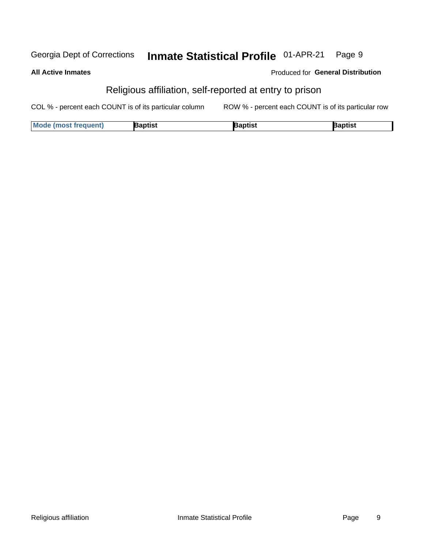#### Inmate Statistical Profile 01-APR-21 Page 9 Georgia Dept of Corrections

| All Active Inmates | Produced for Ge                                         |
|--------------------|---------------------------------------------------------|
|                    | Religious affiliation, self-reported at entry to prison |

COL % - percent each COUNT is of its particular column ROW % - percent each COUNT is of its particular row

| <b>Mode</b>         | Japtist | laptist | Baptist |
|---------------------|---------|---------|---------|
| : (most freauent) { |         |         |         |

**General Distribution**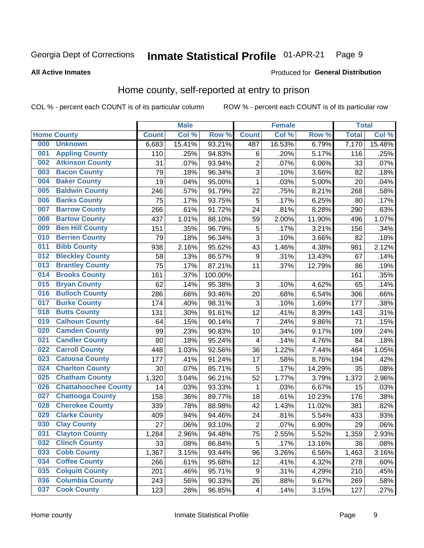#### Inmate Statistical Profile 01-APR-21 Page 9

#### **All Active Inmates**

#### Produced for General Distribution

### Home county, self-reported at entry to prison

COL % - percent each COUNT is of its particular column

|     |                             |              | <b>Male</b> |                  |                         | <b>Female</b> |        | <b>Total</b> |        |
|-----|-----------------------------|--------------|-------------|------------------|-------------------------|---------------|--------|--------------|--------|
|     | <b>Home County</b>          | <b>Count</b> | Col %       | Row <sup>%</sup> | <b>Count</b>            | Col %         | Row %  | <b>Total</b> | Col %  |
| 000 | <b>Unknown</b>              | 6,683        | 15.41%      | 93.21%           | 487                     | 16.53%        | 6.79%  | 7,170        | 15.48% |
| 001 | <b>Appling County</b>       | 110          | .25%        | 94.83%           | $\,6$                   | .20%          | 5.17%  | 116          | .25%   |
| 002 | <b>Atkinson County</b>      | 31           | .07%        | 93.94%           | $\overline{c}$          | .07%          | 6.06%  | 33           | .07%   |
| 003 | <b>Bacon County</b>         | 79           | .18%        | 96.34%           | 3                       | .10%          | 3.66%  | 82           | .18%   |
| 004 | <b>Baker County</b>         | 19           | .04%        | 95.00%           | $\mathbf{1}$            | .03%          | 5.00%  | 20           | .04%   |
| 005 | <b>Baldwin County</b>       | 246          | .57%        | 91.79%           | 22                      | .75%          | 8.21%  | 268          | .58%   |
| 006 | <b>Banks County</b>         | 75           | .17%        | 93.75%           | 5                       | .17%          | 6.25%  | 80           | .17%   |
| 007 | <b>Barrow County</b>        | 266          | .61%        | 91.72%           | 24                      | .81%          | 8.28%  | 290          | .63%   |
| 008 | <b>Bartow County</b>        | 437          | 1.01%       | 88.10%           | 59                      | 2.00%         | 11.90% | 496          | 1.07%  |
| 009 | <b>Ben Hill County</b>      | 151          | .35%        | 96.79%           | 5                       | .17%          | 3.21%  | 156          | .34%   |
| 010 | <b>Berrien County</b>       | 79           | .18%        | 96.34%           | $\overline{3}$          | .10%          | 3.66%  | 82           | .18%   |
| 011 | <b>Bibb County</b>          | 938          | 2.16%       | 95.62%           | 43                      | 1.46%         | 4.38%  | 981          | 2.12%  |
| 012 | <b>Bleckley County</b>      | 58           | .13%        | 86.57%           | 9                       | .31%          | 13.43% | 67           | .14%   |
| 013 | <b>Brantley County</b>      | 75           | .17%        | 87.21%           | 11                      | .37%          | 12.79% | 86           | .19%   |
| 014 | <b>Brooks County</b>        | 161          | .37%        | 100.00%          |                         |               |        | 161          | .35%   |
| 015 | <b>Bryan County</b>         | 62           | .14%        | 95.38%           | 3                       | .10%          | 4.62%  | 65           | .14%   |
| 016 | <b>Bulloch County</b>       | 286          | .66%        | 93.46%           | 20                      | .68%          | 6.54%  | 306          | .66%   |
| 017 | <b>Burke County</b>         | 174          | .40%        | 98.31%           | $\mathbf{3}$            | .10%          | 1.69%  | 177          | .38%   |
| 018 | <b>Butts County</b>         | 131          | .30%        | 91.61%           | 12                      | .41%          | 8.39%  | 143          | .31%   |
| 019 | <b>Calhoun County</b>       | 64           | .15%        | 90.14%           | $\overline{7}$          | .24%          | 9.86%  | 71           | .15%   |
| 020 | <b>Camden County</b>        | 99           | .23%        | 90.83%           | 10                      | .34%          | 9.17%  | 109          | .24%   |
| 021 | <b>Candler County</b>       | 80           | .18%        | 95.24%           | 4                       | .14%          | 4.76%  | 84           | .18%   |
| 022 | <b>Carroll County</b>       | 448          | 1.03%       | 92.56%           | 36                      | 1.22%         | 7.44%  | 484          | 1.05%  |
| 023 | <b>Catoosa County</b>       | 177          | .41%        | 91.24%           | 17                      | .58%          | 8.76%  | 194          | .42%   |
| 024 | <b>Charlton County</b>      | 30           | .07%        | 85.71%           | 5                       | .17%          | 14.29% | 35           | .08%   |
| 025 | <b>Chatham County</b>       | 1,320        | 3.04%       | 96.21%           | 52                      | 1.77%         | 3.79%  | 1,372        | 2.96%  |
| 026 | <b>Chattahoochee County</b> | 14           | .03%        | 93.33%           | $\mathbf{1}$            | .03%          | 6.67%  | 15           | .03%   |
| 027 | <b>Chattooga County</b>     | 158          | .36%        | 89.77%           | 18                      | .61%          | 10.23% | 176          | .38%   |
| 028 | <b>Cherokee County</b>      | 339          | .78%        | 88.98%           | 42                      | 1.43%         | 11.02% | 381          | .82%   |
| 029 | <b>Clarke County</b>        | 409          | .94%        | 94.46%           | 24                      | .81%          | 5.54%  | 433          | .93%   |
| 030 | <b>Clay County</b>          | 27           | .06%        | 93.10%           | $\overline{2}$          | .07%          | 6.90%  | 29           | .06%   |
| 031 | <b>Clayton County</b>       | 1,284        | 2.96%       | 94.48%           | 75                      | 2.55%         | 5.52%  | 1,359        | 2.93%  |
| 032 | <b>Clinch County</b>        | 33           | .08%        | 86.84%           | 5                       | .17%          | 13.16% | 38           | .08%   |
| 033 | <b>Cobb County</b>          | 1,367        | 3.15%       | 93.44%           | 96                      | 3.26%         | 6.56%  | 1,463        | 3.16%  |
| 034 | <b>Coffee County</b>        | 266          | .61%        | 95.68%           | 12                      | .41%          | 4.32%  | 278          | .60%   |
| 035 | <b>Colquitt County</b>      | 201          | .46%        | 95.71%           | 9                       | .31%          | 4.29%  | 210          | .45%   |
| 036 | <b>Columbia County</b>      | 243          | .56%        | 90.33%           | 26                      | .88%          | 9.67%  | 269          | .58%   |
| 037 | <b>Cook County</b>          | 123          | .28%        | 96.85%           | $\overline{\mathbf{4}}$ | .14%          | 3.15%  | 127          | .27%   |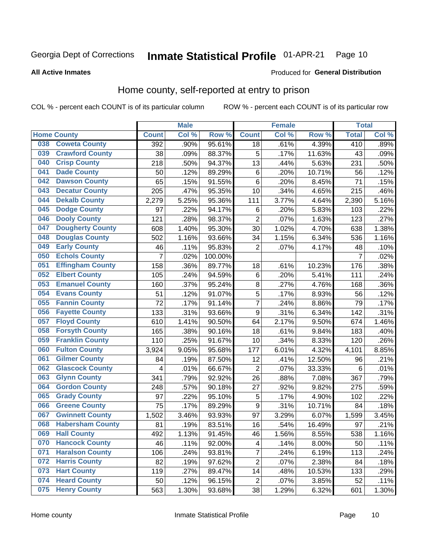#### Inmate Statistical Profile 01-APR-21 Page 10

**All Active Inmates** 

#### Produced for General Distribution

### Home county, self-reported at entry to prison

COL % - percent each COUNT is of its particular column

|     |                         |                    | <b>Male</b> |         |                         | <b>Female</b> |          | <b>Total</b>   |       |
|-----|-------------------------|--------------------|-------------|---------|-------------------------|---------------|----------|----------------|-------|
|     | <b>Home County</b>      | <b>Count</b>       | Col %       | Row %   | <b>Count</b>            | Col %         | Row %    | <b>Total</b>   | Col % |
| 038 | <b>Coweta County</b>    | 392                | .90%        | 95.61%  | 18                      | .61%          | 4.39%    | 410            | .89%  |
| 039 | <b>Crawford County</b>  | 38                 | .09%        | 88.37%  | 5                       | .17%          | 11.63%   | 43             | .09%  |
| 040 | <b>Crisp County</b>     | 218                | .50%        | 94.37%  | 13                      | .44%          | 5.63%    | 231            | .50%  |
| 041 | <b>Dade County</b>      | 50                 | .12%        | 89.29%  | $\,6$                   | .20%          | 10.71%   | 56             | .12%  |
| 042 | <b>Dawson County</b>    | 65                 | .15%        | 91.55%  | $\,6$                   | .20%          | 8.45%    | 71             | .15%  |
| 043 | <b>Decatur County</b>   | 205                | .47%        | 95.35%  | 10                      | .34%          | 4.65%    | 215            | .46%  |
| 044 | <b>Dekalb County</b>    | 2,279              | 5.25%       | 95.36%  | 111                     | 3.77%         | 4.64%    | 2,390          | 5.16% |
| 045 | <b>Dodge County</b>     | 97                 | .22%        | 94.17%  | $\,6$                   | .20%          | 5.83%    | 103            | .22%  |
| 046 | <b>Dooly County</b>     | 121                | .28%        | 98.37%  | $\overline{2}$          | .07%          | 1.63%    | 123            | .27%  |
| 047 | <b>Dougherty County</b> | 608                | 1.40%       | 95.30%  | 30                      | 1.02%         | 4.70%    | 638            | 1.38% |
| 048 | <b>Douglas County</b>   | 502                | 1.16%       | 93.66%  | 34                      | 1.15%         | 6.34%    | 536            | 1.16% |
| 049 | <b>Early County</b>     | 46                 | .11%        | 95.83%  | $\overline{2}$          | .07%          | 4.17%    | 48             | .10%  |
| 050 | <b>Echols County</b>    | $\overline{7}$     | .02%        | 100.00% |                         |               |          | $\overline{7}$ | .02%  |
| 051 | <b>Effingham County</b> | 158                | .36%        | 89.77%  | 18                      | .61%          | 10.23%   | 176            | .38%  |
| 052 | <b>Elbert County</b>    | 105                | .24%        | 94.59%  | $\,6$                   | .20%          | 5.41%    | 111            | .24%  |
| 053 | <b>Emanuel County</b>   | 160                | .37%        | 95.24%  | 8                       | .27%          | 4.76%    | 168            | .36%  |
| 054 | <b>Evans County</b>     | 51                 | .12%        | 91.07%  | 5                       | .17%          | 8.93%    | 56             | .12%  |
| 055 | <b>Fannin County</b>    | 72                 | .17%        | 91.14%  | $\overline{7}$          | .24%          | 8.86%    | 79             | .17%  |
| 056 | <b>Fayette County</b>   | 133                | .31%        | 93.66%  | $\boldsymbol{9}$        | .31%          | 6.34%    | 142            | .31%  |
| 057 | <b>Floyd County</b>     | 610                | 1.41%       | 90.50%  | 64                      | 2.17%         | 9.50%    | 674            | 1.46% |
| 058 | <b>Forsyth County</b>   | 165                | .38%        | 90.16%  | 18                      | .61%          | 9.84%    | 183            | .40%  |
| 059 | <b>Franklin County</b>  | 110                | .25%        | 91.67%  | 10                      | .34%          | $8.33\%$ | 120            | .26%  |
| 060 | <b>Fulton County</b>    | 3,924              | 9.05%       | 95.68%  | 177                     | 6.01%         | 4.32%    | 4,101          | 8.85% |
| 061 | <b>Gilmer County</b>    | 84                 | .19%        | 87.50%  | 12                      | .41%          | 12.50%   | 96             | .21%  |
| 062 | <b>Glascock County</b>  | 4                  | .01%        | 66.67%  | $\overline{2}$          | .07%          | 33.33%   | 6              | .01%  |
| 063 | <b>Glynn County</b>     | 341                | .79%        | 92.92%  | 26                      | .88%          | 7.08%    | 367            | .79%  |
| 064 | <b>Gordon County</b>    | 248                | .57%        | 90.18%  | 27                      | .92%          | 9.82%    | 275            | .59%  |
| 065 | <b>Grady County</b>     | 97                 | .22%        | 95.10%  | 5                       | .17%          | 4.90%    | 102            | .22%  |
| 066 | <b>Greene County</b>    | 75                 | .17%        | 89.29%  | $\boldsymbol{9}$        | .31%          | 10.71%   | 84             | .18%  |
| 067 | <b>Gwinnett County</b>  | $\overline{1,502}$ | 3.46%       | 93.93%  | 97                      | 3.29%         | 6.07%    | 1,599          | 3.45% |
| 068 | <b>Habersham County</b> | 81                 | .19%        | 83.51%  | 16                      | .54%          | 16.49%   | 97             | .21%  |
| 069 | <b>Hall County</b>      | 492                | 1.13%       | 91.45%  | 46                      | 1.56%         | 8.55%    | 538            | 1.16% |
| 070 | <b>Hancock County</b>   | 46                 | .11%        | 92.00%  | $\overline{\mathbf{4}}$ | .14%          | 8.00%    | 50             | .11%  |
| 071 | <b>Haralson County</b>  | 106                | .24%        | 93.81%  | $\overline{\mathbf{7}}$ | .24%          | 6.19%    | 113            | .24%  |
| 072 | <b>Harris County</b>    | 82                 | .19%        | 97.62%  | $\mathbf 2$             | .07%          | 2.38%    | 84             | .18%  |
| 073 | <b>Hart County</b>      | 119                | .27%        | 89.47%  | 14                      | .48%          | 10.53%   | 133            | .29%  |
| 074 | <b>Heard County</b>     | 50                 | .12%        | 96.15%  | $\overline{2}$          | .07%          | 3.85%    | 52             | .11%  |
| 075 | <b>Henry County</b>     | 563                | 1.30%       | 93.68%  | 38                      | 1.29%         | 6.32%    | 601            | 1.30% |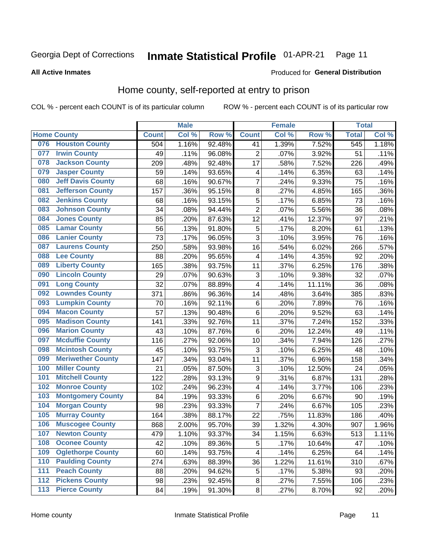#### Inmate Statistical Profile 01-APR-21 Page 11

#### **All Active Inmates**

#### Produced for General Distribution

### Home county, self-reported at entry to prison

COL % - percent each COUNT is of its particular column

|                  |                          |              | <b>Male</b> |        |                  | <b>Female</b> |                  | <b>Total</b> |       |
|------------------|--------------------------|--------------|-------------|--------|------------------|---------------|------------------|--------------|-------|
|                  | <b>Home County</b>       | <b>Count</b> | Col %       | Row %  | <b>Count</b>     | Col %         | Row <sup>%</sup> | <b>Total</b> | Col % |
| 076              | <b>Houston County</b>    | 504          | 1.16%       | 92.48% | 41               | 1.39%         | 7.52%            | 545          | 1.18% |
| 077              | <b>Irwin County</b>      | 49           | .11%        | 96.08% | $\overline{2}$   | .07%          | 3.92%            | 51           | .11%  |
| 078              | <b>Jackson County</b>    | 209          | .48%        | 92.48% | 17               | .58%          | 7.52%            | 226          | .49%  |
| 079              | <b>Jasper County</b>     | 59           | .14%        | 93.65% | 4                | .14%          | 6.35%            | 63           | .14%  |
| 080              | <b>Jeff Davis County</b> | 68           | .16%        | 90.67% | $\overline{7}$   | .24%          | 9.33%            | 75           | .16%  |
| 081              | <b>Jefferson County</b>  | 157          | .36%        | 95.15% | 8                | .27%          | 4.85%            | 165          | .36%  |
| 082              | <b>Jenkins County</b>    | 68           | .16%        | 93.15% | $\overline{5}$   | .17%          | 6.85%            | 73           | .16%  |
| 083              | <b>Johnson County</b>    | 34           | .08%        | 94.44% | $\overline{2}$   | .07%          | 5.56%            | 36           | .08%  |
| 084              | <b>Jones County</b>      | 85           | .20%        | 87.63% | 12               | .41%          | 12.37%           | 97           | .21%  |
| 085              | <b>Lamar County</b>      | 56           | .13%        | 91.80% | 5                | .17%          | 8.20%            | 61           | .13%  |
| 086              | <b>Lanier County</b>     | 73           | .17%        | 96.05% | $\overline{3}$   | .10%          | 3.95%            | 76           | .16%  |
| 087              | <b>Laurens County</b>    | 250          | .58%        | 93.98% | 16               | .54%          | 6.02%            | 266          | .57%  |
| 088              | <b>Lee County</b>        | 88           | .20%        | 95.65% | 4                | .14%          | 4.35%            | 92           | .20%  |
| 089              | <b>Liberty County</b>    | 165          | .38%        | 93.75% | 11               | .37%          | 6.25%            | 176          | .38%  |
| 090              | <b>Lincoln County</b>    | 29           | .07%        | 90.63% | 3                | .10%          | 9.38%            | 32           | .07%  |
| 091              | <b>Long County</b>       | 32           | .07%        | 88.89% | 4                | .14%          | 11.11%           | 36           | .08%  |
| 092              | <b>Lowndes County</b>    | 371          | .86%        | 96.36% | 14               | .48%          | 3.64%            | 385          | .83%  |
| 093              | <b>Lumpkin County</b>    | 70           | .16%        | 92.11% | $\,6$            | .20%          | 7.89%            | 76           | .16%  |
| 094              | <b>Macon County</b>      | 57           | .13%        | 90.48% | $\,6$            | .20%          | 9.52%            | 63           | .14%  |
| 095              | <b>Madison County</b>    | 141          | .33%        | 92.76% | 11               | .37%          | 7.24%            | 152          | .33%  |
| 096              | <b>Marion County</b>     | 43           | .10%        | 87.76% | $\,6$            | .20%          | 12.24%           | 49           | .11%  |
| 097              | <b>Mcduffie County</b>   | 116          | .27%        | 92.06% | 10               | .34%          | 7.94%            | 126          | .27%  |
| 098              | <b>Mcintosh County</b>   | 45           | .10%        | 93.75% | 3                | .10%          | 6.25%            | 48           | .10%  |
| 099              | <b>Meriwether County</b> | 147          | .34%        | 93.04% | 11               | .37%          | 6.96%            | 158          | .34%  |
| 100              | <b>Miller County</b>     | 21           | .05%        | 87.50% | 3                | .10%          | 12.50%           | 24           | .05%  |
| 101              | <b>Mitchell County</b>   | 122          | .28%        | 93.13% | $\boldsymbol{9}$ | .31%          | 6.87%            | 131          | .28%  |
| 102              | <b>Monroe County</b>     | 102          | .24%        | 96.23% | 4                | .14%          | 3.77%            | 106          | .23%  |
| 103              | <b>Montgomery County</b> | 84           | .19%        | 93.33% | 6                | .20%          | 6.67%            | 90           | .19%  |
| 104              | <b>Morgan County</b>     | 98           | .23%        | 93.33% | $\overline{7}$   | .24%          | 6.67%            | 105          | .23%  |
| 105              | <b>Murray County</b>     | 164          | .38%        | 88.17% | 22               | .75%          | 11.83%           | 186          | .40%  |
| 106              | <b>Muscogee County</b>   | 868          | 2.00%       | 95.70% | 39               | 1.32%         | 4.30%            | 907          | 1.96% |
| 107              | <b>Newton County</b>     | 479          | 1.10%       | 93.37% | 34               | 1.15%         | 6.63%            | 513          | 1.11% |
| 108              | <b>Oconee County</b>     | 42           | .10%        | 89.36% | 5                | .17%          | 10.64%           | 47           | .10%  |
| 109              | <b>Oglethorpe County</b> | 60           | .14%        | 93.75% | 4                | .14%          | 6.25%            | 64           | .14%  |
| 110              | <b>Paulding County</b>   | 274          | .63%        | 88.39% | 36               | 1.22%         | 11.61%           | 310          | .67%  |
| 111              | <b>Peach County</b>      | 88           | .20%        | 94.62% | 5                | .17%          | 5.38%            | 93           | .20%  |
| $\overline{112}$ | <b>Pickens County</b>    | 98           | .23%        | 92.45% | 8                | .27%          | 7.55%            | 106          | .23%  |
| 113              | <b>Pierce County</b>     | 84           | .19%        | 91.30% | $\bf 8$          | .27%          | 8.70%            | 92           | .20%  |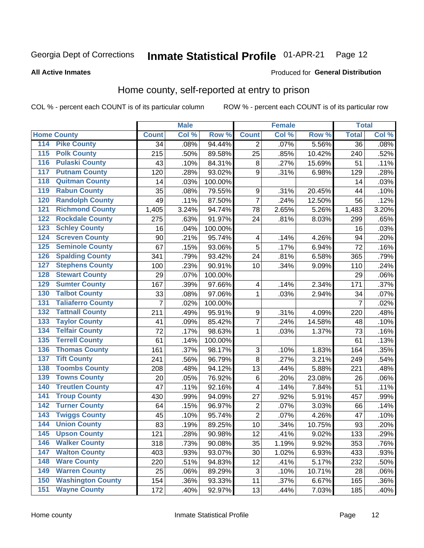#### Inmate Statistical Profile 01-APR-21 Page 12

**All Active Inmates** 

#### Produced for General Distribution

### Home county, self-reported at entry to prison

COL % - percent each COUNT is of its particular column

|                           |                          |              | <b>Male</b> |         |                           | <b>Female</b> |        | <b>Total</b>    |       |
|---------------------------|--------------------------|--------------|-------------|---------|---------------------------|---------------|--------|-----------------|-------|
| <b>Home County</b>        |                          | <b>Count</b> | Col %       | Row %   | <b>Count</b>              | Col %         | Row %  | <b>Total</b>    | Col % |
| 114                       | <b>Pike County</b>       | 34           | .08%        | 94.44%  | 2                         | .07%          | 5.56%  | $\overline{36}$ | .08%  |
| $\overline{115}$          | <b>Polk County</b>       | 215          | .50%        | 89.58%  | 25                        | .85%          | 10.42% | 240             | .52%  |
| 116                       | <b>Pulaski County</b>    | 43           | .10%        | 84.31%  | 8                         | .27%          | 15.69% | 51              | .11%  |
| 117                       | <b>Putnam County</b>     | 120          | .28%        | 93.02%  | 9                         | .31%          | 6.98%  | 129             | .28%  |
| 118                       | <b>Quitman County</b>    | 14           | .03%        | 100.00% |                           |               |        | 14              | .03%  |
| 119                       | <b>Rabun County</b>      | 35           | .08%        | 79.55%  | $\boldsymbol{9}$          | .31%          | 20.45% | 44              | .10%  |
| 120                       | <b>Randolph County</b>   | 49           | .11%        | 87.50%  | $\overline{7}$            | .24%          | 12.50% | 56              | .12%  |
| $\overline{121}$          | <b>Richmond County</b>   | 1,405        | 3.24%       | 94.74%  | 78                        | 2.65%         | 5.26%  | 1,483           | 3.20% |
| 122                       | <b>Rockdale County</b>   | 275          | .63%        | 91.97%  | 24                        | .81%          | 8.03%  | 299             | .65%  |
| 123                       | <b>Schley County</b>     | 16           | .04%        | 100.00% |                           |               |        | 16              | .03%  |
| 124                       | <b>Screven County</b>    | 90           | .21%        | 95.74%  | $\overline{\mathbf{4}}$   | .14%          | 4.26%  | 94              | .20%  |
| 125                       | <b>Seminole County</b>   | 67           | .15%        | 93.06%  | 5                         | .17%          | 6.94%  | 72              | .16%  |
| 126                       | <b>Spalding County</b>   | 341          | .79%        | 93.42%  | 24                        | .81%          | 6.58%  | 365             | .79%  |
| 127                       | <b>Stephens County</b>   | 100          | .23%        | 90.91%  | 10                        | .34%          | 9.09%  | 110             | .24%  |
| 128                       | <b>Stewart County</b>    | 29           | .07%        | 100.00% |                           |               |        | 29              | .06%  |
| 129                       | <b>Sumter County</b>     | 167          | .39%        | 97.66%  | $\overline{\mathbf{4}}$   | .14%          | 2.34%  | 171             | .37%  |
| 130                       | <b>Talbot County</b>     | 33           | .08%        | 97.06%  | $\mathbf{1}$              | .03%          | 2.94%  | 34              | .07%  |
| 131                       | <b>Taliaferro County</b> | 7            | .02%        | 100.00% |                           |               |        | 7               | .02%  |
| 132                       | <b>Tattnall County</b>   | 211          | .49%        | 95.91%  | $\boldsymbol{9}$          | .31%          | 4.09%  | 220             | .48%  |
| 133                       | <b>Taylor County</b>     | 41           | .09%        | 85.42%  | $\overline{7}$            | .24%          | 14.58% | 48              | .10%  |
| 134                       | <b>Telfair County</b>    | 72           | .17%        | 98.63%  | $\mathbf{1}$              | .03%          | 1.37%  | 73              | .16%  |
| 135                       | <b>Terrell County</b>    | 61           | .14%        | 100.00% |                           |               |        | 61              | .13%  |
| 136                       | <b>Thomas County</b>     | 161          | .37%        | 98.17%  | $\ensuremath{\mathsf{3}}$ | .10%          | 1.83%  | 164             | .35%  |
| <b>Tift County</b><br>137 |                          | 241          | .56%        | 96.79%  | 8                         | .27%          | 3.21%  | 249             | .54%  |
| 138                       | <b>Toombs County</b>     | 208          | .48%        | 94.12%  | 13                        | .44%          | 5.88%  | 221             | .48%  |
| 139                       | <b>Towns County</b>      | 20           | .05%        | 76.92%  | 6                         | .20%          | 23.08% | 26              | .06%  |
| 140                       | <b>Treutlen County</b>   | 47           | .11%        | 92.16%  | $\overline{\mathbf{4}}$   | .14%          | 7.84%  | 51              | .11%  |
| 141                       | <b>Troup County</b>      | 430          | .99%        | 94.09%  | 27                        | .92%          | 5.91%  | 457             | .99%  |
| 142                       | <b>Turner County</b>     | 64           | .15%        | 96.97%  | $\overline{2}$            | .07%          | 3.03%  | 66              | .14%  |
| $\overline{143}$          | <b>Twiggs County</b>     | 45           | .10%        | 95.74%  | $\overline{2}$            | .07%          | 4.26%  | 47              | .10%  |
| 144                       | <b>Union County</b>      | 83           | .19%        | 89.25%  | 10                        | .34%          | 10.75% | 93              | .20%  |
| 145                       | <b>Upson County</b>      | 121          | .28%        | 90.98%  | 12                        | .41%          | 9.02%  | 133             | .29%  |
| 146                       | <b>Walker County</b>     | 318          | .73%        | 90.08%  | 35                        | 1.19%         | 9.92%  | 353             | .76%  |
| 147                       | <b>Walton County</b>     | 403          | .93%        | 93.07%  | 30                        | 1.02%         | 6.93%  | 433             | .93%  |
| 148                       | <b>Ware County</b>       | 220          | .51%        | 94.83%  | 12                        | .41%          | 5.17%  | 232             | .50%  |
| 149                       | <b>Warren County</b>     | 25           | .06%        | 89.29%  | $\ensuremath{\mathsf{3}}$ | .10%          | 10.71% | 28              | .06%  |
| 150                       | <b>Washington County</b> | 154          | .36%        | 93.33%  | 11                        | .37%          | 6.67%  | 165             | .36%  |
| 151                       | <b>Wayne County</b>      | 172          | .40%        | 92.97%  | 13                        | .44%          | 7.03%  | 185             | .40%  |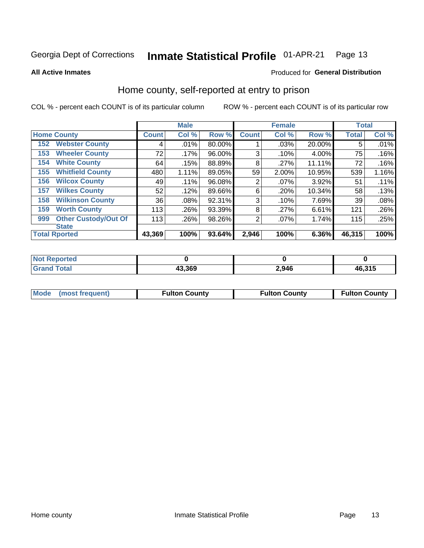#### Inmate Statistical Profile 01-APR-21 Page 13

**All Active Inmates** 

#### Produced for General Distribution

### Home county, self-reported at entry to prison

COL % - percent each COUNT is of its particular column

|                    |                             |              | <b>Male</b> |        |                | <b>Female</b> |        | <b>Total</b> |       |
|--------------------|-----------------------------|--------------|-------------|--------|----------------|---------------|--------|--------------|-------|
| <b>Home County</b> |                             | <b>Count</b> | Col %       | Row %  | <b>Count</b>   | Col %         | Row %  | <b>Total</b> | Col % |
| 152                | <b>Webster County</b>       | 4            | .01%        | 80.00% |                | .03%          | 20.00% | 5            | .01%  |
| 153                | <b>Wheeler County</b>       | 72           | $.17\%$     | 96.00% | 3              | .10%          | 4.00%  | 75           | .16%  |
| 154                | <b>White County</b>         | 64           | .15%        | 88.89% | 8              | .27%          | 11.11% | 72           | .16%  |
| 155                | <b>Whitfield County</b>     | 480          | 1.11%       | 89.05% | 59             | 2.00%         | 10.95% | 539          | 1.16% |
| 156                | <b>Wilcox County</b>        | 49           | .11%        | 96.08% | $\overline{2}$ | .07%          | 3.92%  | 51           | .11%  |
| 157                | <b>Wilkes County</b>        | 52           | .12%        | 89.66% | 6              | .20%          | 10.34% | 58           | .13%  |
| 158                | <b>Wilkinson County</b>     | 36           | .08%        | 92.31% | 3              | .10%          | 7.69%  | 39           | .08%  |
| 159                | <b>Worth County</b>         | 113          | .26%        | 93.39% | 8              | .27%          | 6.61%  | 121          | .26%  |
| 999                | <b>Other Custody/Out Of</b> | 113          | .26%        | 98.26% | 2              | .07%          | 1.74%  | 115          | .25%  |
|                    | <b>State</b>                |              |             |        |                |               |        |              |       |
|                    | <b>Total Rported</b>        | 43,369       | 100%        | 93.64% | 2,946          | 100%          | 6.36%  | 46,315       | 100%  |

| <b>Not</b><br>Reported |        |       |        |
|------------------------|--------|-------|--------|
| Total                  | 43,369 | 2,946 | 46,315 |

|  | Mode (most frequent) | <b>Fulton County</b> | <b>Fulton County</b> | <b>Fulton County</b> |
|--|----------------------|----------------------|----------------------|----------------------|
|--|----------------------|----------------------|----------------------|----------------------|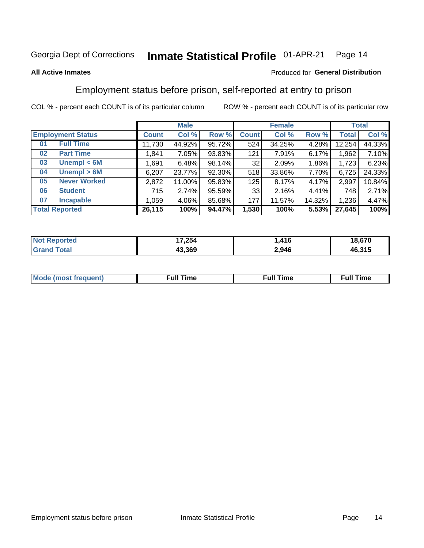#### Inmate Statistical Profile 01-APR-21 Page 14

#### **All Active Inmates**

#### Produced for General Distribution

### Employment status before prison, self-reported at entry to prison

COL % - percent each COUNT is of its particular column

|                           |              | <b>Male</b> |        |              | <b>Female</b> |        |              | <b>Total</b> |
|---------------------------|--------------|-------------|--------|--------------|---------------|--------|--------------|--------------|
| <b>Employment Status</b>  | <b>Count</b> | Col %       | Row %  | <b>Count</b> | Col %         | Row %  | <b>Total</b> | Col %        |
| <b>Full Time</b><br>01    | 11,730       | 44.92%      | 95.72% | 524          | 34.25%        | 4.28%  | 12,254       | 44.33%       |
| <b>Part Time</b><br>02    | 1,841        | 7.05%       | 93.83% | 121          | 7.91%         | 6.17%  | 1,962        | 7.10%        |
| Unempl $<$ 6M<br>03       | 1,691        | 6.48%       | 98.14% | 32           | 2.09%         | 1.86%  | 1,723        | 6.23%        |
| Unempl > 6M<br>04         | 6,207        | 23.77%      | 92.30% | 518          | 33.86%        | 7.70%  | 6,725        | 24.33%       |
| <b>Never Worked</b><br>05 | 2,872        | 11.00%      | 95.83% | 125          | 8.17%         | 4.17%  | 2,997        | 10.84%       |
| <b>Student</b><br>06      | 715          | 2.74%       | 95.59% | 33           | 2.16%         | 4.41%  | 748          | 2.71%        |
| <b>Incapable</b><br>07    | 1,059        | $4.06\%$    | 85.68% | 177          | 11.57%        | 14.32% | 1,236        | 4.47%        |
| <b>Total Reported</b>     | 26,115       | 100%        | 94.47% | 1,530        | 100%          | 5.53%  | 27,645       | 100%         |

| <b>ported</b><br>NO. | 17,254 | 11 C  | 18,670 |
|----------------------|--------|-------|--------|
| $T$ otor $T$<br>Gran | 43.369 | 2,946 | 46,315 |

| Mc | ----<br>me<br>ш | nc<br>. |
|----|-----------------|---------|
|    |                 |         |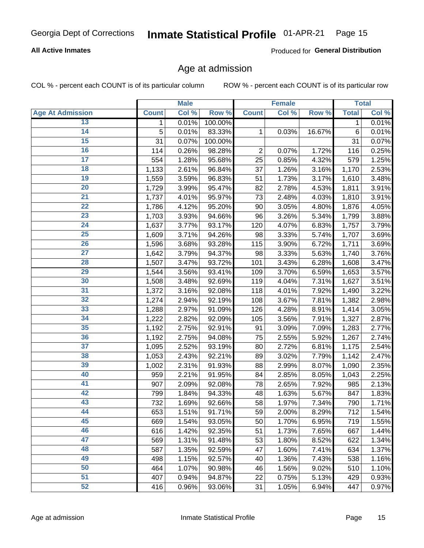#### **All Active Inmates**

Produced for General Distribution

### Age at admission

COL % - percent each COUNT is of its particular column

|                         |              | <b>Male</b> |         |                | <b>Female</b> |        |              | <b>Total</b> |
|-------------------------|--------------|-------------|---------|----------------|---------------|--------|--------------|--------------|
| <b>Age At Admission</b> | <b>Count</b> | Col %       | Row %   | <b>Count</b>   | Col %         | Row %  | <b>Total</b> | Col %        |
| 13                      | 1            | 0.01%       | 100.00% |                |               |        | 1            | 0.01%        |
| $\overline{14}$         | 5            | 0.01%       | 83.33%  | 1              | 0.03%         | 16.67% | 6            | 0.01%        |
| 15                      | 31           | 0.07%       | 100.00% |                |               |        | 31           | 0.07%        |
| 16                      | 114          | 0.26%       | 98.28%  | $\overline{2}$ | 0.07%         | 1.72%  | 116          | 0.25%        |
| $\overline{17}$         | 554          | 1.28%       | 95.68%  | 25             | 0.85%         | 4.32%  | 579          | 1.25%        |
| 18                      | 1,133        | 2.61%       | 96.84%  | 37             | 1.26%         | 3.16%  | 1,170        | 2.53%        |
| 19                      | 1,559        | 3.59%       | 96.83%  | 51             | 1.73%         | 3.17%  | 1,610        | 3.48%        |
| 20                      | 1,729        | 3.99%       | 95.47%  | 82             | 2.78%         | 4.53%  | 1,811        | 3.91%        |
| $\overline{21}$         | 1,737        | 4.01%       | 95.97%  | 73             | 2.48%         | 4.03%  | 1,810        | 3.91%        |
| $\overline{22}$         | 1,786        | 4.12%       | 95.20%  | 90             | 3.05%         | 4.80%  | 1,876        | 4.05%        |
| 23                      | 1,703        | 3.93%       | 94.66%  | 96             | 3.26%         | 5.34%  | 1,799        | 3.88%        |
| 24                      | 1,637        | 3.77%       | 93.17%  | 120            | 4.07%         | 6.83%  | 1,757        | 3.79%        |
| 25                      | 1,609        | 3.71%       | 94.26%  | 98             | 3.33%         | 5.74%  | 1,707        | 3.69%        |
| 26                      | 1,596        | 3.68%       | 93.28%  | 115            | 3.90%         | 6.72%  | 1,711        | 3.69%        |
| $\overline{27}$         | 1,642        | 3.79%       | 94.37%  | 98             | 3.33%         | 5.63%  | 1,740        | 3.76%        |
| 28                      | 1,507        | 3.47%       | 93.72%  | 101            | 3.43%         | 6.28%  | 1,608        | 3.47%        |
| 29                      | 1,544        | 3.56%       | 93.41%  | 109            | 3.70%         | 6.59%  | 1,653        | 3.57%        |
| 30                      | 1,508        | 3.48%       | 92.69%  | 119            | 4.04%         | 7.31%  | 1,627        | 3.51%        |
| 31                      | 1,372        | 3.16%       | 92.08%  | 118            | 4.01%         | 7.92%  | 1,490        | 3.22%        |
| 32                      | 1,274        | 2.94%       | 92.19%  | 108            | 3.67%         | 7.81%  | 1,382        | 2.98%        |
| 33                      | 1,288        | 2.97%       | 91.09%  | 126            | 4.28%         | 8.91%  | 1,414        | 3.05%        |
| 34                      | 1,222        | 2.82%       | 92.09%  | 105            | 3.56%         | 7.91%  | 1,327        | 2.87%        |
| 35                      | 1,192        | 2.75%       | 92.91%  | 91             | 3.09%         | 7.09%  | 1,283        | 2.77%        |
| 36                      | 1,192        | 2.75%       | 94.08%  | 75             | 2.55%         | 5.92%  | 1,267        | 2.74%        |
| 37                      | 1,095        | 2.52%       | 93.19%  | 80             | 2.72%         | 6.81%  | 1,175        | 2.54%        |
| 38                      | 1,053        | 2.43%       | 92.21%  | 89             | 3.02%         | 7.79%  | 1,142        | 2.47%        |
| 39                      | 1,002        | 2.31%       | 91.93%  | 88             | 2.99%         | 8.07%  | 1,090        | 2.35%        |
| 40                      | 959          | 2.21%       | 91.95%  | 84             | 2.85%         | 8.05%  | 1,043        | 2.25%        |
| 41                      | 907          | 2.09%       | 92.08%  | 78             | 2.65%         | 7.92%  | 985          | 2.13%        |
| 42                      | 799          | 1.84%       | 94.33%  | 48             | 1.63%         | 5.67%  | 847          | 1.83%        |
| 43                      | 732          | 1.69%       | 92.66%  | 58             | 1.97%         | 7.34%  | 790          | 1.71%        |
| 44                      | 653          | 1.51%       | 91.71%  | 59             | 2.00%         | 8.29%  | 712          | 1.54%        |
| 45                      | 669          | 1.54%       | 93.05%  | 50             | 1.70%         | 6.95%  | 719          | 1.55%        |
| 46                      | 616          | 1.42%       | 92.35%  | 51             | 1.73%         | 7.65%  | 667          | 1.44%        |
| 47                      | 569          | 1.31%       | 91.48%  | 53             | 1.80%         | 8.52%  | 622          | 1.34%        |
| 48                      | 587          | 1.35%       | 92.59%  | 47             | 1.60%         | 7.41%  | 634          | 1.37%        |
| 49                      | 498          | 1.15%       | 92.57%  | 40             | 1.36%         | 7.43%  | 538          | 1.16%        |
| 50                      | 464          | 1.07%       | 90.98%  | 46             | 1.56%         | 9.02%  | 510          | 1.10%        |
| 51                      | 407          | 0.94%       | 94.87%  | 22             | 0.75%         | 5.13%  | 429          | 0.93%        |
| 52                      | 416          | 0.96%       | 93.06%  | 31             | 1.05%         | 6.94%  | 447          | 0.97%        |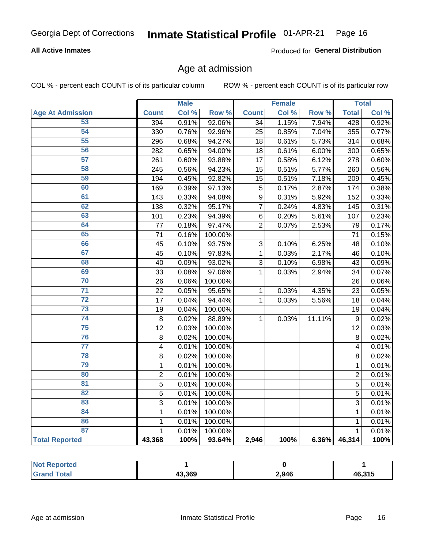#### **All Active Inmates**

Produced for General Distribution

### Age at admission

COL % - percent each COUNT is of its particular column

|                         |                         | <b>Male</b> |         |                 | <b>Female</b> |        |                | <b>Total</b> |
|-------------------------|-------------------------|-------------|---------|-----------------|---------------|--------|----------------|--------------|
| <b>Age At Admission</b> | <b>Count</b>            | Col %       | Row %   | <b>Count</b>    | Col %         | Row %  | <b>Total</b>   | Col %        |
| 53                      | 394                     | 0.91%       | 92.06%  | $\overline{34}$ | 1.15%         | 7.94%  | 428            | 0.92%        |
| 54                      | 330                     | 0.76%       | 92.96%  | 25              | 0.85%         | 7.04%  | 355            | 0.77%        |
| 55                      | 296                     | 0.68%       | 94.27%  | 18              | 0.61%         | 5.73%  | 314            | 0.68%        |
| 56                      | 282                     | 0.65%       | 94.00%  | 18              | 0.61%         | 6.00%  | 300            | 0.65%        |
| 57                      | 261                     | 0.60%       | 93.88%  | 17              | 0.58%         | 6.12%  | 278            | 0.60%        |
| 58                      | 245                     | 0.56%       | 94.23%  | 15              | 0.51%         | 5.77%  | 260            | 0.56%        |
| 59                      | 194                     | 0.45%       | 92.82%  | 15              | 0.51%         | 7.18%  | 209            | 0.45%        |
| 60                      | 169                     | 0.39%       | 97.13%  | 5               | 0.17%         | 2.87%  | 174            | 0.38%        |
| 61                      | 143                     | 0.33%       | 94.08%  | 9               | 0.31%         | 5.92%  | 152            | 0.33%        |
| 62                      | 138                     | 0.32%       | 95.17%  | $\overline{7}$  | 0.24%         | 4.83%  | 145            | 0.31%        |
| 63                      | 101                     | 0.23%       | 94.39%  | $\,6$           | 0.20%         | 5.61%  | 107            | 0.23%        |
| 64                      | 77                      | 0.18%       | 97.47%  | $\overline{2}$  | 0.07%         | 2.53%  | 79             | 0.17%        |
| 65                      | 71                      | 0.16%       | 100.00% |                 |               |        | 71             | 0.15%        |
| 66                      | 45                      | 0.10%       | 93.75%  | 3               | 0.10%         | 6.25%  | 48             | 0.10%        |
| 67                      | 45                      | 0.10%       | 97.83%  | 1               | 0.03%         | 2.17%  | 46             | 0.10%        |
| 68                      | 40                      | 0.09%       | 93.02%  | 3               | 0.10%         | 6.98%  | 43             | 0.09%        |
| 69                      | 33                      | 0.08%       | 97.06%  | $\mathbf{1}$    | 0.03%         | 2.94%  | 34             | 0.07%        |
| 70                      | 26                      | 0.06%       | 100.00% |                 |               |        | 26             | 0.06%        |
| $\overline{71}$         | 22                      | 0.05%       | 95.65%  | $\mathbf{1}$    | 0.03%         | 4.35%  | 23             | 0.05%        |
| $\overline{72}$         | 17                      | 0.04%       | 94.44%  | $\mathbf{1}$    | 0.03%         | 5.56%  | 18             | 0.04%        |
| $\overline{73}$         | 19                      | 0.04%       | 100.00% |                 |               |        | 19             | 0.04%        |
| $\overline{74}$         | 8                       | 0.02%       | 88.89%  | $\mathbf{1}$    | 0.03%         | 11.11% | 9              | 0.02%        |
| $\overline{75}$         | 12                      | 0.03%       | 100.00% |                 |               |        | 12             | 0.03%        |
| 76                      | 8                       | 0.02%       | 100.00% |                 |               |        | 8              | 0.02%        |
| $\overline{77}$         | $\overline{\mathbf{4}}$ | 0.01%       | 100.00% |                 |               |        | 4              | 0.01%        |
| 78                      | 8                       | 0.02%       | 100.00% |                 |               |        | 8              | 0.02%        |
| 79                      | $\mathbf 1$             | 0.01%       | 100.00% |                 |               |        | 1              | 0.01%        |
| 80                      | $\overline{2}$          | 0.01%       | 100.00% |                 |               |        | $\overline{2}$ | 0.01%        |
| $\overline{81}$         | 5                       | 0.01%       | 100.00% |                 |               |        | $\overline{5}$ | 0.01%        |
| 82                      | 5                       | 0.01%       | 100.00% |                 |               |        | 5              | 0.01%        |
| 83                      | 3                       | 0.01%       | 100.00% |                 |               |        | 3              | 0.01%        |
| 84                      | $\mathbf 1$             | 0.01%       | 100.00% |                 |               |        | $\mathbf{1}$   | 0.01%        |
| 86                      | $\mathbf{1}$            | 0.01%       | 100.00% |                 |               |        | $\mathbf{1}$   | 0.01%        |
| 87                      | $\mathbf{1}$            | 0.01%       | 100.00% |                 |               |        | $\mathbf{1}$   | 0.01%        |
| <b>Total Reported</b>   | 43,368                  | 100%        | 93.64%  | 2,946           | 100%          | 6.36%  | 46,314         | 100%         |

| <b>Not Reported</b> |                        |       |        |
|---------------------|------------------------|-------|--------|
| <b>Tota</b>         | 43.369<br>$\mathbf{r}$ | 2,946 | 46,315 |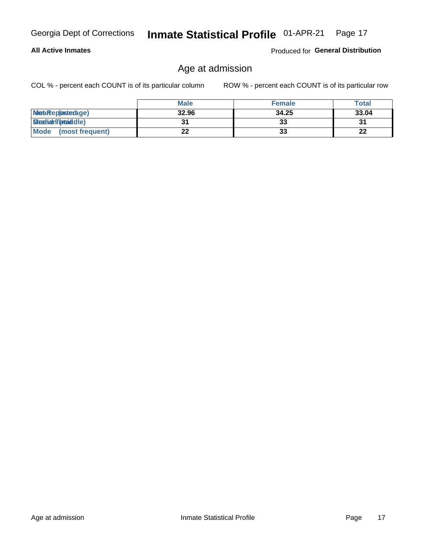#### **All Active Inmates**

Produced for General Distribution

### Age at admission

COL % - percent each COUNT is of its particular column

|                         | <b>Male</b> | <b>Female</b> | <b>Total</b> |
|-------------------------|-------------|---------------|--------------|
| MetaRep(anterage)       | 32.96       | 34.25         | 33.04        |
| <b>MeatianTotaddle)</b> |             | 33            | 31           |
| Mode<br>(most frequent) | 22          | 33            | 22           |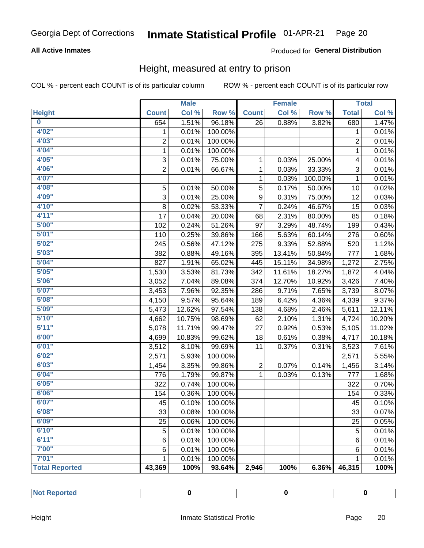#### **All Active Inmates**

#### Produced for General Distribution

### Height, measured at entry to prison

COL % - percent each COUNT is of its particular column

|                       |                | <b>Male</b> |         |                | <b>Female</b> |         |                | <b>Total</b> |
|-----------------------|----------------|-------------|---------|----------------|---------------|---------|----------------|--------------|
| <b>Height</b>         | <b>Count</b>   | Col %       | Row %   | <b>Count</b>   | Col %         | Row %   | <b>Total</b>   | Col %        |
| $\bf{0}$              | 654            | 1.51%       | 96.18%  | 26             | 0.88%         | 3.82%   | 680            | 1.47%        |
| 4'02''                | 1              | 0.01%       | 100.00% |                |               |         | 1              | 0.01%        |
| 4'03''                | $\overline{2}$ | 0.01%       | 100.00% |                |               |         | $\overline{2}$ | 0.01%        |
| 4'04"                 | $\mathbf 1$    | 0.01%       | 100.00% |                |               |         | $\mathbf 1$    | 0.01%        |
| 4'05"                 | 3              | 0.01%       | 75.00%  | 1              | 0.03%         | 25.00%  | 4              | 0.01%        |
| 4'06"                 | $\overline{2}$ | 0.01%       | 66.67%  | $\mathbf{1}$   | 0.03%         | 33.33%  | $\sqrt{3}$     | 0.01%        |
| 4'07"                 |                |             |         | $\mathbf{1}$   | 0.03%         | 100.00% | $\mathbf{1}$   | 0.01%        |
| 4'08"                 | 5              | 0.01%       | 50.00%  | 5              | 0.17%         | 50.00%  | 10             | 0.02%        |
| 4'09"                 | 3              | 0.01%       | 25.00%  | 9              | 0.31%         | 75.00%  | 12             | 0.03%        |
| 4'10"                 | 8              | 0.02%       | 53.33%  | $\overline{7}$ | 0.24%         | 46.67%  | 15             | 0.03%        |
| 4'11''                | 17             | 0.04%       | 20.00%  | 68             | 2.31%         | 80.00%  | 85             | 0.18%        |
| 5'00''                | 102            | 0.24%       | 51.26%  | 97             | 3.29%         | 48.74%  | 199            | 0.43%        |
| 5'01"                 | 110            | 0.25%       | 39.86%  | 166            | 5.63%         | 60.14%  | 276            | 0.60%        |
| 5'02"                 | 245            | 0.56%       | 47.12%  | 275            | 9.33%         | 52.88%  | 520            | 1.12%        |
| 5'03"                 | 382            | 0.88%       | 49.16%  | 395            | 13.41%        | 50.84%  | 777            | 1.68%        |
| 5'04"                 | 827            | 1.91%       | 65.02%  | 445            | 15.11%        | 34.98%  | 1,272          | 2.75%        |
| 5'05"                 | 1,530          | 3.53%       | 81.73%  | 342            | 11.61%        | 18.27%  | 1,872          | 4.04%        |
| 5'06''                | 3,052          | 7.04%       | 89.08%  | 374            | 12.70%        | 10.92%  | 3,426          | 7.40%        |
| 5'07"                 | 3,453          | 7.96%       | 92.35%  | 286            | 9.71%         | 7.65%   | 3,739          | 8.07%        |
| 5'08''                | 4,150          | 9.57%       | 95.64%  | 189            | 6.42%         | 4.36%   | 4,339          | 9.37%        |
| 5'09''                | 5,473          | 12.62%      | 97.54%  | 138            | 4.68%         | 2.46%   | 5,611          | 12.11%       |
| 5'10''                | 4,662          | 10.75%      | 98.69%  | 62             | 2.10%         | 1.31%   | 4,724          | 10.20%       |
| 5'11''                | 5,078          | 11.71%      | 99.47%  | 27             | 0.92%         | 0.53%   | 5,105          | 11.02%       |
| 6'00''                | 4,699          | 10.83%      | 99.62%  | 18             | 0.61%         | 0.38%   | 4,717          | 10.18%       |
| 6'01''                | 3,512          | 8.10%       | 99.69%  | 11             | 0.37%         | 0.31%   | 3,523          | 7.61%        |
| 6'02"                 | 2,571          | 5.93%       | 100.00% |                |               |         | 2,571          | 5.55%        |
| 6'03''                | 1,454          | 3.35%       | 99.86%  | $\overline{c}$ | 0.07%         | 0.14%   | 1,456          | 3.14%        |
| 6'04"                 | 776            | 1.79%       | 99.87%  | $\mathbf{1}$   | 0.03%         | 0.13%   | 777            | 1.68%        |
| 6'05"                 | 322            | 0.74%       | 100.00% |                |               |         | 322            | 0.70%        |
| 6'06''                | 154            | 0.36%       | 100.00% |                |               |         | 154            | 0.33%        |
| 6'07''                | 45             | 0.10%       | 100.00% |                |               |         | 45             | 0.10%        |
| 6'08"                 | 33             | 0.08%       | 100.00% |                |               |         | 33             | 0.07%        |
| 6'09''                | 25             | 0.06%       | 100.00% |                |               |         | 25             | 0.05%        |
| 6'10''                | 5              | 0.01%       | 100.00% |                |               |         | $\mathbf 5$    | 0.01%        |
| 6'11''                | 6              | 0.01%       | 100.00% |                |               |         | 6              | 0.01%        |
| 7'00"                 | 6              | 0.01%       | 100.00% |                |               |         | 6              | 0.01%        |
| 7'01''                | 1              | 0.01%       | 100.00% |                |               |         | 1              | 0.01%        |
| <b>Total Reported</b> | 43,369         | 100%        | 93.64%  | 2,946          | 100%          | 6.36%   | 46,315         | 100%         |

| . |  |  |
|---|--|--|
|   |  |  |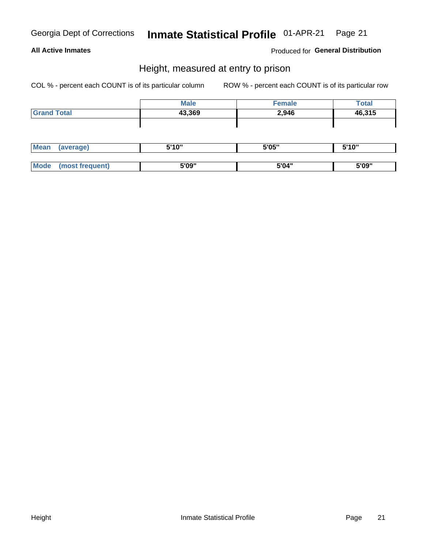#### **All Active Inmates**

Produced for General Distribution

### Height, measured at entry to prison

COL % - percent each COUNT is of its particular column

|                    | <b>Male</b> | <b>Female</b> | <b>Total</b> |
|--------------------|-------------|---------------|--------------|
| <b>Grand Total</b> | 43,369      | 2,946         | 46,315       |
|                    |             |               |              |
|                    |             |               |              |

| <b>Mean</b> | (average)       | 5'10" | 5'05" | 5'10" |
|-------------|-----------------|-------|-------|-------|
|             |                 |       |       |       |
| <b>Mode</b> | 'most frequent) | 5'09" | 5'04" | 5'09" |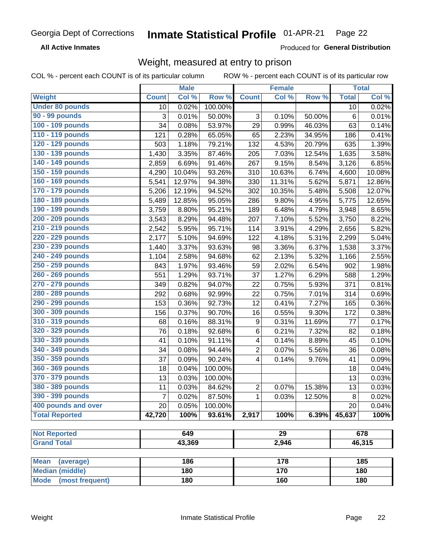**All Active Inmates** 

Produced for General Distribution

### Weight, measured at entry to prison

COL % - percent each COUNT is of its particular column

|                                |                | <b>Male</b> |         |                | <b>Female</b> |        |              | <b>Total</b> |
|--------------------------------|----------------|-------------|---------|----------------|---------------|--------|--------------|--------------|
| <b>Weight</b>                  | <b>Count</b>   | Col %       | Row %   | <b>Count</b>   | Col %         | Row %  | <b>Total</b> | Col %        |
| <b>Under 80 pounds</b>         | 10             | 0.02%       | 100.00% |                |               |        | 10           | 0.02%        |
| <b>90 - 99 pounds</b>          | 3              | 0.01%       | 50.00%  | 3              | 0.10%         | 50.00% | 6            | 0.01%        |
| 100 - 109 pounds               | 34             | 0.08%       | 53.97%  | 29             | 0.99%         | 46.03% | 63           | 0.14%        |
| 110 - 119 pounds               | 121            | 0.28%       | 65.05%  | 65             | 2.23%         | 34.95% | 186          | 0.41%        |
| 120 - 129 pounds               | 503            | 1.18%       | 79.21%  | 132            | 4.53%         | 20.79% | 635          | 1.39%        |
| 130 - 139 pounds               | 1,430          | 3.35%       | 87.46%  | 205            | 7.03%         | 12.54% | 1,635        | 3.58%        |
| 140 - 149 pounds               | 2,859          | 6.69%       | 91.46%  | 267            | 9.15%         | 8.54%  | 3,126        | 6.85%        |
| 150 - 159 pounds               | 4,290          | 10.04%      | 93.26%  | 310            | 10.63%        | 6.74%  | 4,600        | 10.08%       |
| 160 - 169 pounds               | 5,541          | 12.97%      | 94.38%  | 330            | 11.31%        | 5.62%  | 5,871        | 12.86%       |
| 170 - 179 pounds               | 5,206          | 12.19%      | 94.52%  | 302            | 10.35%        | 5.48%  | 5,508        | 12.07%       |
| 180 - 189 pounds               | 5,489          | 12.85%      | 95.05%  | 286            | 9.80%         | 4.95%  | 5,775        | 12.65%       |
| 190 - 199 pounds               | 3,759          | 8.80%       | 95.21%  | 189            | 6.48%         | 4.79%  | 3,948        | 8.65%        |
| 200 - 209 pounds               | 3,543          | 8.29%       | 94.48%  | 207            | 7.10%         | 5.52%  | 3,750        | 8.22%        |
| 210 - 219 pounds               | 2,542          | 5.95%       | 95.71%  | 114            | 3.91%         | 4.29%  | 2,656        | 5.82%        |
| 220 - 229 pounds               | 2,177          | 5.10%       | 94.69%  | 122            | 4.18%         | 5.31%  | 2,299        | 5.04%        |
| 230 - 239 pounds               | 1,440          | 3.37%       | 93.63%  | 98             | 3.36%         | 6.37%  | 1,538        | 3.37%        |
| 240 - 249 pounds               | 1,104          | 2.58%       | 94.68%  | 62             | 2.13%         | 5.32%  | 1,166        | 2.55%        |
| 250 - 259 pounds               | 843            | 1.97%       | 93.46%  | 59             | 2.02%         | 6.54%  | 902          | 1.98%        |
| 260 - 269 pounds               | 551            | 1.29%       | 93.71%  | 37             | 1.27%         | 6.29%  | 588          | 1.29%        |
| 270 - 279 pounds               | 349            | 0.82%       | 94.07%  | 22             | 0.75%         | 5.93%  | 371          | 0.81%        |
| 280 - 289 pounds               | 292            | 0.68%       | 92.99%  | 22             | 0.75%         | 7.01%  | 314          | 0.69%        |
| 290 - 299 pounds               | 153            | 0.36%       | 92.73%  | 12             | 0.41%         | 7.27%  | 165          | 0.36%        |
| 300 - 309 pounds               | 156            | 0.37%       | 90.70%  | 16             | 0.55%         | 9.30%  | 172          | 0.38%        |
| 310 - 319 pounds               | 68             | 0.16%       | 88.31%  | 9              | 0.31%         | 11.69% | 77           | 0.17%        |
| 320 - 329 pounds               | 76             | 0.18%       | 92.68%  | 6              | 0.21%         | 7.32%  | 82           | 0.18%        |
| 330 - 339 pounds               | 41             | 0.10%       | 91.11%  | 4              | 0.14%         | 8.89%  | 45           | 0.10%        |
| 340 - 349 pounds               | 34             | 0.08%       | 94.44%  | $\overline{c}$ | 0.07%         | 5.56%  | 36           | 0.08%        |
| 350 - 359 pounds               | 37             | 0.09%       | 90.24%  | 4              | 0.14%         | 9.76%  | 41           | 0.09%        |
| 360 - 369 pounds               | 18             | 0.04%       | 100.00% |                |               |        | 18           | 0.04%        |
| 370 - 379 pounds               | 13             | 0.03%       | 100.00% |                |               |        | 13           | 0.03%        |
| 380 - 389 pounds               | 11             | 0.03%       | 84.62%  | $\overline{2}$ | 0.07%         | 15.38% | 13           | 0.03%        |
| 390 - 399 pounds               | $\overline{7}$ | 0.02%       | 87.50%  | $\mathbf{1}$   | 0.03%         | 12.50% | 8            | 0.02%        |
| 400 pounds and over            | 20             | 0.05%       | 100.00% |                |               |        | 20           | 0.04%        |
| <b>Total Reported</b>          | 42,720         | 100%        | 93.61%  | 2,917          | 100%          | 6.39%  | 45,637       | 100%         |
|                                |                |             |         |                |               |        |              |              |
| <b>Not Reported</b>            |                | 649         |         |                | 29            |        |              | 678          |
| <b>Grand Total</b>             |                | 43,369      |         |                | 2,946         |        |              | 46,315       |
| <b>Mean</b><br>(average)       |                | 186         |         |                | 178           |        |              | 185          |
| <b>Median (middle)</b>         |                | 180         |         |                | 170           |        |              | 180          |
| <b>Mode</b><br>(most frequent) |                | 180         |         |                | 160           |        |              | 180          |
|                                |                |             |         |                |               |        |              |              |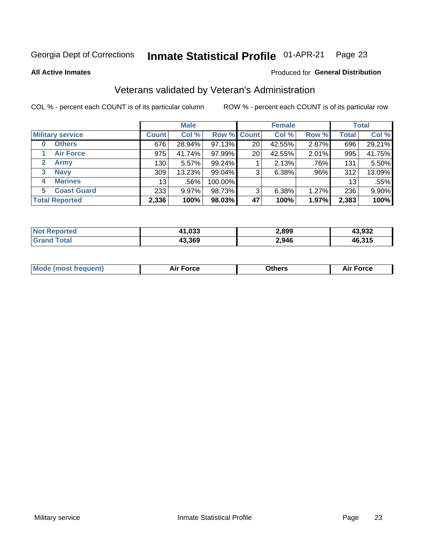#### Inmate Statistical Profile 01-APR-21 Page 23

**All Active Inmates** 

#### Produced for General Distribution

### Veterans validated by Veteran's Administration

COL % - percent each COUNT is of its particular column

|                             |                 | <b>Male</b> |             |    | <b>Female</b> |       |              | <b>Total</b> |
|-----------------------------|-----------------|-------------|-------------|----|---------------|-------|--------------|--------------|
| <b>Military service</b>     | <b>Count</b>    | Col %       | Row % Count |    | Col %         | Row % | <b>Total</b> | Col %        |
| <b>Others</b><br>0          | 676             | 28.94%      | 97.13%      | 20 | 42.55%        | 2.87% | 696          | 29.21%       |
| <b>Air Force</b>            | 975             | 41.74%      | 97.99%      | 20 | 42.55%        | 2.01% | 995          | 41.75%       |
| <b>Army</b><br>$\mathbf{2}$ | 130             | 5.57%       | 99.24%      |    | 2.13%         | .76%  | 131          | 5.50%        |
| <b>Navy</b><br>3            | 309             | 13.23%      | $99.04\%$   | 3  | 6.38%         | .96%  | 312          | 13.09%       |
| <b>Marines</b><br>4         | 13 <sub>1</sub> | .56%        | 100.00%     |    |               |       | 13           | .55%         |
| <b>Coast Guard</b><br>5.    | 233             | 9.97%       | 98.73%      | 3  | 6.38%         | 1.27% | 236          | 9.90%        |
| <b>Total Reported</b>       | 2,336           | 100%        | 98.03%      | 47 | 100%          | 1.97% | 2,383        | 100%         |

| orted<br><b>NOT</b> | 41,033 | 2,899 | 13,932 |
|---------------------|--------|-------|--------|
| <b>ota</b>          | 43,369 | 2,946 | 46,315 |

|  |  | <b>Mode (most frequent)</b> | <b>Force</b><br>Aır | วthers | orce |
|--|--|-----------------------------|---------------------|--------|------|
|--|--|-----------------------------|---------------------|--------|------|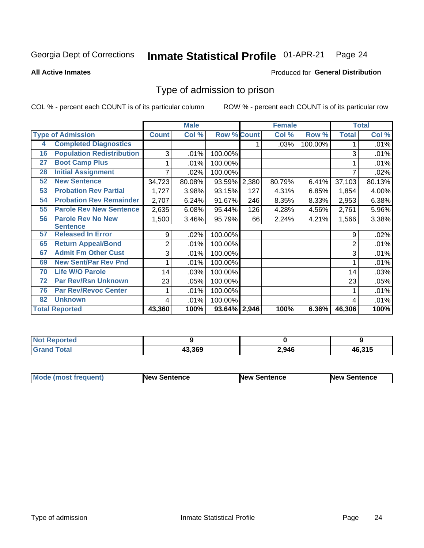#### Inmate Statistical Profile 01-APR-21 Page 24

**All Active Inmates** 

#### **Produced for General Distribution**

### Type of admission to prison

COL % - percent each COUNT is of its particular column

|    |                                  |              | <b>Male</b> |                    |     | <b>Female</b> |          |              | <b>Total</b> |
|----|----------------------------------|--------------|-------------|--------------------|-----|---------------|----------|--------------|--------------|
|    | <b>Type of Admission</b>         | <b>Count</b> | Col %       | <b>Row % Count</b> |     | Col %         | Row %    | <b>Total</b> | Col %        |
| 4  | <b>Completed Diagnostics</b>     |              |             |                    |     | .03%          | 100.00%  |              | .01%         |
| 16 | <b>Population Redistribution</b> | 3            | .01%        | 100.00%            |     |               |          | 3            | .01%         |
| 27 | <b>Boot Camp Plus</b>            |              | .01%        | 100.00%            |     |               |          |              | .01%         |
| 28 | <b>Initial Assignment</b>        |              | .02%        | 100.00%            |     |               |          | 7            | .02%         |
| 52 | <b>New Sentence</b>              | 34,723       | 80.08%      | 93.59% 2,380       |     | 80.79%        | 6.41%    | 37,103       | 80.13%       |
| 53 | <b>Probation Rev Partial</b>     | 1,727        | 3.98%       | 93.15%             | 127 | 4.31%         | 6.85%    | 1,854        | 4.00%        |
| 54 | <b>Probation Rev Remainder</b>   | 2,707        | 6.24%       | 91.67%             | 246 | 8.35%         | 8.33%    | 2,953        | 6.38%        |
| 55 | <b>Parole Rev New Sentence</b>   | 2,635        | 6.08%       | 95.44%             | 126 | 4.28%         | 4.56%    | 2,761        | 5.96%        |
| 56 | <b>Parole Rev No New</b>         | 1,500        | 3.46%       | 95.79%             | 66  | 2.24%         | 4.21%    | 1,566        | 3.38%        |
|    | <b>Sentence</b>                  |              |             |                    |     |               |          |              |              |
| 57 | <b>Released In Error</b>         | 9            | .02%        | 100.00%            |     |               |          | 9            | .02%         |
| 65 | <b>Return Appeal/Bond</b>        | 2            | .01%        | 100.00%            |     |               |          | 2            | .01%         |
| 67 | <b>Admit Fm Other Cust</b>       | 3            | .01%        | 100.00%            |     |               |          | 3            | .01%         |
| 69 | <b>New Sent/Par Rev Pnd</b>      |              | .01%        | 100.00%            |     |               |          |              | .01%         |
| 70 | <b>Life W/O Parole</b>           | 14           | .03%        | 100.00%            |     |               |          | 14           | .03%         |
| 72 | <b>Par Rev/Rsn Unknown</b>       | 23           | .05%        | 100.00%            |     |               |          | 23           | .05%         |
| 76 | <b>Par Rev/Revoc Center</b>      |              | .01%        | 100.00%            |     |               |          |              | .01%         |
| 82 | <b>Unknown</b>                   | 4            | .01%        | 100.00%            |     |               |          | 4            | .01%         |
|    | <b>Total Reported</b>            | 43,360       | 100%        | 93.64% 2,946       |     | 100%          | $6.36\%$ | 46,306       | 100%         |

| <b>Not</b><br>orted |        |       |        |
|---------------------|--------|-------|--------|
| 'otal               | 43.369 | 2,946 | 46,315 |

| <b>Mode (most frequent)</b> | New Sentence | <b>New Sentence</b> | <b>New Sentence</b> |
|-----------------------------|--------------|---------------------|---------------------|
|                             |              |                     |                     |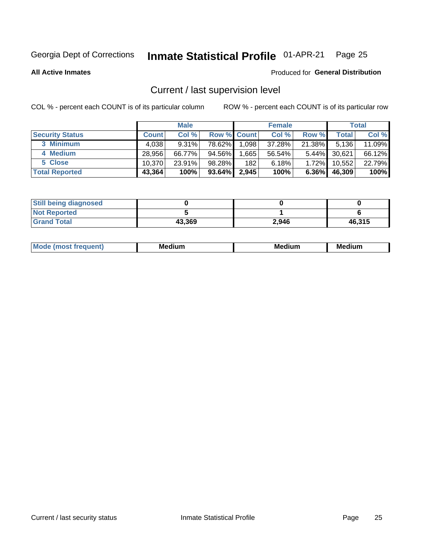## Inmate Statistical Profile 01-APR-21 Page 25

**All Active Inmates** 

#### Produced for General Distribution

### Current / last supervision level

COL % - percent each COUNT is of its particular column

|                        |              | <b>Male</b> |                    |       | <b>Female</b> |          |        | <b>Total</b> |
|------------------------|--------------|-------------|--------------------|-------|---------------|----------|--------|--------------|
| <b>Security Status</b> | <b>Count</b> | Col %       | <b>Row % Count</b> |       | Col %         | Row %    | Total  | Col %        |
| 3 Minimum              | 4,038        | $9.31\%$    | 78.62%             | 1,098 | 37.28%        | 21.38%   | 5,136  | 11.09%       |
| 4 Medium               | 28,956       | 66.77%      | 94.56%             | .665  | 56.54%        | $5.44\%$ | 30,621 | 66.12%       |
| 5 Close                | 10.370       | 23.91%      | 98.28%             | 182   | 6.18%         | 1.72%    | 10,552 | 22.79%       |
| <b>Total Reported</b>  | 43,364       | 100%        | 93.64%             | 2,945 | 100%          | $6.36\%$ | 46,309 | 100%         |

| <b>Still being diagnosed</b> |        |       |        |
|------------------------------|--------|-------|--------|
| <b>Not Reported</b>          |        |       |        |
| <b>Grand Total</b>           | 43,369 | 2,946 | 46,315 |

| M | м | M | - - - -<br>м |
|---|---|---|--------------|
|   |   |   |              |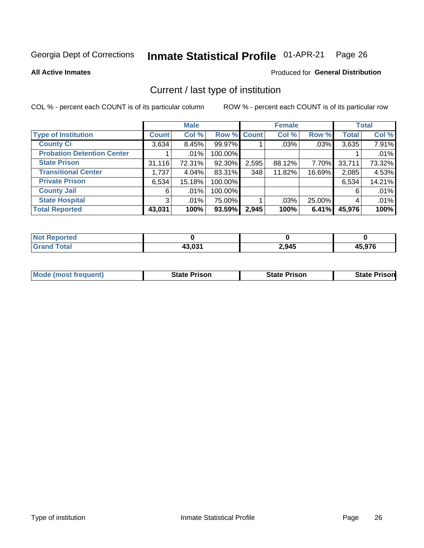#### Inmate Statistical Profile 01-APR-21 Page 26

**All Active Inmates** 

### **Produced for General Distribution**

### Current / last type of institution

COL % - percent each COUNT is of its particular column

|                                   |                | <b>Male</b> |             |       | <b>Female</b> |        |              | <b>Total</b> |
|-----------------------------------|----------------|-------------|-------------|-------|---------------|--------|--------------|--------------|
| <b>Type of Institution</b>        | <b>Count</b>   | Col %       | Row % Count |       | Col %         | Row %  | <b>Total</b> | Col %        |
| <b>County Ci</b>                  | 3,634          | 8.45%       | 99.97%      |       | $.03\%$       | .03%   | 3,635        | 7.91%        |
| <b>Probation Detention Center</b> |                | $.01\%$     | 100.00%     |       |               |        |              | .01%         |
| <b>State Prison</b>               | 31,116         | 72.31%      | 92.30%      | 2,595 | 88.12%        | 7.70%  | 33,711       | 73.32%       |
| <b>Transitional Center</b>        | 1,737          | 4.04%       | 83.31%      | 348   | 11.82%        | 16.69% | 2,085        | 4.53%        |
| <b>Private Prison</b>             | 6,534          | 15.18%      | 100.00%     |       |               |        | 6,534        | 14.21%       |
| <b>County Jail</b>                | 6              | $.01\%$     | 100.00%     |       |               |        | 6            | .01%         |
| <b>State Hospital</b>             | 3 <sup>1</sup> | $.01\%$     | 75.00%      |       | .03%          | 25.00% | 4            | .01%         |
| <b>Total Reported</b>             | 43,031         | 100%        | 93.59%      | 2,945 | 100%          | 6.41%  | 45,976       | 100%         |

| ported<br>NOT |        |       |                        |
|---------------|--------|-------|------------------------|
| <b>otal</b>   | 43.031 | 2,945 | <b>E 076</b><br>ט וכ.ו |

| <b>Mode (most frequent)</b> | State Prison | <b>State Prison</b> | <b>State Prison</b> |
|-----------------------------|--------------|---------------------|---------------------|
|                             |              |                     |                     |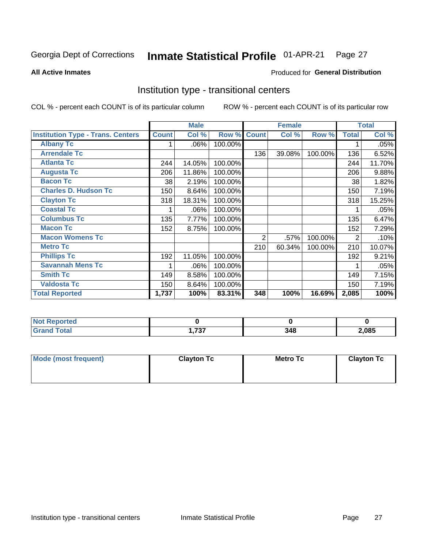#### Inmate Statistical Profile 01-APR-21 Page 27

Produced for General Distribution

#### **All Active Inmates**

### Institution type - transitional centers

COL % - percent each COUNT is of its particular column

|                                          |              | <b>Male</b> |         |              | <b>Female</b> |         |                | <b>Total</b> |
|------------------------------------------|--------------|-------------|---------|--------------|---------------|---------|----------------|--------------|
| <b>Institution Type - Trans. Centers</b> | <b>Count</b> | Col %       | Row %   | <b>Count</b> | Col %         | Row %   | <b>Total</b>   | Col %        |
| <b>Albany Tc</b>                         | 1            | .06%        | 100.00% |              |               |         |                | .05%         |
| <b>Arrendale Tc</b>                      |              |             |         | 136          | 39.08%        | 100.00% | 136            | 6.52%        |
| <b>Atlanta Tc</b>                        | 244          | 14.05%      | 100.00% |              |               |         | 244            | 11.70%       |
| <b>Augusta Tc</b>                        | 206          | 11.86%      | 100.00% |              |               |         | 206            | 9.88%        |
| <b>Bacon Tc</b>                          | 38           | 2.19%       | 100.00% |              |               |         | 38             | 1.82%        |
| <b>Charles D. Hudson Tc</b>              | 150          | 8.64%       | 100.00% |              |               |         | 150            | 7.19%        |
| <b>Clayton Tc</b>                        | 318          | 18.31%      | 100.00% |              |               |         | 318            | 15.25%       |
| <b>Coastal Tc</b>                        |              | .06%        | 100.00% |              |               |         |                | .05%         |
| <b>Columbus Tc</b>                       | 135          | 7.77%       | 100.00% |              |               |         | 135            | 6.47%        |
| <b>Macon Tc</b>                          | 152          | 8.75%       | 100.00% |              |               |         | 152            | 7.29%        |
| <b>Macon Womens Tc</b>                   |              |             |         | 2            | .57%          | 100.00% | $\overline{2}$ | .10%         |
| <b>Metro Tc</b>                          |              |             |         | 210          | 60.34%        | 100.00% | 210            | 10.07%       |
| <b>Phillips Tc</b>                       | 192          | 11.05%      | 100.00% |              |               |         | 192            | 9.21%        |
| <b>Savannah Mens Tc</b>                  |              | $.06\%$     | 100.00% |              |               |         |                | .05%         |
| <b>Smith Tc</b>                          | 149          | 8.58%       | 100.00% |              |               |         | 149            | 7.15%        |
| <b>Valdosta Tc</b>                       | 150          | 8.64%       | 100.00% |              |               |         | 150            | 7.19%        |
| <b>Total Reported</b>                    | 1,737        | 100%        | 83.31%  | 348          | 100%          | 16.69%  | 2,085          | 100%         |

| <b>Reported</b>   |            |     |       |
|-------------------|------------|-----|-------|
| <sup>-</sup> otal | $-70$<br>. | 348 | 2,085 |

| Mode (most frequent) | <b>Clayton Tc</b> | Metro Tc | <b>Clayton Tc</b> |
|----------------------|-------------------|----------|-------------------|
|                      |                   |          |                   |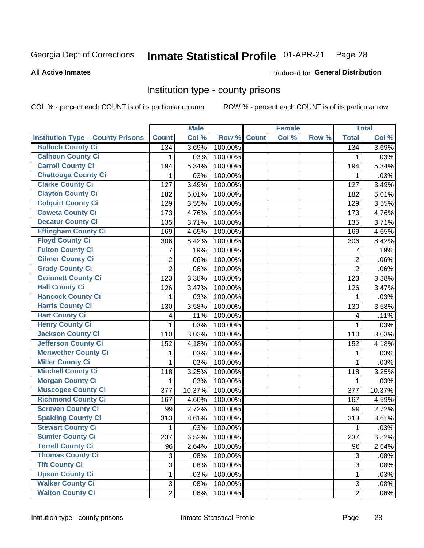## Inmate Statistical Profile 01-APR-21 Page 28

#### **All Active Inmates**

#### Produced for General Distribution

#### Institution type - county prisons

COL % - percent each COUNT is of its particular column

|                                          |                   | <b>Male</b> |         |              | <b>Female</b> |       |                  | <b>Total</b> |
|------------------------------------------|-------------------|-------------|---------|--------------|---------------|-------|------------------|--------------|
| <b>Institution Type - County Prisons</b> | <b>Count</b>      | Col %       | Row %   | <b>Count</b> | Col %         | Row % | <b>Total</b>     | Col %        |
| <b>Bulloch County Ci</b>                 | 134               | 3.69%       | 100.00% |              |               |       | $\overline{134}$ | 3.69%        |
| <b>Calhoun County Ci</b>                 | 1                 | .03%        | 100.00% |              |               |       | 1                | .03%         |
| <b>Carroll County Ci</b>                 | 194               | 5.34%       | 100.00% |              |               |       | 194              | 5.34%        |
| <b>Chattooga County Ci</b>               | 1                 | .03%        | 100.00% |              |               |       | 1                | .03%         |
| <b>Clarke County Ci</b>                  | 127               | 3.49%       | 100.00% |              |               |       | 127              | 3.49%        |
| <b>Clayton County Ci</b>                 | 182               | 5.01%       | 100.00% |              |               |       | 182              | 5.01%        |
| <b>Colquitt County Ci</b>                | 129               | 3.55%       | 100.00% |              |               |       | 129              | 3.55%        |
| <b>Coweta County Ci</b>                  | 173               | 4.76%       | 100.00% |              |               |       | 173              | 4.76%        |
| <b>Decatur County Ci</b>                 | 135               | 3.71%       | 100.00% |              |               |       | 135              | 3.71%        |
| <b>Effingham County Ci</b>               | 169               | 4.65%       | 100.00% |              |               |       | 169              | 4.65%        |
| <b>Floyd County Ci</b>                   | 306               | 8.42%       | 100.00% |              |               |       | 306              | 8.42%        |
| <b>Fulton County Ci</b>                  | 7                 | .19%        | 100.00% |              |               |       | 7                | .19%         |
| <b>Gilmer County Ci</b>                  | $\overline{2}$    | .06%        | 100.00% |              |               |       | $\overline{2}$   | .06%         |
| <b>Grady County Ci</b>                   | $\overline{2}$    | .06%        | 100.00% |              |               |       | $\overline{2}$   | .06%         |
| <b>Gwinnett County Ci</b>                | 123               | 3.38%       | 100.00% |              |               |       | 123              | 3.38%        |
| <b>Hall County Ci</b>                    | 126               | 3.47%       | 100.00% |              |               |       | 126              | 3.47%        |
| <b>Hancock County Ci</b>                 | 1                 | .03%        | 100.00% |              |               |       | 1                | .03%         |
| <b>Harris County Ci</b>                  | 130               | 3.58%       | 100.00% |              |               |       | 130              | 3.58%        |
| <b>Hart County Ci</b>                    | 4                 | .11%        | 100.00% |              |               |       | 4                | .11%         |
| <b>Henry County Ci</b>                   | 1                 | .03%        | 100.00% |              |               |       | 1                | .03%         |
| <b>Jackson County Ci</b>                 | 110               | 3.03%       | 100.00% |              |               |       | 110              | 3.03%        |
| Jefferson County Ci                      | 152               | 4.18%       | 100.00% |              |               |       | 152              | 4.18%        |
| <b>Meriwether County Ci</b>              | 1                 | .03%        | 100.00% |              |               |       | 1                | .03%         |
| <b>Miller County Ci</b>                  | 1                 | .03%        | 100.00% |              |               |       | 1                | .03%         |
| <b>Mitchell County Ci</b>                | 118               | 3.25%       | 100.00% |              |               |       | 118              | 3.25%        |
| <b>Morgan County Ci</b>                  | 1                 | .03%        | 100.00% |              |               |       | 1                | .03%         |
| <b>Muscogee County Ci</b>                | 377               | 10.37%      | 100.00% |              |               |       | 377              | 10.37%       |
| <b>Richmond County Ci</b>                | 167               | 4.60%       | 100.00% |              |               |       | 167              | 4.59%        |
| <b>Screven County Ci</b>                 | 99                | 2.72%       | 100.00% |              |               |       | 99               | 2.72%        |
| <b>Spalding County Ci</b>                | $\overline{3}$ 13 | 8.61%       | 100.00% |              |               |       | 313              | 8.61%        |
| <b>Stewart County Ci</b>                 | 1                 | .03%        | 100.00% |              |               |       | 1                | .03%         |
| <b>Sumter County Ci</b>                  | 237               | 6.52%       | 100.00% |              |               |       | 237              | 6.52%        |
| <b>Terrell County Ci</b>                 | 96                | 2.64%       | 100.00% |              |               |       | 96               | 2.64%        |
| <b>Thomas County Ci</b>                  | $\sqrt{3}$        | .08%        | 100.00% |              |               |       | 3                | .08%         |
| <b>Tift County Ci</b>                    | $\overline{3}$    | .08%        | 100.00% |              |               |       | 3                | .08%         |
| <b>Upson County Ci</b>                   | 1                 | .03%        | 100.00% |              |               |       | 1                | .03%         |
| <b>Walker County Ci</b>                  | $\mathfrak{S}$    | .08%        | 100.00% |              |               |       | 3                | .08%         |
| <b>Walton County Ci</b>                  | $\overline{2}$    | .06%        | 100.00% |              |               |       | $\overline{2}$   | .06%         |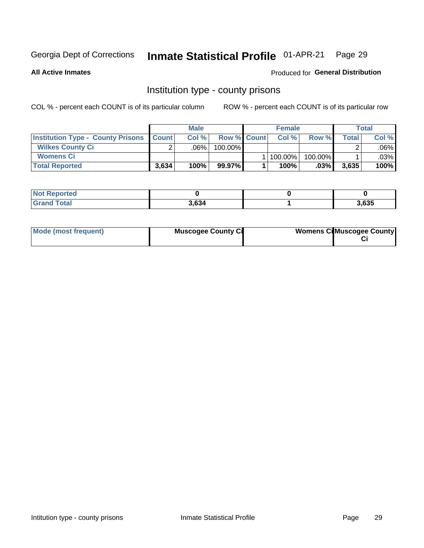#### Inmate Statistical Profile 01-APR-21 Page 29

**All Active Inmates** 

Produced for General Distribution

### Institution type - county prisons

COL % - percent each COUNT is of its particular column

|                                                    | <b>Male</b> |         |                    | <b>Female</b> |         | <b>Total</b> |         |
|----------------------------------------------------|-------------|---------|--------------------|---------------|---------|--------------|---------|
| <b>Institution Type - County Prisons   Count  </b> |             | Col%    | <b>Row % Count</b> | Col%          | Row %   | Total        | Col %   |
| <b>Wilkes County Ci</b>                            | $\sim$      | $.06\%$ | 100.00%            |               |         |              | $.06\%$ |
| <b>Womens Ci</b>                                   |             |         |                    | 100.00%       | 100.00% |              | .03%    |
| <b>Total Reported</b>                              | 3,634       | 100%    | 99.97%             | 100%          | $.03\%$ | 3,635        | 100%    |

| <b>Not Reported</b> |       |       |
|---------------------|-------|-------|
| <b>Total</b>        | 3,634 | 3,635 |

| Mode (most frequent) | <b>Muscogee County Ci</b> | <b>Womens Cil Muscogee County</b> |  |
|----------------------|---------------------------|-----------------------------------|--|
|----------------------|---------------------------|-----------------------------------|--|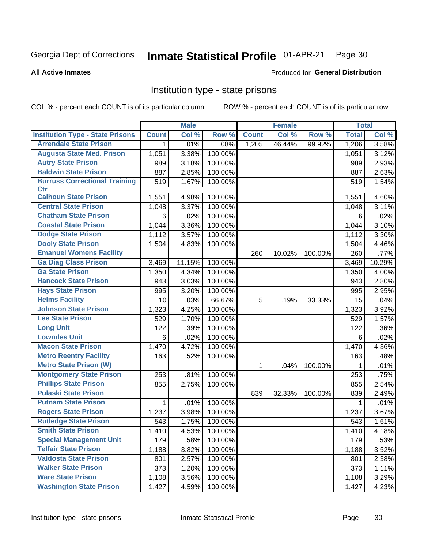#### Inmate Statistical Profile 01-APR-21 Page 30

#### **All Active Inmates**

#### **Produced for General Distribution**

#### Institution type - state prisons

COL % - percent each COUNT is of its particular column

|                                         |              | <b>Male</b>         |         |              | <b>Female</b> |         | <b>Total</b> |        |
|-----------------------------------------|--------------|---------------------|---------|--------------|---------------|---------|--------------|--------|
| <b>Institution Type - State Prisons</b> | <b>Count</b> | Col %               | Row %   | <b>Count</b> | Col %         | Row %   | <b>Total</b> | Col %  |
| <b>Arrendale State Prison</b>           | $\mathbf{1}$ | .01%                | .08%    | 1,205        | 46.44%        | 99.92%  | 1,206        | 3.58%  |
| <b>Augusta State Med. Prison</b>        | 1,051        | 3.38%               | 100.00% |              |               |         | 1,051        | 3.12%  |
| <b>Autry State Prison</b>               | 989          | 3.18%               | 100.00% |              |               |         | 989          | 2.93%  |
| <b>Baldwin State Prison</b>             | 887          | 2.85%               | 100.00% |              |               |         | 887          | 2.63%  |
| <b>Burruss Correctional Training</b>    | 519          | 1.67%               | 100.00% |              |               |         | 519          | 1.54%  |
| <b>Ctr</b>                              |              |                     |         |              |               |         |              |        |
| <b>Calhoun State Prison</b>             | 1,551        | 4.98%               | 100.00% |              |               |         | 1,551        | 4.60%  |
| <b>Central State Prison</b>             | 1,048        | 3.37%               | 100.00% |              |               |         | 1,048        | 3.11%  |
| <b>Chatham State Prison</b>             | 6            | .02%                | 100.00% |              |               |         | 6            | .02%   |
| <b>Coastal State Prison</b>             | 1,044        | 3.36%               | 100.00% |              |               |         | 1,044        | 3.10%  |
| <b>Dodge State Prison</b>               | 1,112        | 3.57%               | 100.00% |              |               |         | 1,112        | 3.30%  |
| <b>Dooly State Prison</b>               | 1,504        | 4.83%               | 100.00% |              |               |         | 1,504        | 4.46%  |
| <b>Emanuel Womens Facility</b>          |              |                     |         | 260          | 10.02%        | 100.00% | 260          | .77%   |
| <b>Ga Diag Class Prison</b>             | 3,469        | 11.15%              | 100.00% |              |               |         | 3,469        | 10.29% |
| <b>Ga State Prison</b>                  | 1,350        | 4.34%               | 100.00% |              |               |         | 1,350        | 4.00%  |
| <b>Hancock State Prison</b>             | 943          | 3.03%               | 100.00% |              |               |         | 943          | 2.80%  |
| <b>Hays State Prison</b>                | 995          | 3.20%               | 100.00% |              |               |         | 995          | 2.95%  |
| <b>Helms Facility</b>                   | 10           | .03%                | 66.67%  | 5            | .19%          | 33.33%  | 15           | .04%   |
| <b>Johnson State Prison</b>             | 1,323        | 4.25%               | 100.00% |              |               |         | 1,323        | 3.92%  |
| <b>Lee State Prison</b>                 | 529          | 1.70%               | 100.00% |              |               |         | 529          | 1.57%  |
| <b>Long Unit</b>                        | 122          | .39%                | 100.00% |              |               |         | 122          | .36%   |
| <b>Lowndes Unit</b>                     | 6            | .02%                | 100.00% |              |               |         | 6            | .02%   |
| <b>Macon State Prison</b>               | 1,470        | 4.72%               | 100.00% |              |               |         | 1,470        | 4.36%  |
| <b>Metro Reentry Facility</b>           | 163          | .52%                | 100.00% |              |               |         | 163          | .48%   |
| <b>Metro State Prison (W)</b>           |              |                     |         | 1            | .04%          | 100.00% | 1            | .01%   |
| <b>Montgomery State Prison</b>          | 253          | .81%                | 100.00% |              |               |         | 253          | .75%   |
| <b>Phillips State Prison</b>            | 855          | 2.75%               | 100.00% |              |               |         | 855          | 2.54%  |
| <b>Pulaski State Prison</b>             |              |                     |         | 839          | 32.33%        | 100.00% | 839          | 2.49%  |
| <b>Putnam State Prison</b>              | 1            | .01%                | 100.00% |              |               |         | 1            | .01%   |
| <b>Rogers State Prison</b>              | 1,237        | 3.98%               | 100.00% |              |               |         | 1,237        | 3.67%  |
| <b>Rutledge State Prison</b>            | 543          | 1.75%               | 100.00% |              |               |         | 543          | 1.61%  |
| <b>Smith State Prison</b>               | 1,410        | $4.53\%$            | 100.00% |              |               |         | 1,410        | 4.18%  |
| <b>Special Management Unit</b>          | 179          | .58%                | 100.00% |              |               |         | 179          | .53%   |
| <b>Telfair State Prison</b>             | 1,188        | 3.82%               | 100.00% |              |               |         | 1,188        | 3.52%  |
| <b>Valdosta State Prison</b>            | 801          | 2.57%               | 100.00% |              |               |         | 801          | 2.38%  |
| <b>Walker State Prison</b>              | 373          | $\overline{1.20\%}$ | 100.00% |              |               |         | 373          | 1.11%  |
| <b>Ware State Prison</b>                | 1,108        | 3.56%               | 100.00% |              |               |         | 1,108        | 3.29%  |
| <b>Washington State Prison</b>          | 1,427        | 4.59%               | 100.00% |              |               |         | 1,427        | 4.23%  |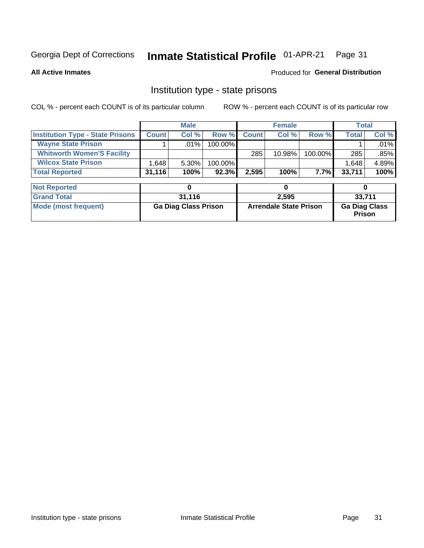#### Inmate Statistical Profile 01-APR-21 Page 31

**All Active Inmates** 

#### **Produced for General Distribution**

### Institution type - state prisons

COL % - percent each COUNT is of its particular column

|                                         |              | <b>Male</b> |            |              | <b>Female</b> |         | Total  |         |
|-----------------------------------------|--------------|-------------|------------|--------------|---------------|---------|--------|---------|
| <b>Institution Type - State Prisons</b> | <b>Count</b> | Col %       | Row %      | <b>Count</b> | Col %         | Row %   | Total  | Col %   |
| <b>Wayne State Prison</b>               |              | $.01\%$     | $100.00\%$ |              |               |         |        | $.01\%$ |
| <b>Whitworth Women'S Facility</b>       |              |             |            | 285          | $10.98\%$     | 100.00% | 285    | $.85\%$ |
| <b>Wilcox State Prison</b>              | .648         | $5.30\%$    | 100.00%    |              |               |         | 1,648  | 4.89%   |
| <b>Total Reported</b>                   | 31,116       | 100%        | $92.3\%$   | 2,595        | 100%          | $7.7\%$ | 33,711 | 100%    |

| <b>Not Reported</b>  |                             |                               |                                       |
|----------------------|-----------------------------|-------------------------------|---------------------------------------|
| <b>Grand Total</b>   | 31.116                      | 2.595                         | 33,711                                |
| Mode (most frequent) | <b>Ga Diag Class Prison</b> | <b>Arrendale State Prison</b> | <b>Ga Diag Class</b><br><b>Prison</b> |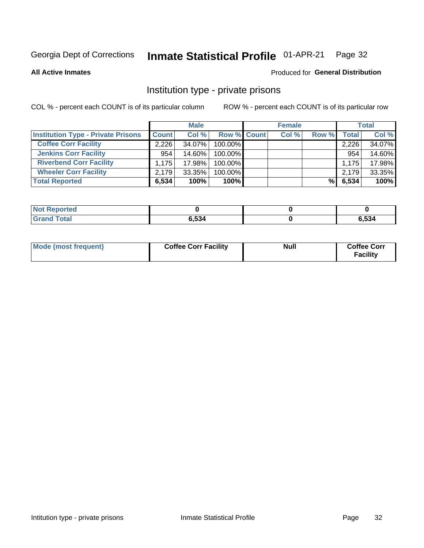#### Inmate Statistical Profile 01-APR-21 Page 32

**All Active Inmates** 

#### Produced for General Distribution

### Institution type - private prisons

COL % - percent each COUNT is of its particular column

|                                           |              | <b>Male</b> |                    | <b>Female</b> |       |                    | <b>Total</b> |
|-------------------------------------------|--------------|-------------|--------------------|---------------|-------|--------------------|--------------|
| <b>Institution Type - Private Prisons</b> | <b>Count</b> | Col %       | <b>Row % Count</b> | Col %         | Row % | Total <sub>1</sub> | Col %        |
| <b>Coffee Corr Facility</b>               | 2.226        | 34.07%      | $100.00\%$         |               |       | 2,226              | 34.07%       |
| <b>Jenkins Corr Facility</b>              | 954          | 14.60%      | $100.00\%$         |               |       | 954                | 14.60%       |
| <b>Riverbend Corr Facility</b>            | 1.175        | 17.98%      | 100.00%            |               |       | 1.175              | 17.98%       |
| <b>Wheeler Corr Facility</b>              | 2.179        | $33.35\%$   | 100.00%            |               |       | 2,179              | 33.35%       |
| <b>Total Reported</b>                     | 6,534        | 100%        | 100%               |               | %     | 6,534              | 100%         |

| <b>Not Reported</b> |       |               |
|---------------------|-------|---------------|
| <b>Total</b>        | 6,534 | EO A<br>ว,534 |

| <b>Mode (most frequent)</b> | <b>Coffee Corr Facility</b> | <b>Null</b> | <b>Coffee Corr</b><br><b>Facility</b> |
|-----------------------------|-----------------------------|-------------|---------------------------------------|
|-----------------------------|-----------------------------|-------------|---------------------------------------|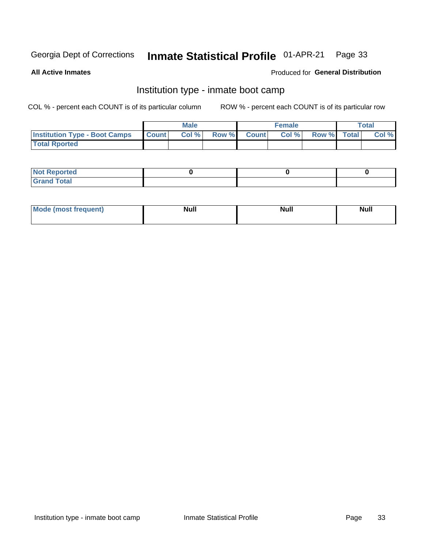#### Inmate Statistical Profile 01-APR-21 Page 33

**All Active Inmates** 

#### Produced for General Distribution

### Institution type - inmate boot camp

COL % - percent each COUNT is of its particular column

|                                      | <b>Male</b>      |       |              | <b>Female</b> |       |             | <b>Total</b> |       |
|--------------------------------------|------------------|-------|--------------|---------------|-------|-------------|--------------|-------|
| <b>Institution Type - Boot Camps</b> | <b>I</b> Count I | Col % | <b>Row %</b> | <b>Count</b>  | Col % | Row % Total |              | Col % |
| <b>Total Rported</b>                 |                  |       |              |               |       |             |              |       |

| <b>Not Reported</b>            |  |  |
|--------------------------------|--|--|
| <b>Total</b><br>C <sub>r</sub> |  |  |

| Mod<br>uamo | Nul.<br>$- - - - - -$ | <b>Null</b> | . .<br>uu.<br>------ |
|-------------|-----------------------|-------------|----------------------|
|             |                       |             |                      |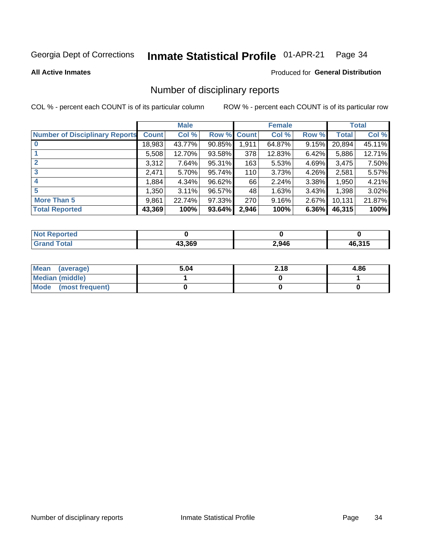#### Inmate Statistical Profile 01-APR-21 Page 34

#### **All Active Inmates**

#### **Produced for General Distribution**

### Number of disciplinary reports

COL % - percent each COUNT is of its particular column

|                                       |              | <b>Male</b> |        |              | <b>Female</b> |          |              | <b>Total</b> |
|---------------------------------------|--------------|-------------|--------|--------------|---------------|----------|--------------|--------------|
| <b>Number of Disciplinary Reports</b> | <b>Count</b> | Col %       | Row %  | <b>Count</b> | Col %         | Row %    | <b>Total</b> | Col %        |
| $\bf{0}$                              | 18,983       | 43.77%      | 90.85% | 1,911        | 64.87%        | 9.15%    | 20,894       | 45.11%       |
|                                       | 5,508        | 12.70%      | 93.58% | 378          | 12.83%        | $6.42\%$ | 5,886        | 12.71%       |
| $\overline{2}$                        | 3,312        | 7.64%       | 95.31% | 163          | 5.53%         | 4.69%    | 3,475        | 7.50%        |
| 3                                     | 2,471        | 5.70%       | 95.74% | 110          | 3.73%         | 4.26%    | 2,581        | 5.57%        |
| 4                                     | 1,884        | 4.34%       | 96.62% | 66           | 2.24%         | 3.38%    | 1,950        | 4.21%        |
| 5                                     | 1,350        | 3.11%       | 96.57% | 48           | 1.63%         | $3.43\%$ | 1,398        | 3.02%        |
| <b>More Than 5</b>                    | 9,861        | 22.74%      | 97.33% | 270          | 9.16%         | $2.67\%$ | 10,131       | 21.87%       |
| <b>Total Reported</b>                 | 43,369       | 100%        | 93.64% | 2,946        | 100%          | 6.36%    | 46,315       | 100%         |

| <b>Not Reported</b> |        |       |        |
|---------------------|--------|-------|--------|
| ™otaì               | 13.369 | 2,946 | 46,315 |

| Mean (average)       | 5.04 | 2.18 | 4.86 |
|----------------------|------|------|------|
| Median (middle)      |      |      |      |
| Mode (most frequent) |      |      |      |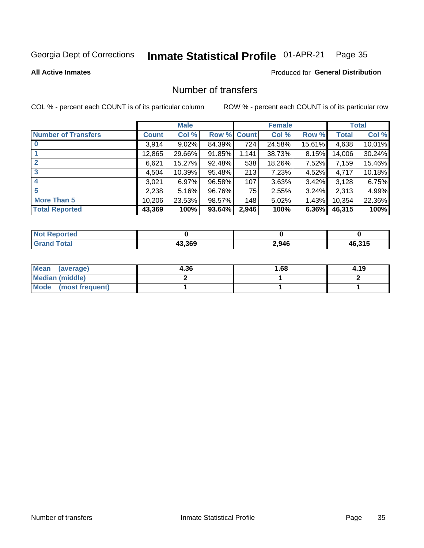#### Inmate Statistical Profile 01-APR-21 Page 35

#### **All Active Inmates**

#### **Produced for General Distribution**

### Number of transfers

COL % - percent each COUNT is of its particular column

|                            |         | <b>Male</b> |        |              | <b>Female</b> |          |        | <b>Total</b> |
|----------------------------|---------|-------------|--------|--------------|---------------|----------|--------|--------------|
| <b>Number of Transfers</b> | Count l | Col %       | Row %  | <b>Count</b> | Col %         | Row %    | Total  | Col %        |
|                            | 3,914   | $9.02\%$    | 84.39% | 724          | 24.58%        | 15.61%   | 4,638  | 10.01%       |
|                            | 12,865  | 29.66%      | 91.85% | 1,141        | 38.73%        | 8.15%    | 14,006 | 30.24%       |
|                            | 6,621   | 15.27%      | 92.48% | 538          | 18.26%        | 7.52%    | 7,159  | 15.46%       |
| 3                          | 4,504   | 10.39%      | 95.48% | 213          | 7.23%         | $4.52\%$ | 4,717  | 10.18%       |
| $\boldsymbol{4}$           | 3,021   | 6.97%       | 96.58% | 107          | 3.63%         | 3.42%    | 3,128  | 6.75%        |
| 5                          | 2,238   | 5.16%       | 96.76% | 75           | 2.55%         | $3.24\%$ | 2,313  | 4.99%        |
| <b>More Than 5</b>         | 10,206  | 23.53%      | 98.57% | 148          | 5.02%         | 1.43%    | 10,354 | 22.36%       |
| <b>Total Reported</b>      | 43,369  | 100%        | 93.64% | 2,946        | 100%          | 6.36%    | 46,315 | 100%         |

| <b>Not Reported</b> |        |       |        |
|---------------------|--------|-------|--------|
| <b>Total</b>        | 13.369 | 2,946 | 46,315 |

| Mean (average)       | 4.36 | 1.68 | 4.19 |
|----------------------|------|------|------|
| Median (middle)      |      |      |      |
| Mode (most frequent) |      |      |      |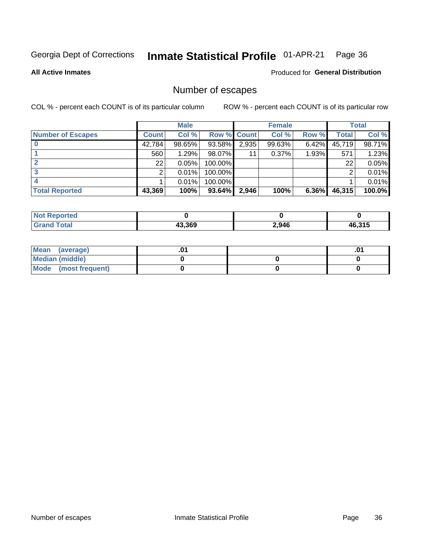#### Inmate Statistical Profile 01-APR-21 Page 36

**All Active Inmates** 

Produced for General Distribution

### Number of escapes

COL % - percent each COUNT is of its particular column

|                          |              | <b>Male</b> |             |                 | <b>Female</b> |          |        | <b>Total</b> |
|--------------------------|--------------|-------------|-------------|-----------------|---------------|----------|--------|--------------|
| <b>Number of Escapes</b> | <b>Count</b> | Col %       | Row % Count |                 | Col %         | Row %    | Total  | Col %        |
|                          | 42,784       | 98.65%      | 93.58%      | 2,935           | 99.63%        | 6.42%    | 45,719 | 98.71%       |
|                          | 560          | 1.29%       | 98.07%      | 11 <sub>1</sub> | $0.37\%$      | 1.93%    | 571    | 1.23%        |
|                          | 22           | 0.05%       | 100.00%     |                 |               |          | 22     | 0.05%        |
|                          |              | 0.01%       | 100.00%     |                 |               |          |        | 0.01%        |
|                          |              | 0.01%       | $100.00\%$  |                 |               |          |        | 0.01%        |
| <b>Total Reported</b>    | 43,369       | 100%        | 93.64%      | 2,946           | 100%          | $6.36\%$ | 46,315 | 100.0%       |

| <b>Not Reported</b> |        |       |               |
|---------------------|--------|-------|---------------|
| <b>Total</b>        | 43.369 | 2,946 | .6.315<br>46. |

| Mean (average)         |  | .ט |
|------------------------|--|----|
| <b>Median (middle)</b> |  |    |
| Mode (most frequent)   |  |    |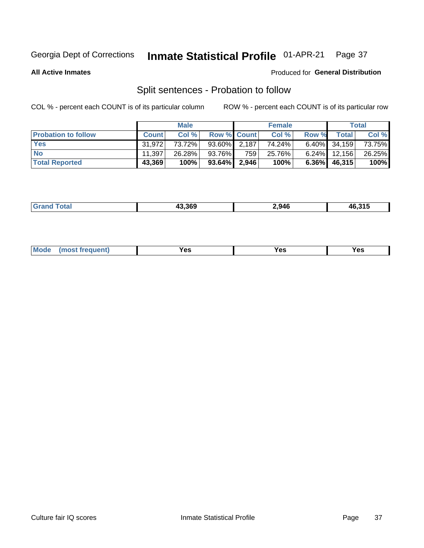#### Inmate Statistical Profile 01-APR-21 Page 37

**All Active Inmates** 

#### Produced for General Distribution

### Split sentences - Probation to follow

COL % - percent each COUNT is of its particular column

|                            |              | <b>Male</b> |                    |                  | <b>Female</b> |          |                 | <b>Total</b> |
|----------------------------|--------------|-------------|--------------------|------------------|---------------|----------|-----------------|--------------|
| <b>Probation to follow</b> | <b>Count</b> | Col%        | <b>Row % Count</b> |                  | Col %         | Row %    | <b>Total</b>    | Col %        |
| <b>Yes</b>                 | 31.972       | 73.72%      | $93.60\%$ 2.187    |                  | 74.24%        |          | $6.40\%$ 34,159 | 73.75%       |
| <b>No</b>                  | 11.397       | 26.28%      | 93.76%             | 759 <sub>1</sub> | 25.76%        |          | $6.24\%$ 12,156 | 26.25%       |
| <b>Total Reported</b>      | 43,369       | 100%        | $93.64\%$   2,946  |                  | 100%          | $6.36\%$ | 46,315          | 100%         |

|  |  | 43.369 | 2,946 | .24F<br>46.31. |
|--|--|--------|-------|----------------|
|--|--|--------|-------|----------------|

| <b>Mode</b><br>reauent)<br>Yes<br>v.c<br>0٥<br>.<br>. .<br>$\sim$ |
|-------------------------------------------------------------------|
|-------------------------------------------------------------------|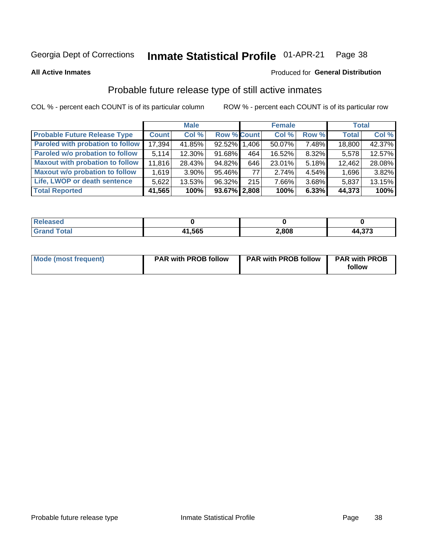#### Inmate Statistical Profile 01-APR-21 Page 38

**All Active Inmates** 

### Produced for General Distribution

## Probable future release type of still active inmates

COL % - percent each COUNT is of its particular column

|                                         |              | <b>Male</b> |                    |     | <b>Female</b> |       | <b>Total</b> |        |
|-----------------------------------------|--------------|-------------|--------------------|-----|---------------|-------|--------------|--------|
| <b>Probable Future Release Type</b>     | <b>Count</b> | Col%        | <b>Row % Count</b> |     | Col %         | Row % | <b>Total</b> | Col %  |
| <b>Paroled with probation to follow</b> | 17,394       | 41.85%      | 92.52% 1.406       |     | 50.07%        | 7.48% | 18,800       | 42.37% |
| Paroled w/o probation to follow         | 5.114        | 12.30%      | 91.68%             | 464 | 16.52%        | 8.32% | 5,578        | 12.57% |
| <b>Maxout with probation to follow</b>  | 11,816       | 28.43%      | 94.82%             | 646 | 23.01%        | 5.18% | 12,462       | 28.08% |
| <b>Maxout w/o probation to follow</b>   | 1,619        | $3.90\%$    | 95.46%             | 77  | 2.74%         | 4.54% | 1,696        | 3.82%  |
| Life, LWOP or death sentence            | 5.622        | 13.53%      | 96.32%             | 215 | 7.66%         | 3.68% | 5,837        | 13.15% |
| <b>Total Reported</b>                   | 41,565       | 100%        | $93.67\%$   2,808  |     | 100%          | 6.33% | 44,373       | 100%   |

| 456U                  |       |       |                     |
|-----------------------|-------|-------|---------------------|
| $f \wedge f \wedge f$ | 1,565 | 2,808 | ヘラヘ<br>44<br>.4,973 |

| <b>Mode (most frequent)</b> | <b>PAR with PROB follow</b> | <b>PAR with PROB follow</b> | <b>PAR with PROB</b> |
|-----------------------------|-----------------------------|-----------------------------|----------------------|
|                             |                             |                             | follow               |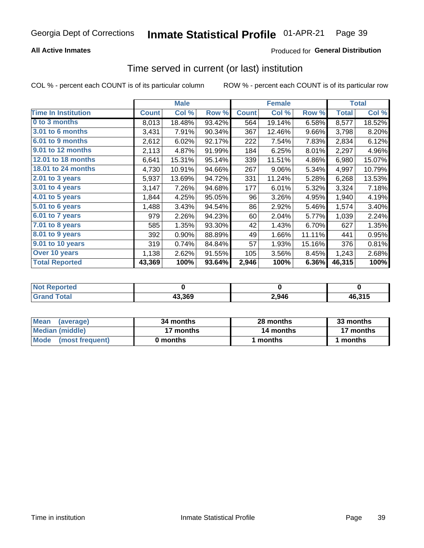## **All Active Inmates**

## Produced for General Distribution

# Time served in current (or last) institution

COL % - percent each COUNT is of its particular column

|                            |              | <b>Male</b> |        |              | <b>Female</b> |        |              | <b>Total</b> |
|----------------------------|--------------|-------------|--------|--------------|---------------|--------|--------------|--------------|
| <b>Time In Institution</b> | <b>Count</b> | Col %       | Row %  | <b>Count</b> | Col %         | Row %  | <b>Total</b> | Col $%$      |
| 0 to 3 months              | 8,013        | 18.48%      | 93.42% | 564          | 19.14%        | 6.58%  | 8,577        | 18.52%       |
| 3.01 to 6 months           | 3,431        | 7.91%       | 90.34% | 367          | 12.46%        | 9.66%  | 3,798        | 8.20%        |
| 6.01 to 9 months           | 2,612        | 6.02%       | 92.17% | 222          | 7.54%         | 7.83%  | 2,834        | 6.12%        |
| 9.01 to 12 months          | 2,113        | 4.87%       | 91.99% | 184          | 6.25%         | 8.01%  | 2,297        | 4.96%        |
| <b>12.01 to 18 months</b>  | 6,641        | 15.31%      | 95.14% | 339          | 11.51%        | 4.86%  | 6,980        | 15.07%       |
| <b>18.01 to 24 months</b>  | 4,730        | 10.91%      | 94.66% | 267          | 9.06%         | 5.34%  | 4,997        | 10.79%       |
| 2.01 to 3 years            | 5,937        | 13.69%      | 94.72% | 331          | 11.24%        | 5.28%  | 6,268        | 13.53%       |
| $3.01$ to 4 years          | 3,147        | 7.26%       | 94.68% | 177          | 6.01%         | 5.32%  | 3,324        | 7.18%        |
| 4.01 to 5 years            | 1,844        | 4.25%       | 95.05% | 96           | 3.26%         | 4.95%  | 1,940        | 4.19%        |
| 5.01 to 6 years            | 1,488        | 3.43%       | 94.54% | 86           | 2.92%         | 5.46%  | 1,574        | 3.40%        |
| 6.01 to 7 years            | 979          | 2.26%       | 94.23% | 60           | 2.04%         | 5.77%  | 1,039        | 2.24%        |
| $7.01$ to 8 years          | 585          | 1.35%       | 93.30% | 42           | 1.43%         | 6.70%  | 627          | 1.35%        |
| 8.01 to 9 years            | 392          | 0.90%       | 88.89% | 49           | 1.66%         | 11.11% | 441          | 0.95%        |
| 9.01 to 10 years           | 319          | 0.74%       | 84.84% | 57           | 1.93%         | 15.16% | 376          | 0.81%        |
| Over 10 years              | 1,138        | 2.62%       | 91.55% | 105          | 3.56%         | 8.45%  | 1,243        | 2.68%        |
| <b>Total Reported</b>      | 43,369       | 100%        | 93.64% | 2,946        | 100%          | 6.36%  | 46,315       | 100%         |

| rreo<br>INOT I |        |       |                             |
|----------------|--------|-------|-----------------------------|
|                | 43,369 | 2,946 | AC <sub>215</sub><br>.ט ו ט |

| <b>Mean</b><br>(average) | 34 months | 28 months | 33 months |
|--------------------------|-----------|-----------|-----------|
| Median (middle)          | 17 months | 14 months | 17 months |
| Mode (most frequent)     | 0 months  | 1 months  | months    |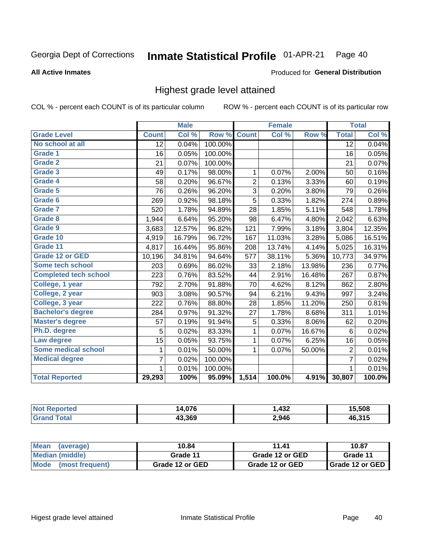#### Inmate Statistical Profile 01-APR-21 Page 40

### **All Active Inmates**

### Produced for General Distribution

## Highest grade level attained

COL % - percent each COUNT is of its particular column

|                              |                 | <b>Male</b> |         |                | <b>Female</b> |        |                 | <b>Total</b> |
|------------------------------|-----------------|-------------|---------|----------------|---------------|--------|-----------------|--------------|
| <b>Grade Level</b>           | <b>Count</b>    | Col %       | Row %   | <b>Count</b>   | Col %         | Row %  | <b>Total</b>    | Col %        |
| No school at all             | $\overline{12}$ | 0.04%       | 100.00% |                |               |        | $\overline{12}$ | 0.04%        |
| <b>Grade 1</b>               | 16              | 0.05%       | 100.00% |                |               |        | 16              | 0.05%        |
| <b>Grade 2</b>               | 21              | 0.07%       | 100.00% |                |               |        | 21              | 0.07%        |
| Grade 3                      | 49              | 0.17%       | 98.00%  | $\mathbf{1}$   | 0.07%         | 2.00%  | 50              | 0.16%        |
| Grade 4                      | 58              | 0.20%       | 96.67%  | $\overline{2}$ | 0.13%         | 3.33%  | 60              | 0.19%        |
| Grade 5                      | 76              | 0.26%       | 96.20%  | 3              | 0.20%         | 3.80%  | 79              | 0.26%        |
| Grade 6                      | 269             | 0.92%       | 98.18%  | $\overline{5}$ | 0.33%         | 1.82%  | 274             | 0.89%        |
| <b>Grade 7</b>               | 520             | 1.78%       | 94.89%  | 28             | 1.85%         | 5.11%  | 548             | 1.78%        |
| Grade 8                      | 1,944           | 6.64%       | 95.20%  | 98             | 6.47%         | 4.80%  | 2,042           | 6.63%        |
| Grade 9                      | 3,683           | 12.57%      | 96.82%  | 121            | 7.99%         | 3.18%  | 3,804           | 12.35%       |
| Grade 10                     | 4,919           | 16.79%      | 96.72%  | 167            | 11.03%        | 3.28%  | 5,086           | 16.51%       |
| Grade 11                     | 4,817           | 16.44%      | 95.86%  | 208            | 13.74%        | 4.14%  | 5,025           | 16.31%       |
| <b>Grade 12 or GED</b>       | 10,196          | 34.81%      | 94.64%  | 577            | 38.11%        | 5.36%  | 10,773          | 34.97%       |
| <b>Some tech school</b>      | 203             | 0.69%       | 86.02%  | 33             | 2.18%         | 13.98% | 236             | 0.77%        |
| <b>Completed tech school</b> | 223             | 0.76%       | 83.52%  | 44             | 2.91%         | 16.48% | 267             | 0.87%        |
| College, 1 year              | 792             | 2.70%       | 91.88%  | 70             | 4.62%         | 8.12%  | 862             | 2.80%        |
| College, 2 year              | 903             | 3.08%       | 90.57%  | 94             | 6.21%         | 9.43%  | 997             | 3.24%        |
| College, 3 year              | 222             | 0.76%       | 88.80%  | 28             | 1.85%         | 11.20% | 250             | 0.81%        |
| <b>Bachelor's degree</b>     | 284             | 0.97%       | 91.32%  | 27             | 1.78%         | 8.68%  | 311             | 1.01%        |
| <b>Master's degree</b>       | 57              | 0.19%       | 91.94%  | 5              | 0.33%         | 8.06%  | 62              | 0.20%        |
| Ph.D. degree                 | 5               | 0.02%       | 83.33%  | 1              | 0.07%         | 16.67% | 6               | 0.02%        |
| Law degree                   | 15              | 0.05%       | 93.75%  | 1              | 0.07%         | 6.25%  | 16              | 0.05%        |
| <b>Some medical school</b>   | 1               | 0.01%       | 50.00%  | 1              | 0.07%         | 50.00% | 2               | 0.01%        |
| <b>Medical degree</b>        | 7               | 0.02%       | 100.00% |                |               |        | $\overline{7}$  | 0.02%        |
|                              | 1.              | 0.01%       | 100.00% |                |               |        | 1               | 0.01%        |
| <b>Total Reported</b>        | 29,293          | 100%        | 95.09%  | 1,514          | 100.0%        | 4.91%  | 30,807          | 100.0%       |

| .076   | $\boldsymbol{A}$<br>4∂∠ | .508 |
|--------|-------------------------|------|
| 13.369 | 2,946                   | 94E  |

| Mean<br>(average)    | 10.84           | 11.41           | 10.87           |  |
|----------------------|-----------------|-----------------|-----------------|--|
| Median (middle)      | Grade 11        | Grade 12 or GED | Grade 11        |  |
| Mode (most frequent) | Grade 12 or GED | Grade 12 or GED | Grade 12 or GED |  |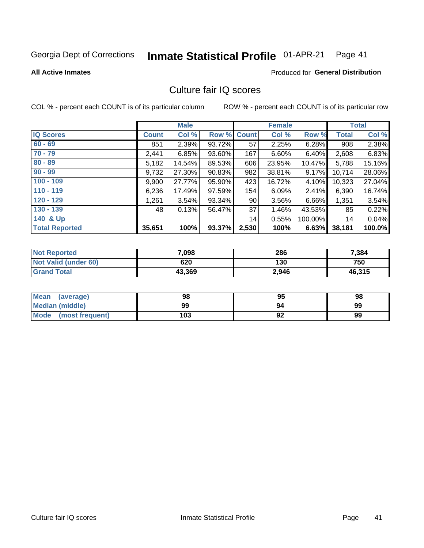#### Inmate Statistical Profile 01-APR-21 Page 41

**All Active Inmates** 

## **Produced for General Distribution**

## Culture fair IQ scores

COL % - percent each COUNT is of its particular column

|                       |              | <b>Male</b> |             |       | <b>Female</b> |         |              | <b>Total</b> |
|-----------------------|--------------|-------------|-------------|-------|---------------|---------|--------------|--------------|
| <b>IQ Scores</b>      | <b>Count</b> | Col %       | Row % Count |       | Col %         | Row %   | <b>Total</b> | Col %        |
| $60 - 69$             | 851          | 2.39%       | 93.72%      | 57    | 2.25%         | 6.28%   | 908          | 2.38%        |
| $70 - 79$             | 2,441        | 6.85%       | 93.60%      | 167   | 6.60%         | 6.40%   | 2,608        | 6.83%        |
| $80 - 89$             | 5,182        | 14.54%      | 89.53%      | 606   | 23.95%        | 10.47%  | 5,788        | 15.16%       |
| $90 - 99$             | 9,732        | 27.30%      | 90.83%      | 982   | 38.81%        | 9.17%   | 10,714       | 28.06%       |
| $100 - 109$           | 9,900        | 27.77%      | 95.90%      | 423   | 16.72%        | 4.10%   | 10,323       | 27.04%       |
| $110 - 119$           | 6,236        | 17.49%      | 97.59%      | 154   | 6.09%         | 2.41%   | 6,390        | 16.74%       |
| $120 - 129$           | 1,261        | 3.54%       | 93.34%      | 90    | 3.56%         | 6.66%   | 1,351        | 3.54%        |
| $130 - 139$           | 48           | 0.13%       | 56.47%      | 37    | 1.46%         | 43.53%  | 85           | 0.22%        |
| 140 & Up              |              |             |             | 14    | 0.55%         | 100.00% | 14           | 0.04%        |
| <b>Total Reported</b> | 35,651       | 100%        | 93.37%      | 2,530 | 100%          | 6.63%   | 38,181       | 100.0%       |

| <b>Not Reported</b>         | 7,098  | 286   | 7,384  |
|-----------------------------|--------|-------|--------|
| <b>Not Valid (under 60)</b> | 620    | 130   | 750    |
| <b>Grand Total</b>          | 43,369 | 2,946 | 46,315 |

| <b>Mean</b><br>(average)       | 98  | 95 | 98 |
|--------------------------------|-----|----|----|
| Median (middle)                | 99  | 94 | 99 |
| <b>Mode</b><br>(most frequent) | 103 | 92 | 99 |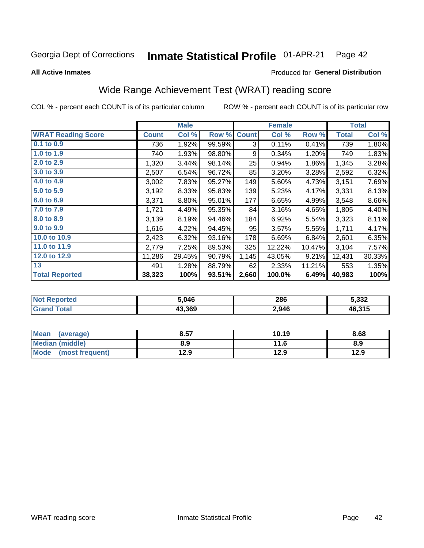#### Inmate Statistical Profile 01-APR-21 Page 42

**All Active Inmates** 

## Produced for General Distribution

## Wide Range Achievement Test (WRAT) reading score

COL % - percent each COUNT is of its particular column

|                           |              | <b>Male</b> |        |              | <b>Female</b> |        |              | <b>Total</b> |
|---------------------------|--------------|-------------|--------|--------------|---------------|--------|--------------|--------------|
| <b>WRAT Reading Score</b> | <b>Count</b> | Col %       | Row %  | <b>Count</b> | Col %         | Row %  | <b>Total</b> | Col %        |
| $0.1$ to $0.9$            | 736          | 1.92%       | 99.59% | 3            | 0.11%         | 0.41%  | 739          | 1.80%        |
| 1.0 to 1.9                | 740          | 1.93%       | 98.80% | 9            | 0.34%         | 1.20%  | 749          | 1.83%        |
| 2.0 to 2.9                | 1,320        | 3.44%       | 98.14% | 25           | 0.94%         | 1.86%  | 1,345        | 3.28%        |
| 3.0 to 3.9                | 2,507        | 6.54%       | 96.72% | 85           | 3.20%         | 3.28%  | 2,592        | 6.32%        |
| 4.0 to 4.9                | 3,002        | 7.83%       | 95.27% | 149          | 5.60%         | 4.73%  | 3,151        | 7.69%        |
| 5.0 t0 5.9                | 3,192        | 8.33%       | 95.83% | 139          | 5.23%         | 4.17%  | 3,331        | 8.13%        |
| 6.0 to 6.9                | 3,371        | 8.80%       | 95.01% | 177          | 6.65%         | 4.99%  | 3,548        | 8.66%        |
| 7.0 to 7.9                | 1,721        | 4.49%       | 95.35% | 84           | 3.16%         | 4.65%  | 1,805        | 4.40%        |
| 8.0 to 8.9                | 3,139        | 8.19%       | 94.46% | 184          | 6.92%         | 5.54%  | 3,323        | 8.11%        |
| 9.0 to 9.9                | 1,616        | 4.22%       | 94.45% | 95           | 3.57%         | 5.55%  | 1,711        | 4.17%        |
| 10.0 to 10.9              | 2,423        | 6.32%       | 93.16% | 178          | 6.69%         | 6.84%  | 2,601        | 6.35%        |
| 11.0 to 11.9              | 2,779        | 7.25%       | 89.53% | 325          | 12.22%        | 10.47% | 3,104        | 7.57%        |
| 12.0 to 12.9              | 11,286       | 29.45%      | 90.79% | 1,145        | 43.05%        | 9.21%  | 12,431       | 30.33%       |
| 13                        | 491          | 1.28%       | 88.79% | 62           | 2.33%         | 11.21% | 553          | 1.35%        |
| <b>Total Reported</b>     | 38,323       | 100%        | 93.51% | 2,660        | 100.0%        | 6.49%  | 40,983       | 100%         |

| NO | 5.046  | 286   | 5.332  |
|----|--------|-------|--------|
|    | 43.369 | 2,946 | 46,315 |

| Mean<br>(average)    | 8.57 | 10.19 | 8.68 |
|----------------------|------|-------|------|
| Median (middle)      | 8.9  | 11.6  | 8.9  |
| Mode (most frequent) | 12.9 | 12.9  | 12.9 |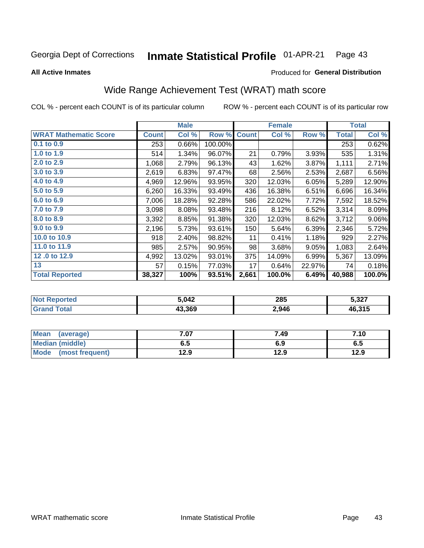#### Inmate Statistical Profile 01-APR-21 Page 43

**All Active Inmates** 

### Produced for General Distribution

## Wide Range Achievement Test (WRAT) math score

COL % - percent each COUNT is of its particular column

|                              |              | <b>Male</b> |         |              | <b>Female</b> |        |              | <b>Total</b> |
|------------------------------|--------------|-------------|---------|--------------|---------------|--------|--------------|--------------|
| <b>WRAT Mathematic Score</b> | <b>Count</b> | Col %       | Row %   | <b>Count</b> | Col %         | Row %  | <b>Total</b> | Col %        |
| 0.1 to 0.9                   | 253          | 0.66%       | 100.00% |              |               |        | 253          | 0.62%        |
| 1.0 to 1.9                   | 514          | 1.34%       | 96.07%  | 21           | 0.79%         | 3.93%  | 535          | 1.31%        |
| 2.0 to 2.9                   | 1,068        | 2.79%       | 96.13%  | 43           | 1.62%         | 3.87%  | 1,111        | 2.71%        |
| 3.0 to 3.9                   | 2,619        | 6.83%       | 97.47%  | 68           | 2.56%         | 2.53%  | 2,687        | 6.56%        |
| 4.0 to 4.9                   | 4,969        | 12.96%      | 93.95%  | 320          | 12.03%        | 6.05%  | 5,289        | 12.90%       |
| 5.0 to 5.9                   | 6,260        | 16.33%      | 93.49%  | 436          | 16.38%        | 6.51%  | 6,696        | 16.34%       |
| 6.0 to 6.9                   | 7,006        | 18.28%      | 92.28%  | 586          | 22.02%        | 7.72%  | 7,592        | 18.52%       |
| 7.0 to 7.9                   | 3,098        | 8.08%       | 93.48%  | 216          | 8.12%         | 6.52%  | 3,314        | 8.09%        |
| 8.0 to 8.9                   | 3,392        | 8.85%       | 91.38%  | 320          | 12.03%        | 8.62%  | 3,712        | $9.06\%$     |
| 9.0 to 9.9                   | 2,196        | 5.73%       | 93.61%  | 150          | 5.64%         | 6.39%  | 2,346        | 5.72%        |
| 10.0 to 10.9                 | 918          | 2.40%       | 98.82%  | 11           | 0.41%         | 1.18%  | 929          | 2.27%        |
| 11.0 to 11.9                 | 985          | 2.57%       | 90.95%  | 98           | 3.68%         | 9.05%  | 1,083        | 2.64%        |
| 12.0 to 12.9                 | 4,992        | 13.02%      | 93.01%  | 375          | 14.09%        | 6.99%  | 5,367        | 13.09%       |
| 13                           | 57           | 0.15%       | 77.03%  | 17           | 0.64%         | 22.97% | 74           | 0.18%        |
| <b>Total Reported</b>        | 38,327       | 100%        | 93.51%  | 2,661        | 100.0%        | 6.49%  | 40,988       | 100.0%       |

| rted<br>' NOT | 5.042  | 285   | 5,327  |
|---------------|--------|-------|--------|
| int           | 43.369 | 2,946 | 46,315 |

| <b>Mean</b><br>(average) | 7.07 | 7.49 | 7.10 |
|--------------------------|------|------|------|
| <b>Median (middle)</b>   | 6.5  | 6.9  | c.o  |
| Mode (most frequent)     | 12.9 | 12.9 | 12.9 |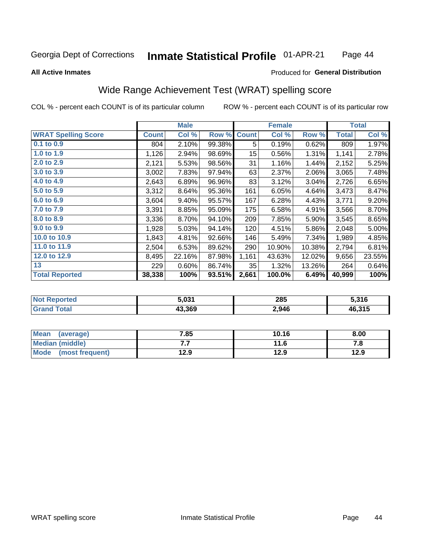#### Inmate Statistical Profile 01-APR-21 Page 44

### **All Active Inmates**

## **Produced for General Distribution**

## Wide Range Achievement Test (WRAT) spelling score

COL % - percent each COUNT is of its particular column

|                            |              | <b>Male</b> |        |                  | <b>Female</b> |        |              | <b>Total</b> |
|----------------------------|--------------|-------------|--------|------------------|---------------|--------|--------------|--------------|
| <b>WRAT Spelling Score</b> | <b>Count</b> | Col %       | Row %  | <b>Count</b>     | Col %         | Row %  | <b>Total</b> | Col %        |
| 0.1 to 0.9                 | 804          | 2.10%       | 99.38% | 5                | 0.19%         | 0.62%  | 809          | 1.97%        |
| 1.0 to 1.9                 | 1,126        | 2.94%       | 98.69% | 15 <sub>15</sub> | 0.56%         | 1.31%  | 1,141        | 2.78%        |
| 2.0 to 2.9                 | 2,121        | 5.53%       | 98.56% | 31               | 1.16%         | 1.44%  | 2,152        | 5.25%        |
| 3.0 to 3.9                 | 3,002        | 7.83%       | 97.94% | 63               | 2.37%         | 2.06%  | 3,065        | 7.48%        |
| 4.0 to 4.9                 | 2,643        | 6.89%       | 96.96% | 83               | 3.12%         | 3.04%  | 2,726        | 6.65%        |
| 5.0 to 5.9                 | 3,312        | 8.64%       | 95.36% | 161              | 6.05%         | 4.64%  | 3,473        | 8.47%        |
| 6.0 to 6.9                 | 3,604        | 9.40%       | 95.57% | 167              | 6.28%         | 4.43%  | 3,771        | 9.20%        |
| 7.0 to 7.9                 | 3,391        | 8.85%       | 95.09% | 175              | 6.58%         | 4.91%  | 3,566        | 8.70%        |
| 8.0 to 8.9                 | 3,336        | 8.70%       | 94.10% | 209              | 7.85%         | 5.90%  | 3,545        | 8.65%        |
| 9.0 to 9.9                 | 1,928        | 5.03%       | 94.14% | 120              | 4.51%         | 5.86%  | 2,048        | 5.00%        |
| 10.0 to 10.9               | 1,843        | 4.81%       | 92.66% | 146              | 5.49%         | 7.34%  | 1,989        | 4.85%        |
| 11.0 to 11.9               | 2,504        | 6.53%       | 89.62% | 290              | 10.90%        | 10.38% | 2,794        | 6.81%        |
| 12.0 to 12.9               | 8,495        | 22.16%      | 87.98% | 1,161            | 43.63%        | 12.02% | 9,656        | 23.55%       |
| 13                         | 229          | 0.60%       | 86.74% | 35               | 1.32%         | 13.26% | 264          | 0.64%        |
| <b>Total Reported</b>      | 38,338       | 100%        | 93.51% | 2,661            | 100.0%        | 6.49%  | 40,999       | 100%         |

| NO. | 5.031  | 285   | 5,316  |
|-----|--------|-------|--------|
|     | 43.369 | 2,946 | 46,315 |

| <b>Mean</b><br>(average) | 7.85 | 10.16 | 8.00 |
|--------------------------|------|-------|------|
| Median (middle)          | .    | 11.6  | 7. L |
| Mode<br>(most frequent)  | 12.9 | 12.9  | 12.9 |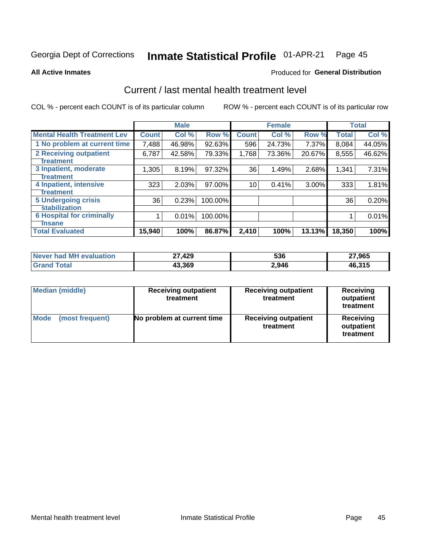#### Inmate Statistical Profile 01-APR-21 Page 45

**All Active Inmates** 

## **Produced for General Distribution**

## Current / last mental health treatment level

COL % - percent each COUNT is of its particular column

|                                    |              | <b>Male</b> |           |              | <b>Female</b> |          |              | <b>Total</b> |
|------------------------------------|--------------|-------------|-----------|--------------|---------------|----------|--------------|--------------|
| <b>Mental Health Treatment Lev</b> | <b>Count</b> | Col %       | Row %     | <b>Count</b> | Col %         | Row %    | <b>Total</b> | Col %        |
| 1 No problem at current time       | 7,488        | 46.98%      | $92.63\%$ | 596          | 24.73%        | 7.37%    | 8,084        | 44.05%       |
| 2 Receiving outpatient             | 6,787        | 42.58%      | 79.33%    | 1,768        | 73.36%        | 20.67%   | 8,555        | 46.62%       |
| <b>Treatment</b>                   |              |             |           |              |               |          |              |              |
| 3 Inpatient, moderate              | 1,305        | 8.19%       | 97.32%    | 36           | 1.49%         | 2.68%    | 1,341        | 7.31%        |
| Treatment                          |              |             |           |              |               |          |              |              |
| 4 Inpatient, intensive             | 323          | 2.03%       | 97.00%    | 10           | 0.41%         | $3.00\%$ | 333          | 1.81%        |
| <b>Treatment</b>                   |              |             |           |              |               |          |              |              |
| <b>5 Undergoing crisis</b>         | 36           | 0.23%       | 100.00%   |              |               |          | 36           | 0.20%        |
| <b>stabilization</b>               |              |             |           |              |               |          |              |              |
| <b>6 Hospital for criminally</b>   |              | 0.01%       | 100.00%   |              |               |          |              | 0.01%        |
| <b>Tinsane</b>                     |              |             |           |              |               |          |              |              |
| <b>Total Evaluated</b>             | 15,940       | 100%        | 86.87%    | 2,410        | 100%          | 13.13%   | 18,350       | 100%         |

| Never had MH evaluation | 27,429 | 536   | 27,965 |
|-------------------------|--------|-------|--------|
| <b>Grand Total</b>      | 43,369 | 2,946 | 46,315 |

| <b>Median (middle)</b>         | <b>Receiving outpatient</b><br>treatment | <b>Receiving outpatient</b><br>treatment | <b>Receiving</b><br>outpatient<br>treatment |  |
|--------------------------------|------------------------------------------|------------------------------------------|---------------------------------------------|--|
| <b>Mode</b><br>(most frequent) | No problem at current time               | <b>Receiving outpatient</b><br>treatment | Receiving<br>outpatient<br>treatment        |  |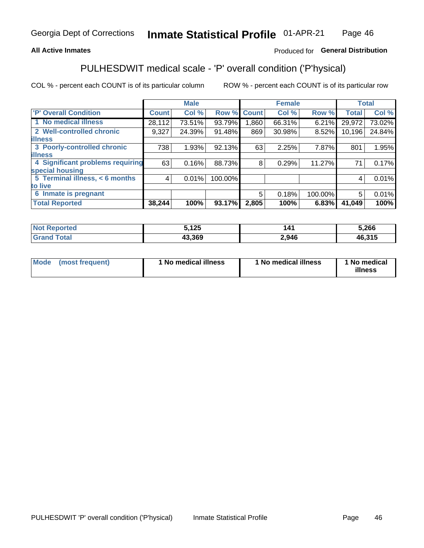## **All Active Inmates**

## Produced for General Distribution

## PULHESDWIT medical scale - 'P' overall condition ('P'hysical)

COL % - percent each COUNT is of its particular column

|                                  |              | <b>Male</b> |         |              | <b>Female</b> |         |              | <b>Total</b> |
|----------------------------------|--------------|-------------|---------|--------------|---------------|---------|--------------|--------------|
| <b>'P' Overall Condition</b>     | <b>Count</b> | Col %       | Row %   | <b>Count</b> | Col %         | Row %   | <b>Total</b> | Col %        |
| 1 No medical illness             | 28,112       | 73.51%      | 93.79%  | ا 860.       | 66.31%        | 6.21%   | 29,972       | 73.02%       |
| 2 Well-controlled chronic        | 9,327        | 24.39%      | 91.48%  | 869          | 30.98%        | 8.52%   | 10,196       | 24.84%       |
| <b>illness</b>                   |              |             |         |              |               |         |              |              |
| 3 Poorly-controlled chronic      | 738          | 1.93%       | 92.13%  | 63           | 2.25%         | 7.87%   | 801          | 1.95%        |
| <b>illness</b>                   |              |             |         |              |               |         |              |              |
| 4 Significant problems requiring | 63           | 0.16%       | 88.73%  | 8            | 0.29%         | 11.27%  | 71           | 0.17%        |
| special housing                  |              |             |         |              |               |         |              |              |
| 5 Terminal illness, < 6 months   | 4            | 0.01%       | 100.00% |              |               |         | 4            | 0.01%        |
| to live                          |              |             |         |              |               |         |              |              |
| 6 Inmate is pregnant             |              |             |         | 5            | 0.18%         | 100.00% | 5            | 0.01%        |
| <b>Total Reported</b>            | 38,244       | 100%        | 93.17%  | 2,805        | 100%          | 6.83%   | 41,049       | 100%         |

| тео | 5125<br>' 2J | ۰4۰   | 5,266                          |
|-----|--------------|-------|--------------------------------|
|     | 13.369       | 2,946 | $\overline{AB}$ 315<br>3.J I J |

| Mode | (most frequent) | 1 No medical illness | 1 No medical illness | 1 No medical<br>illness |
|------|-----------------|----------------------|----------------------|-------------------------|
|------|-----------------|----------------------|----------------------|-------------------------|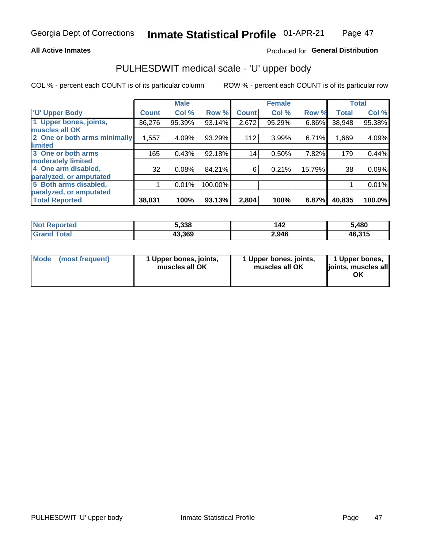### **All Active Inmates**

## Produced for General Distribution

# PULHESDWIT medical scale - 'U' upper body

COL % - percent each COUNT is of its particular column

|                              |               | <b>Male</b> |         |              | <b>Female</b> |        |              | <b>Total</b> |
|------------------------------|---------------|-------------|---------|--------------|---------------|--------|--------------|--------------|
| <b>U' Upper Body</b>         | <b>Count!</b> | Col %       | Row %   | <b>Count</b> | Col %         | Row %  | <b>Total</b> | Col %        |
| 1 Upper bones, joints,       | 36,276        | 95.39%      | 93.14%  | 2,672        | 95.29%        | 6.86%  | 38,948       | 95.38%       |
| muscles all OK               |               |             |         |              |               |        |              |              |
| 2 One or both arms minimally | 1,557         | 4.09%       | 93.29%  | 112          | 3.99%         | 6.71%  | 1,669        | 4.09%        |
| limited                      |               |             |         |              |               |        |              |              |
| 3 One or both arms           | 165           | 0.43%       | 92.18%  | 14           | 0.50%         | 7.82%  | 179          | 0.44%        |
| moderately limited           |               |             |         |              |               |        |              |              |
| 4 One arm disabled,          | 32            | 0.08%       | 84.21%  | 6            | 0.21%         | 15.79% | 38           | 0.09%        |
| paralyzed, or amputated      |               |             |         |              |               |        |              |              |
| 5 Both arms disabled,        |               | 0.01%       | 100.00% |              |               |        |              | 0.01%        |
| paralyzed, or amputated      |               |             |         |              |               |        |              |              |
| <b>Total Reported</b>        | 38,031        | 100%        | 93.13%  | 2,804        | 100%          | 6.87%  | 40,835       | 100.0%       |

| <b>Not Reported</b>   | 5,338  | 142   | 5,480  |
|-----------------------|--------|-------|--------|
| <b>Total</b><br>Grand | 43,369 | 2,946 | 46,315 |

|  | Mode (most frequent) | 1 Upper bones, joints,<br>muscles all OK | 1 Upper bones, joints,<br>muscles all OK | 1 Upper bones,<br>joints, muscles all<br>ΟK |
|--|----------------------|------------------------------------------|------------------------------------------|---------------------------------------------|
|--|----------------------|------------------------------------------|------------------------------------------|---------------------------------------------|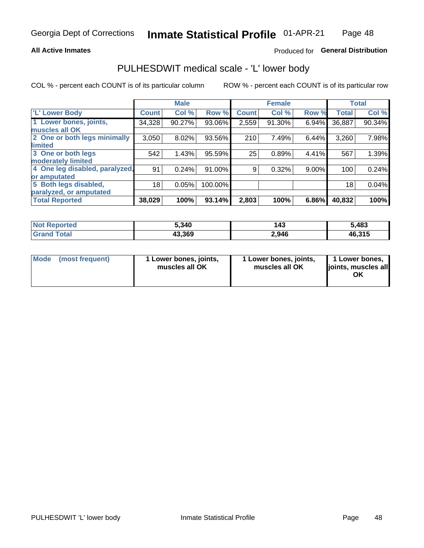### **All Active Inmates**

## Produced for General Distribution

## PULHESDWIT medical scale - 'L' lower body

COL % - percent each COUNT is of its particular column

|                                |              | <b>Male</b> |         |              | <b>Female</b> |          |              | <b>Total</b> |
|--------------------------------|--------------|-------------|---------|--------------|---------------|----------|--------------|--------------|
| 'L' Lower Body                 | <b>Count</b> | Col %       | Row %   | <b>Count</b> | Col %         | Row %    | <b>Total</b> | Col %        |
| 1 Lower bones, joints,         | 34,328       | 90.27%      | 93.06%  | 2,559        | 91.30%        | 6.94%    | 36,887       | 90.34%       |
| muscles all OK                 |              |             |         |              |               |          |              |              |
| 2 One or both legs minimally   | 3,050        | 8.02%       | 93.56%  | 210          | 7.49%         | 6.44%    | 3,260        | 7.98%        |
| limited                        |              |             |         |              |               |          |              |              |
| 3 One or both legs             | 542          | 1.43%       | 95.59%  | 25           | 0.89%         | 4.41%    | 567          | 1.39%        |
| moderately limited             |              |             |         |              |               |          |              |              |
| 4 One leg disabled, paralyzed, | 91           | 0.24%       | 91.00%  | 9            | 0.32%         | $9.00\%$ | 100          | 0.24%        |
| or amputated                   |              |             |         |              |               |          |              |              |
| 5 Both legs disabled,          | 18           | 0.05%       | 100.00% |              |               |          | 18           | 0.04%        |
| paralyzed, or amputated        |              |             |         |              |               |          |              |              |
| <b>Total Reported</b>          | 38,029       | 100%        | 93.14%  | 2,803        | 100%          | 6.86%    | 40,832       | 100%         |

| <b>Not Reported</b>      | 5,340  | 143   | 5,483  |
|--------------------------|--------|-------|--------|
| <b>Total</b><br>'Grand . | 43,369 | 2,946 | 46,315 |

| Mode | (most frequent) | 1 Lower bones, joints,<br>muscles all OK | I Lower bones, joints,<br>muscles all OK | 1 Lower bones,<br>joints, muscles all<br>ΟK |
|------|-----------------|------------------------------------------|------------------------------------------|---------------------------------------------|
|------|-----------------|------------------------------------------|------------------------------------------|---------------------------------------------|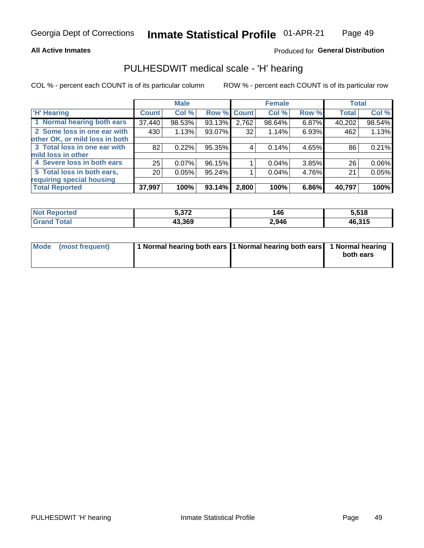### **All Active Inmates**

## Produced for General Distribution

## PULHESDWIT medical scale - 'H' hearing

COL % - percent each COUNT is of its particular column

|                                |                 | <b>Male</b> |             |       | <b>Female</b> |       | <b>Total</b> |        |
|--------------------------------|-----------------|-------------|-------------|-------|---------------|-------|--------------|--------|
| <b>'H' Hearing</b>             | <b>Count</b>    | Col %       | Row % Count |       | Col %         | Row % | <b>Total</b> | Col %  |
| 1 Normal hearing both ears     | 37,440          | 98.53%      | 93.13%      | 2,762 | 98.64%        | 6.87% | 40,202       | 98.54% |
| 2 Some loss in one ear with    | 430             | 1.13%       | 93.07%      | 32    | 1.14%         | 6.93% | 462          | 1.13%  |
| other OK, or mild loss in both |                 |             |             |       |               |       |              |        |
| 3 Total loss in one ear with   | 82              | 0.22%       | 95.35%      | 4     | 0.14%         | 4.65% | 86           | 0.21%  |
| mild loss in other             |                 |             |             |       |               |       |              |        |
| 4 Severe loss in both ears     | 25              | $0.07\%$    | 96.15%      |       | 0.04%         | 3.85% | 26           | 0.06%  |
| 5 Total loss in both ears,     | 20 <sub>1</sub> | 0.05%       | 95.24%      |       | 0.04%         | 4.76% | 21           | 0.05%  |
| requiring special housing      |                 |             |             |       |               |       |              |        |
| <b>Total Reported</b>          | 37,997          | 100%        | 93.14%      | 2,800 | 100%          | 6.86% | 40,797       | 100%   |

| <b>Not Reno</b><br>ື∩rted | $F \cap 70$<br>J, J, L | 146   | 5.518  |
|---------------------------|------------------------|-------|--------|
| Total                     | 43.369                 | 2,946 | 46,315 |

| Mode (most frequent) | 1 Normal hearing both ears 11 Normal hearing both ears 1 Normal hearing | both ears |
|----------------------|-------------------------------------------------------------------------|-----------|
|                      |                                                                         |           |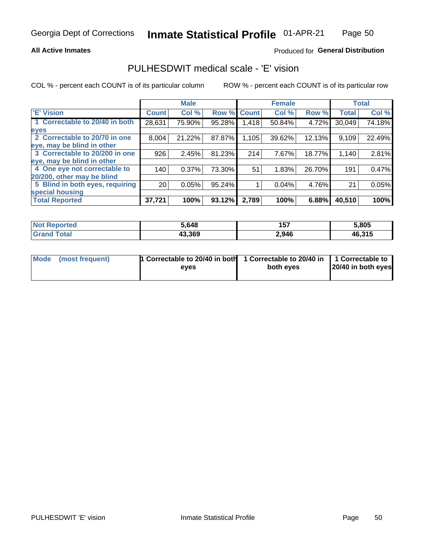### **All Active Inmates**

## Produced for General Distribution

## PULHESDWIT medical scale - 'E' vision

COL % - percent each COUNT is of its particular column

|                                 |                 | <b>Male</b> |        |              | <b>Female</b> |        |              | <b>Total</b> |
|---------------------------------|-----------------|-------------|--------|--------------|---------------|--------|--------------|--------------|
| <b>E' Vision</b>                | <b>Count</b>    | Col %       | Row %  | <b>Count</b> | Col %         | Row %  | <b>Total</b> | Col %        |
| 1 Correctable to 20/40 in both  | 28,631          | 75.90%      | 95.28% | 1,418        | 50.84%        | 4.72%  | 30,049       | 74.18%       |
| eyes                            |                 |             |        |              |               |        |              |              |
| 2 Correctable to 20/70 in one   | 8,004           | 21.22%      | 87.87% | 1,105        | 39.62%        | 12.13% | 9,109        | 22.49%       |
| eye, may be blind in other      |                 |             |        |              |               |        |              |              |
| 3 Correctable to 20/200 in one  | 926             | 2.45%       | 81.23% | 214          | 7.67%         | 18.77% | 1,140        | 2.81%        |
| eye, may be blind in other      |                 |             |        |              |               |        |              |              |
| 4 One eye not correctable to    | 140             | 0.37%       | 73.30% | 51           | 1.83%         | 26.70% | 191          | 0.47%        |
| 20/200, other may be blind      |                 |             |        |              |               |        |              |              |
| 5 Blind in both eyes, requiring | 20 <sub>1</sub> | 0.05%       | 95.24% |              | 0.04%         | 4.76%  | 21           | 0.05%        |
| special housing                 |                 |             |        |              |               |        |              |              |
| <b>Total Reported</b>           | 37,721          | 100%        | 93.12% | 2,789        | 100%          | 6.88%  | 40,510       | 100%         |

| <b>Not Reported</b> | 5.648  | 157   | 5,805  |
|---------------------|--------|-------|--------|
| <b>Total</b>        | 43,369 | 2,946 | 46,315 |

| Mode (most frequent) | 1 Correctable to 20/40 in both<br>eves | 1 Correctable to 20/40 in   1 Correctable to  <br>both eves | 20/40 in both eyes |
|----------------------|----------------------------------------|-------------------------------------------------------------|--------------------|
|                      |                                        |                                                             |                    |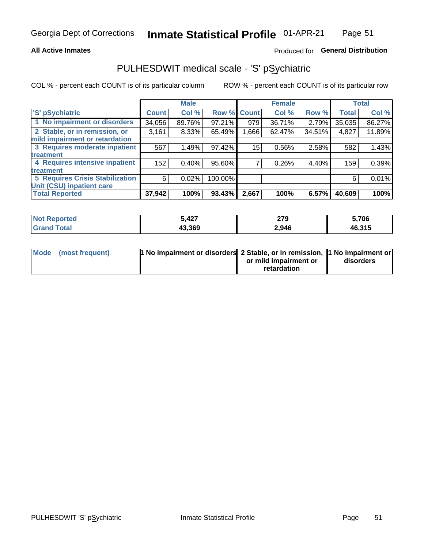### **All Active Inmates**

## Produced for General Distribution

## PULHESDWIT medical scale - 'S' pSychiatric

COL % - percent each COUNT is of its particular column

|                                        |              | <b>Male</b> |         |              | <b>Female</b> |        |              | <b>Total</b> |
|----------------------------------------|--------------|-------------|---------|--------------|---------------|--------|--------------|--------------|
| 'S' pSychiatric                        | <b>Count</b> | Col %       | Row %   | <b>Count</b> | Col %         | Row %  | <b>Total</b> | Col %        |
| 1 No impairment or disorders           | 34,056       | 89.76%      | 97.21%  | 979          | 36.71%        | 2.79%  | 35,035       | 86.27%       |
| 2 Stable, or in remission, or          | 3,161        | 8.33%       | 65.49%  | .666         | 62.47%        | 34.51% | 4,827        | 11.89%       |
| mild impairment or retardation         |              |             |         |              |               |        |              |              |
| 3 Requires moderate inpatient          | 567          | 1.49%       | 97.42%  | 15           | 0.56%         | 2.58%  | 582          | 1.43%        |
| <b>treatment</b>                       |              |             |         |              |               |        |              |              |
| 4 Requires intensive inpatient         | 152          | 0.40%       | 95.60%  |              | 0.26%         | 4.40%  | 159          | 0.39%        |
| <b>treatment</b>                       |              |             |         |              |               |        |              |              |
| <b>5 Requires Crisis Stabilization</b> | 6            | 0.02%       | 100.00% |              |               |        | 6            | 0.01%        |
| Unit (CSU) inpatient care              |              |             |         |              |               |        |              |              |
| <b>Total Reported</b>                  | 37,942       | 100%        | 93.43%  | 2,667        | 100%          | 6.57%  | 40,609       | 100%         |

| <b>Not Reported</b>   | 427.ز  | 270<br>21 Y | 5,706  |
|-----------------------|--------|-------------|--------|
| Total<br><b>Grand</b> | 43,369 | 2,946       | 46,315 |

| Mode (most frequent) | <b>1 No impairment or disorders 2 Stable, or in remission, 1 No impairment or</b> |                       |           |
|----------------------|-----------------------------------------------------------------------------------|-----------------------|-----------|
|                      |                                                                                   | or mild impairment or | disorders |
|                      |                                                                                   | retardation           |           |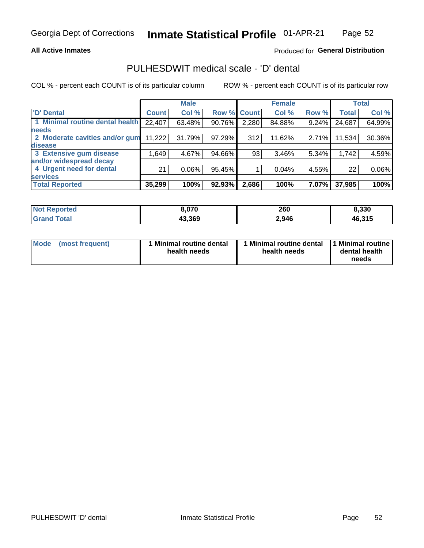## **All Active Inmates**

## Produced for General Distribution

## PULHESDWIT medical scale - 'D' dental

COL % - percent each COUNT is of its particular column

|                                 |              | <b>Male</b> |        |              | <b>Female</b> |          |              | <b>Total</b> |
|---------------------------------|--------------|-------------|--------|--------------|---------------|----------|--------------|--------------|
| <b>D'</b> Dental                | <b>Count</b> | Col %       | Row %  | <b>Count</b> | Col %         | Row %    | <b>Total</b> | Col %        |
| 1 Minimal routine dental health | 22,407       | 63.48%      | 90.76% | 2,280        | 84.88%        | $9.24\%$ | 24,687       | 64.99%       |
| <b>needs</b>                    |              |             |        |              |               |          |              |              |
| 2 Moderate cavities and/or gum  | 11,222       | 31.79%      | 97.29% | 312          | 11.62%        | 2.71%    | 11,534       | 30.36%       |
| disease                         |              |             |        |              |               |          |              |              |
| 3 Extensive gum disease         | 1,649        | 4.67%       | 94.66% | 93           | 3.46%         | 5.34%    | 1,742        | 4.59%        |
| and/or widespread decay         |              |             |        |              |               |          |              |              |
| 4 Urgent need for dental        | 21           | 0.06%       | 95.45% |              | 0.04%         | 4.55%    | 22           | 0.06%        |
| <b>services</b>                 |              |             |        |              |               |          |              |              |
| <b>Total Reported</b>           | 35,299       | 100%        | 92.93% | 2,686        | 100%          | 7.07%    | 37,985       | 100%         |

| <b>Not R</b><br><b>Phorted</b> | 5,070  | 260   | 8,330  |
|--------------------------------|--------|-------|--------|
| Гоtal<br>Grar                  | 43,369 | 2,946 | 46,315 |

| <b>Mode</b> | (most frequent) | Minimal routine dental<br>health needs | 1 Minimal routine dental 11 Minimal routine<br>health needs | dental health<br>needs |
|-------------|-----------------|----------------------------------------|-------------------------------------------------------------|------------------------|
|-------------|-----------------|----------------------------------------|-------------------------------------------------------------|------------------------|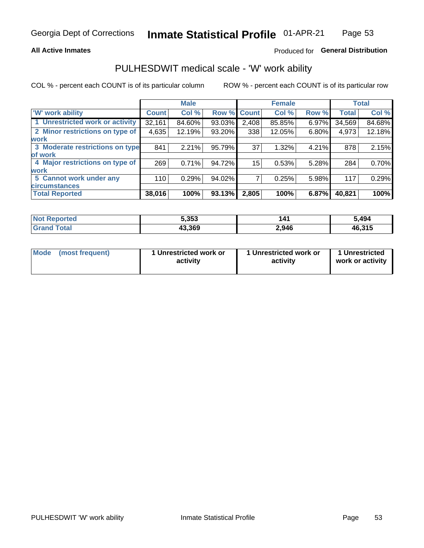### **All Active Inmates**

## Produced for General Distribution

## PULHESDWIT medical scale - 'W' work ability

COL % - percent each COUNT is of its particular column

|                                 |              | <b>Male</b> |                    |       | <b>Female</b> |       |              | <b>Total</b> |
|---------------------------------|--------------|-------------|--------------------|-------|---------------|-------|--------------|--------------|
| <b>W'</b> work ability          | <b>Count</b> | Col %       | <b>Row % Count</b> |       | Col %         | Row % | <b>Total</b> | Col %        |
| 1 Unrestricted work or activity | 32,161       | 84.60%      | 93.03%             | 2,408 | 85.85%        | 6.97% | 34,569       | 84.68%       |
| 2 Minor restrictions on type of | 4,635        | 12.19%      | 93.20%             | 338   | 12.05%        | 6.80% | 4,973        | 12.18%       |
| <b>work</b>                     |              |             |                    |       |               |       |              |              |
| 3 Moderate restrictions on type | 841          | 2.21%       | 95.79%             | 37    | 1.32%         | 4.21% | 878          | 2.15%        |
| of work                         |              |             |                    |       |               |       |              |              |
| 4 Major restrictions on type of | 269          | 0.71%       | 94.72%             | 15    | 0.53%         | 5.28% | 284          | 0.70%        |
| <b>work</b>                     |              |             |                    |       |               |       |              |              |
| 5 Cannot work under any         | 110          | 0.29%       | 94.02%             |       | 0.25%         | 5.98% | 117          | 0.29%        |
| <b>circumstances</b>            |              |             |                    |       |               |       |              |              |
| <b>Total Reported</b>           | 38,016       | 100%        | 93.13%             | 2,805 | 100%          | 6.87% | 40,821       | 100%         |

| <b>Not Reported</b>   | 5,353  | 141   | 5,494  |
|-----------------------|--------|-------|--------|
| Total<br><b>Grand</b> | 43,369 | 2,946 | 46,315 |

| Mode            | 1 Unrestricted work or | 1 Unrestricted work or | 1 Unrestricted   |
|-----------------|------------------------|------------------------|------------------|
| (most frequent) | activity               | activity               | work or activity |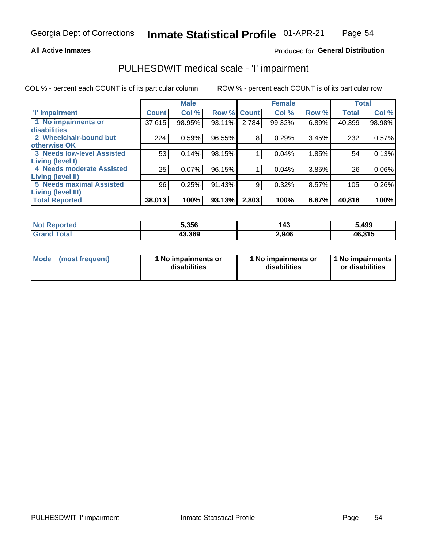### **All Active Inmates**

## Produced for General Distribution

## PULHESDWIT medical scale - 'I' impairment

COL % - percent each COUNT is of its particular column

|                                   |              | <b>Male</b> |        |             | <b>Female</b> |       |              | <b>Total</b> |
|-----------------------------------|--------------|-------------|--------|-------------|---------------|-------|--------------|--------------|
| <b>T' Impairment</b>              | <b>Count</b> | Col %       |        | Row % Count | Col %         | Row % | <b>Total</b> | Col %        |
| 1 No impairments or               | 37,615       | 98.95%      | 93.11% | 2,784       | 99.32%        | 6.89% | 40,399       | 98.98%       |
| disabilities                      |              |             |        |             |               |       |              |              |
| 2 Wheelchair-bound but            | 224          | 0.59%       | 96.55% | 8           | 0.29%         | 3.45% | 232          | 0.57%        |
| otherwise OK                      |              |             |        |             |               |       |              |              |
| <b>3 Needs low-level Assisted</b> | 53           | 0.14%       | 98.15% |             | 0.04%         | 1.85% | 54           | 0.13%        |
| Living (level I)                  |              |             |        |             |               |       |              |              |
| 4 Needs moderate Assisted         | 25           | 0.07%       | 96.15% |             | 0.04%         | 3.85% | 26           | $0.06\%$     |
| <b>Living (level II)</b>          |              |             |        |             |               |       |              |              |
| <b>5 Needs maximal Assisted</b>   | 96           | 0.25%       | 91.43% | 9           | 0.32%         | 8.57% | 105          | 0.26%        |
| <b>Living (level III)</b>         |              |             |        |             |               |       |              |              |
| <b>Total Reported</b>             | 38,013       | 100%        | 93.13% | 2,803       | 100%          | 6.87% | 40,816       | 100%         |

| Not F<br><b>Reported</b> | 5,356  | 143   | 5,499  |
|--------------------------|--------|-------|--------|
| Total<br>' Grand         | 43,369 | 2,946 | 46,315 |

| Mode | (most frequent) | 1 No impairments or<br>disabilities | 1 No impairments or<br>disabilities | 1 No impairments<br>or disabilities |
|------|-----------------|-------------------------------------|-------------------------------------|-------------------------------------|
|------|-----------------|-------------------------------------|-------------------------------------|-------------------------------------|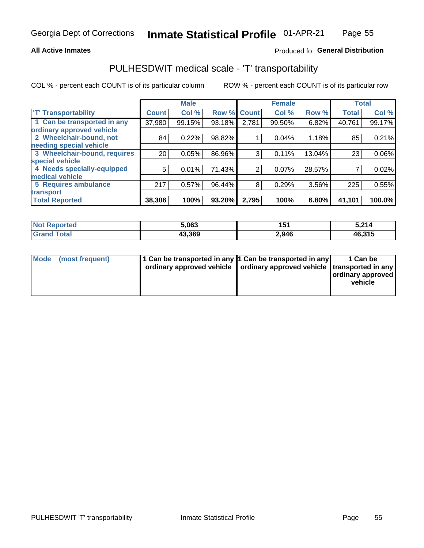## **All Active Inmates**

## Produced fo General Distribution

## PULHESDWIT medical scale - 'T' transportability

COL % - percent each COUNT is of its particular column

|                              |                 | <b>Male</b> |        |              | <b>Female</b> |        |              | <b>Total</b> |
|------------------------------|-----------------|-------------|--------|--------------|---------------|--------|--------------|--------------|
| <b>T' Transportability</b>   | <b>Count</b>    | Col %       | Row %  | <b>Count</b> | Col %         | Row %  | <b>Total</b> | Col %        |
| 1 Can be transported in any  | 37,980          | 99.15%      | 93.18% | 2,781        | 99.50%        | 6.82%  | 40,761       | 99.17%       |
| ordinary approved vehicle    |                 |             |        |              |               |        |              |              |
| 2 Wheelchair-bound, not      | 84              | 0.22%       | 98.82% |              | 0.04%         | 1.18%  | 85           | 0.21%        |
| needing special vehicle      |                 |             |        |              |               |        |              |              |
| 3 Wheelchair-bound, requires | 20 <sub>1</sub> | 0.05%       | 86.96% | 3            | 0.11%         | 13.04% | 23           | $0.06\%$     |
| special vehicle              |                 |             |        |              |               |        |              |              |
| 4 Needs specially-equipped   | 5               | 0.01%       | 71.43% | 2            | 0.07%         | 28.57% |              | 0.02%        |
| medical vehicle              |                 |             |        |              |               |        |              |              |
| <b>5 Requires ambulance</b>  | 217             | 0.57%       | 96.44% | 8            | 0.29%         | 3.56%  | 225          | 0.55%        |
| transport                    |                 |             |        |              |               |        |              |              |
| <b>Total Reported</b>        | 38,306          | 100%        | 93.20% | 2,795        | 100%          | 6.80%  | 41,101       | 100.0%       |

| $^{\mathrm{H}}$ Not $\mathrm{H}$<br>Reported | 5,063  | 154<br>IJ. | 5,214  |
|----------------------------------------------|--------|------------|--------|
| 'otal                                        | 43,369 | 2,946      | 46,315 |

|  | Mode (most frequent) | 1 Can be transported in any 1 Can be transported in any<br>ordinary approved vehicle   ordinary approved vehicle   transported in any |  | 1 Can be<br>  ordinary approved  <br>vehicle |
|--|----------------------|---------------------------------------------------------------------------------------------------------------------------------------|--|----------------------------------------------|
|--|----------------------|---------------------------------------------------------------------------------------------------------------------------------------|--|----------------------------------------------|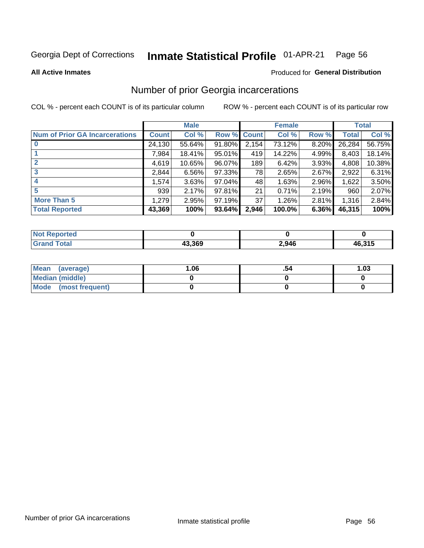#### Inmate Statistical Profile 01-APR-21 Page 56

**All Active Inmates** 

### **Produced for General Distribution**

## Number of prior Georgia incarcerations

COL % - percent each COUNT is of its particular column

|                                       |              | <b>Male</b> |                    |       | <b>Female</b> |       |        | <b>Total</b> |
|---------------------------------------|--------------|-------------|--------------------|-------|---------------|-------|--------|--------------|
| <b>Num of Prior GA Incarcerations</b> | <b>Count</b> | Col %       | <b>Row % Count</b> |       | Col %         | Row % | Total  | Col %        |
| $\bf{0}$                              | 24,130       | 55.64%      | 91.80%             | 2,154 | 73.12%        | 8.20% | 26,284 | 56.75%       |
|                                       | 7,984        | 18.41%      | 95.01%             | 419   | 14.22%        | 4.99% | 8,403  | 18.14%       |
| $\mathbf{2}$                          | 4,619        | 10.65%      | 96.07%             | 189   | 6.42%         | 3.93% | 4,808  | 10.38%       |
| 3                                     | 2,844        | 6.56%       | 97.33%             | 78    | 2.65%         | 2.67% | 2,922  | 6.31%        |
| 4                                     | 1,574        | 3.63%       | 97.04%             | 48    | 1.63%         | 2.96% | 1,622  | 3.50%        |
| 5                                     | 939          | 2.17%       | 97.81%             | 21    | 0.71%         | 2.19% | 960    | 2.07%        |
| <b>More Than 5</b>                    | 1,279        | 2.95%       | 97.19%             | 37    | 1.26%         | 2.81% | 1,316  | 2.84%        |
| <b>Total Reported</b>                 | 43,369       | 100%        | 93.64%             | 2,946 | 100.0%        | 6.36% | 46,315 | 100%         |

| orted<br>NO:      |        |       |        |
|-------------------|--------|-------|--------|
| <b>otal</b><br>Gr | 13.369 | 2,946 | 46,315 |

| Mean (average)         | 06.، | 1.03 |
|------------------------|------|------|
| <b>Median (middle)</b> |      |      |
| Mode (most frequent)   |      |      |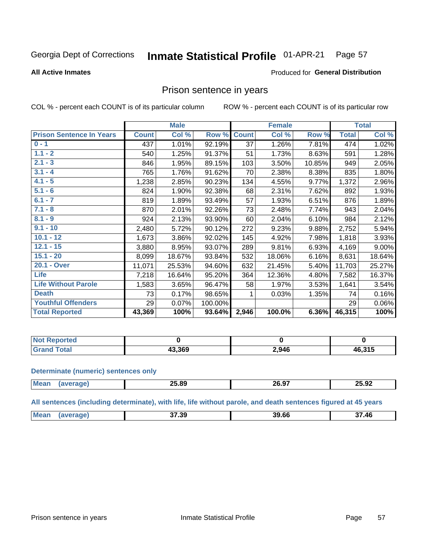#### Inmate Statistical Profile 01-APR-21 Page 57

**All Active Inmates** 

## **Produced for General Distribution**

## Prison sentence in years

COL % - percent each COUNT is of its particular column

ROW % - percent each COUNT is of its particular row

|                                 |              | <b>Male</b> |         |              | <b>Female</b> |        |              | <b>Total</b> |
|---------------------------------|--------------|-------------|---------|--------------|---------------|--------|--------------|--------------|
| <b>Prison Sentence In Years</b> | <b>Count</b> | Col %       | Row %   | <b>Count</b> | Col %         | Row %  | <b>Total</b> | Col %        |
| $0 - 1$                         | 437          | 1.01%       | 92.19%  | 37           | 1.26%         | 7.81%  | 474          | 1.02%        |
| $1.1 - 2$                       | 540          | 1.25%       | 91.37%  | 51           | 1.73%         | 8.63%  | 591          | 1.28%        |
| $2.1 - 3$                       | 846          | 1.95%       | 89.15%  | 103          | 3.50%         | 10.85% | 949          | 2.05%        |
| $3.1 - 4$                       | 765          | 1.76%       | 91.62%  | 70           | 2.38%         | 8.38%  | 835          | 1.80%        |
| $4.1 - 5$                       | 1,238        | 2.85%       | 90.23%  | 134          | 4.55%         | 9.77%  | 1,372        | 2.96%        |
| $5.1 - 6$                       | 824          | 1.90%       | 92.38%  | 68           | 2.31%         | 7.62%  | 892          | 1.93%        |
| $6.1 - 7$                       | 819          | 1.89%       | 93.49%  | 57           | 1.93%         | 6.51%  | 876          | 1.89%        |
| $7.1 - 8$                       | 870          | 2.01%       | 92.26%  | 73           | 2.48%         | 7.74%  | 943          | 2.04%        |
| $8.1 - 9$                       | 924          | 2.13%       | 93.90%  | 60           | 2.04%         | 6.10%  | 984          | 2.12%        |
| $9.1 - 10$                      | 2,480        | 5.72%       | 90.12%  | 272          | 9.23%         | 9.88%  | 2,752        | 5.94%        |
| $10.1 - 12$                     | 1,673        | 3.86%       | 92.02%  | 145          | 4.92%         | 7.98%  | 1,818        | 3.93%        |
| $12.1 - 15$                     | 3,880        | 8.95%       | 93.07%  | 289          | 9.81%         | 6.93%  | 4,169        | 9.00%        |
| $15.1 - 20$                     | 8,099        | 18.67%      | 93.84%  | 532          | 18.06%        | 6.16%  | 8,631        | 18.64%       |
| 20.1 - Over                     | 11,071       | 25.53%      | 94.60%  | 632          | 21.45%        | 5.40%  | 11,703       | 25.27%       |
| Life                            | 7,218        | 16.64%      | 95.20%  | 364          | 12.36%        | 4.80%  | 7,582        | 16.37%       |
| <b>Life Without Parole</b>      | 1,583        | 3.65%       | 96.47%  | 58           | 1.97%         | 3.53%  | 1,641        | 3.54%        |
| <b>Death</b>                    | 73           | 0.17%       | 98.65%  |              | 0.03%         | 1.35%  | 74           | 0.16%        |
| <b>Youthful Offenders</b>       | 29           | 0.07%       | 100.00% |              |               |        | 29           | 0.06%        |
| <b>Total Reported</b>           | 43,369       | 100%        | 93.64%  | 2,946        | 100.0%        | 6.36%  | 46,315       | 100%         |

| <b>Not Reported</b> |        |       |        |
|---------------------|--------|-------|--------|
| Total               | האף פו | 2,946 | 46,315 |

### **Determinate (numeric) sentences only**

| <b>Mean</b> | 25.89 | 20.97 | 25.92 |
|-------------|-------|-------|-------|
|             |       |       |       |

All sentences (including determinate), with life, life without parole, and death sentences figured at 45 years

| <b>Mean</b> | 37.39 | 39 66 | 37.46 |
|-------------|-------|-------|-------|
|             |       |       |       |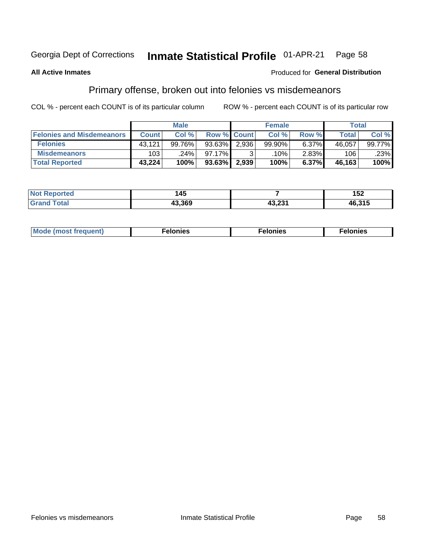#### Inmate Statistical Profile 01-APR-21 Page 58

### **All Active Inmates**

### **Produced for General Distribution**

## Primary offense, broken out into felonies vs misdemeanors

COL % - percent each COUNT is of its particular column

|                                  |              | <b>Male</b> |             |       | <b>Female</b> |          | Total        |        |
|----------------------------------|--------------|-------------|-------------|-------|---------------|----------|--------------|--------|
| <b>Felonies and Misdemeanors</b> | <b>Count</b> | Col %       | Row % Count |       | Col %         | Row %    | <b>Total</b> | Col %  |
| <b>Felonies</b>                  | 43.121       | 99.76%      | $93.63\%$   | 2,936 | 99.90%        | 6.37%    | 46.057       | 99.77% |
| <b>Misdemeanors</b>              | 103          | 24%         | 97.17%      |       | .10%          | $2.83\%$ | 106          | .23%   |
| <b>Total Reported</b>            | 43,224       | 100%        | $93.63\%$   | 2,939 | 100%          | 6.37%    | 46,163       | 100%   |

| <b>Not Reported</b> | 145    |                 | 152    |
|---------------------|--------|-----------------|--------|
| Total<br>l Grand    | 43.369 | גממ חו<br>TJ.LJ | 46,315 |

| Mo | ___ | 11 C.S<br>. | onies<br>. |
|----|-----|-------------|------------|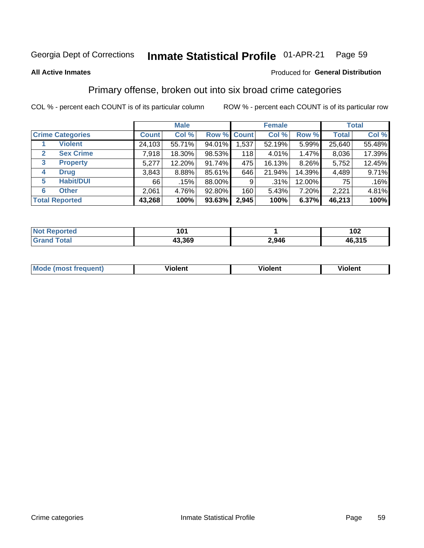#### Inmate Statistical Profile 01-APR-21 Page 59

### **All Active Inmates**

### Produced for General Distribution

## Primary offense, broken out into six broad crime categories

COL % - percent each COUNT is of its particular column

|                         | <b>Male</b>  |        |           | <b>Female</b>      |         |        | <b>Total</b> |        |
|-------------------------|--------------|--------|-----------|--------------------|---------|--------|--------------|--------|
| <b>Crime Categories</b> | <b>Count</b> | Col %  |           | <b>Row % Count</b> | Col %   | Row %  | <b>Total</b> | Col %  |
| <b>Violent</b>          | 24,103       | 55.71% | 94.01%    | 1,537              | 52.19%  | 5.99%  | 25,640       | 55.48% |
| <b>Sex Crime</b><br>2   | 7,918        | 18.30% | 98.53%    | 118                | 4.01%   | 1.47%  | 8,036        | 17.39% |
| 3<br><b>Property</b>    | 5,277        | 12.20% | 91.74%    | 475                | 16.13%  | 8.26%  | 5,752        | 12.45% |
| <b>Drug</b><br>4        | 3,843        | 8.88%  | 85.61%    | 646                | 21.94%  | 14.39% | 4,489        | 9.71%  |
| <b>Habit/DUI</b><br>5   | 66           | .15%   | 88.00%    | 9                  | $.31\%$ | 12.00% | 75           | .16%   |
| <b>Other</b><br>6       | 2,061        | 4.76%  | 92.80%    | 160                | 5.43%   | 7.20%  | 2,221        | 4.81%  |
| <b>Total Reported</b>   | 43,268       | 100%   | $93.63\%$ | 2,945              | 100%    | 6.37%  | 46,213       | 100%   |

| Reported<br>Not F      | י הי   |       | 102    |
|------------------------|--------|-------|--------|
| <b>Total</b><br>'Grano | 43,369 | 2,946 | 46,315 |

| M | - --<br>100011 | .<br><b>VIOIGIIL</b> | 1.91311 |
|---|----------------|----------------------|---------|
|   |                |                      |         |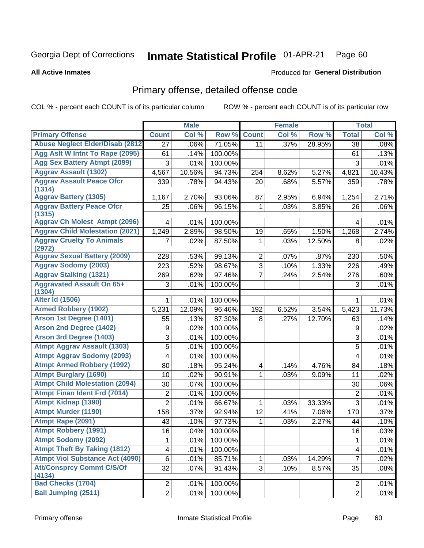#### Inmate Statistical Profile 01-APR-21 Page 60

**All Active Inmates** 

### **Produced for General Distribution**

## Primary offense, detailed offense code

COL % - percent each COUNT is of its particular column

|                                            |                          | <b>Male</b> |         |                         | <b>Female</b> |        |                | <b>Total</b> |
|--------------------------------------------|--------------------------|-------------|---------|-------------------------|---------------|--------|----------------|--------------|
| <b>Primary Offense</b>                     | <b>Count</b>             | Col %       | Row %   | <b>Count</b>            | Col %         | Row %  | <b>Total</b>   | Col %        |
| <b>Abuse Neglect Elder/Disab (2812)</b>    | $\overline{27}$          | .06%        | 71.05%  | 11                      | .37%          | 28.95% | 38             | .08%         |
| Agg Aslt W Intnt To Rape (2095)            | 61                       | .14%        | 100.00% |                         |               |        | 61             | .13%         |
| <b>Agg Sex Battery Atmpt (2099)</b>        | 3                        | .01%        | 100.00% |                         |               |        | 3              | .01%         |
| <b>Aggrav Assault (1302)</b>               | 4,567                    | 10.56%      | 94.73%  | 254                     | 8.62%         | 5.27%  | 4,821          | 10.43%       |
| <b>Aggrav Assault Peace Ofcr</b><br>(1314) | 339                      | .78%        | 94.43%  | 20                      | .68%          | 5.57%  | 359            | .78%         |
| <b>Aggrav Battery (1305)</b>               | 1,167                    | 2.70%       | 93.06%  | 87                      | 2.95%         | 6.94%  | 1,254          | 2.71%        |
| <b>Aggrav Battery Peace Ofcr</b><br>(1315) | 25                       | .06%        | 96.15%  | 1                       | .03%          | 3.85%  | 26             | .06%         |
| <b>Aggrav Ch Molest Atmpt (2096)</b>       | 4                        | .01%        | 100.00% |                         |               |        | 4              | .01%         |
| <b>Aggrav Child Molestation (2021)</b>     | 1,249                    | 2.89%       | 98.50%  | 19                      | .65%          | 1.50%  | 1,268          | 2.74%        |
| <b>Aggrav Cruelty To Animals</b><br>(2972) |                          | .02%        | 87.50%  | 1                       | .03%          | 12.50% | 8              | .02%         |
| <b>Aggrav Sexual Battery (2009)</b>        | 228                      | .53%        | 99.13%  | $\overline{2}$          | .07%          | .87%   | 230            | .50%         |
| <b>Aggrav Sodomy (2003)</b>                | 223                      | .52%        | 98.67%  | $\overline{3}$          | .10%          | 1.33%  | 226            | .49%         |
| <b>Aggrav Stalking (1321)</b>              | 269                      | .62%        | 97.46%  | $\overline{7}$          | .24%          | 2.54%  | 276            | .60%         |
| <b>Aggravated Assault On 65+</b><br>(1304) | 3                        | .01%        | 100.00% |                         |               |        | 3              | .01%         |
| <b>Alter Id (1506)</b>                     | 1                        | .01%        | 100.00% |                         |               |        | 1              | .01%         |
| <b>Armed Robbery (1902)</b>                | 5,231                    | 12.09%      | 96.46%  | 192                     | 6.52%         | 3.54%  | 5,423          | 11.73%       |
| Arson 1st Degree (1401)                    | 55                       | .13%        | 87.30%  | 8                       | .27%          | 12.70% | 63             | .14%         |
| <b>Arson 2nd Degree (1402)</b>             | 9                        | .02%        | 100.00% |                         |               |        | 9              | .02%         |
| <b>Arson 3rd Degree (1403)</b>             | $\sqrt{3}$               | .01%        | 100.00% |                         |               |        | 3              | .01%         |
| <b>Atmpt Aggrav Assault (1303)</b>         | 5                        | .01%        | 100.00% |                         |               |        | 5              | .01%         |
| <b>Atmpt Aggrav Sodomy (2093)</b>          | 4                        | .01%        | 100.00% |                         |               |        | 4              | .01%         |
| <b>Atmpt Armed Robbery (1992)</b>          | 80                       | .18%        | 95.24%  | $\overline{\mathbf{4}}$ | .14%          | 4.76%  | 84             | .18%         |
| <b>Atmpt Burglary (1690)</b>               | 10                       | .02%        | 90.91%  | 1                       | .03%          | 9.09%  | 11             | .02%         |
| <b>Atmpt Child Molestation (2094)</b>      | 30                       | .07%        | 100.00% |                         |               |        | 30             | .06%         |
| <b>Atmpt Finan Ident Frd (7014)</b>        | $\boldsymbol{2}$         | .01%        | 100.00% |                         |               |        | 2              | .01%         |
| <b>Atmpt Kidnap (1390)</b>                 | $\overline{2}$           | .01%        | 66.67%  | 1                       | .03%          | 33.33% | 3              | .01%         |
| <b>Atmpt Murder (1190)</b>                 | 158                      | .37%        | 92.94%  | 12                      | .41%          | 7.06%  | 170            | .37%         |
| Atmpt Rape (2091)                          | 43                       | .10%        | 97.73%  | 1                       | .03%          | 2.27%  | 44             | .10%         |
| <b>Atmpt Robbery (1991)</b>                | 16                       | .04%        | 100.00% |                         |               |        | 16             | .03%         |
| <b>Atmpt Sodomy (2092)</b>                 | 1                        | .01%        | 100.00% |                         |               |        | 1              | .01%         |
| <b>Atmpt Theft By Taking (1812)</b>        | $\overline{\mathcal{A}}$ | .01%        | 100.00% |                         |               |        | 4              | .01%         |
| <b>Atmpt Viol Substance Act (4090)</b>     | $\,6\,$                  | .01%        | 85.71%  | $\mathbf{1}$            | .03%          | 14.29% | $\overline{7}$ | .02%         |
| <b>Att/Consprcy Commt C/S/Of</b>           | 32                       | .07%        | 91.43%  | 3 <sup>1</sup>          | .10%          | 8.57%  | 35             | .08%         |
| (4134)                                     |                          |             |         |                         |               |        |                |              |
| <b>Bad Checks (1704)</b>                   | $\overline{2}$           | .01%        | 100.00% |                         |               |        | $\overline{2}$ | .01%         |
| <b>Bail Jumping (2511)</b>                 | $\overline{2}$           | .01%        | 100.00% |                         |               |        | $\overline{2}$ | .01%         |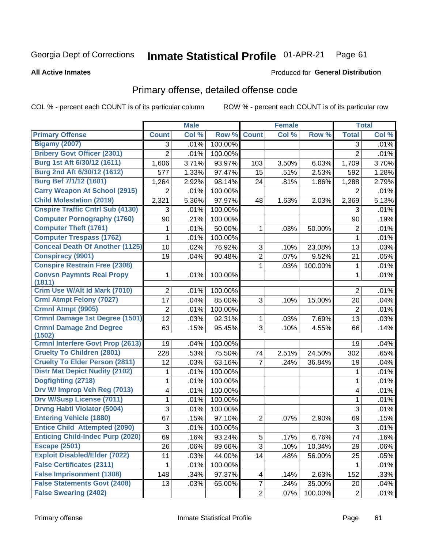#### Inmate Statistical Profile 01-APR-21 Page 61

**All Active Inmates** 

### Produced for General Distribution

## Primary offense, detailed offense code

COL % - percent each COUNT is of its particular column

|                                         |                | <b>Male</b> |         |                | <b>Female</b> |         |                | <b>Total</b> |
|-----------------------------------------|----------------|-------------|---------|----------------|---------------|---------|----------------|--------------|
| <b>Primary Offense</b>                  | <b>Count</b>   | Col %       | Row %   | <b>Count</b>   | Col %         | Row %   | <b>Total</b>   | Col %        |
| <b>Bigamy (2007)</b>                    | 3              | .01%        | 100.00% |                |               |         | 3              | .01%         |
| <b>Bribery Govt Officer (2301)</b>      | $\overline{2}$ | .01%        | 100.00% |                |               |         | $\overline{2}$ | .01%         |
| Burg 1st Aft 6/30/12 (1611)             | 1,606          | 3.71%       | 93.97%  | 103            | 3.50%         | 6.03%   | 1,709          | 3.70%        |
| Burg 2nd Aft 6/30/12 (1612)             | 577            | 1.33%       | 97.47%  | 15             | .51%          | 2.53%   | 592            | 1.28%        |
| Burg Bef 7/1/12 (1601)                  | 1,264          | 2.92%       | 98.14%  | 24             | .81%          | 1.86%   | 1,288          | 2.79%        |
| <b>Carry Weapon At School (2915)</b>    | 2              | .01%        | 100.00% |                |               |         | 2              | .01%         |
| <b>Child Molestation (2019)</b>         | 2,321          | 5.36%       | 97.97%  | 48             | 1.63%         | 2.03%   | 2,369          | 5.13%        |
| <b>Cnspire Traffic Cntrl Sub (4130)</b> | 3              | .01%        | 100.00% |                |               |         | 3              | .01%         |
| <b>Computer Pornography (1760)</b>      | 90             | .21%        | 100.00% |                |               |         | 90             | .19%         |
| <b>Computer Theft (1761)</b>            | 1              | .01%        | 50.00%  | 1              | .03%          | 50.00%  | $\overline{2}$ | .01%         |
| <b>Computer Trespass (1762)</b>         | 1              | .01%        | 100.00% |                |               |         | $\mathbf{1}$   | .01%         |
| <b>Conceal Death Of Another (1125)</b>  | 10             | .02%        | 76.92%  | 3              | .10%          | 23.08%  | 13             | .03%         |
| <b>Conspiracy (9901)</b>                | 19             | .04%        | 90.48%  | $\overline{2}$ | .07%          | 9.52%   | 21             | .05%         |
| <b>Conspire Restrain Free (2308)</b>    |                |             |         | 1              | .03%          | 100.00% | 1              | .01%         |
| <b>Convsn Paymnts Real Propy</b>        | 1              | .01%        | 100.00% |                |               |         | 1              | .01%         |
| (1811)<br>Crim Use W/Alt Id Mark (7010) |                |             |         |                |               |         |                |              |
| <b>Crml Atmpt Felony (7027)</b>         | 2              | .01%        | 100.00% |                |               |         | $\overline{2}$ | .01%         |
| Crmnl Atmpt (9905)                      | 17             | .04%        | 85.00%  | 3              | .10%          | 15.00%  | 20             | .04%         |
| Crmnl Damage 1st Degree (1501)          | $\overline{2}$ | .01%        | 100.00% |                |               |         | $\overline{2}$ | .01%         |
| <b>Crmnl Damage 2nd Degree</b>          | 12<br>63       | .03%        | 92.31%  | 1<br>3         | .03%          | 7.69%   | 13             | .03%         |
| (1502)                                  |                | .15%        | 95.45%  |                | .10%          | 4.55%   | 66             | .14%         |
| <b>Crmnl Interfere Govt Prop (2613)</b> | 19             | .04%        | 100.00% |                |               |         | 19             | .04%         |
| <b>Cruelty To Children (2801)</b>       | 228            | .53%        | 75.50%  | 74             | 2.51%         | 24.50%  | 302            | .65%         |
| <b>Cruelty To Elder Person (2811)</b>   | 12             | .03%        | 63.16%  | 7              | .24%          | 36.84%  | 19             | .04%         |
| <b>Distr Mat Depict Nudity (2102)</b>   | 1              | .01%        | 100.00% |                |               |         | 1              | .01%         |
| Dogfighting (2718)                      | 1              | .01%        | 100.00% |                |               |         | $\mathbf{1}$   | .01%         |
| Drv W/ Improp Veh Reg (7013)            | 4              | .01%        | 100.00% |                |               |         | 4              | .01%         |
| <b>Drv W/Susp License (7011)</b>        | 1              | .01%        | 100.00% |                |               |         | 1              | .01%         |
| <b>Drvng Habtl Violator (5004)</b>      | 3              | .01%        | 100.00% |                |               |         | $\mathfrak{S}$ | .01%         |
| <b>Entering Vehicle (1880)</b>          | 67             | .15%        | 97.10%  | $\overline{2}$ | .07%          | 2.90%   | 69             | .15%         |
| <b>Entice Child Attempted (2090)</b>    | 3              | .01%        | 100.00% |                |               |         | 3              | .01%         |
| <b>Enticing Child-Indec Purp (2020)</b> | 69             | .16%        | 93.24%  | 5              | .17%          | 6.76%   | 74             | .16%         |
| <b>Escape (2501)</b>                    | 26             | .06%        | 89.66%  | 3              | .10%          | 10.34%  | 29             | .06%         |
| <b>Exploit Disabled/Elder (7022)</b>    | 11             | .03%        | 44.00%  | 14             | .48%          | 56.00%  | 25             | .05%         |
| <b>False Certificates (2311)</b>        | 1              | .01%        | 100.00% |                |               |         | 1              | .01%         |
| <b>False Imprisonment (1308)</b>        | 148            | .34%        | 97.37%  | 4              | .14%          | 2.63%   | 152            | .33%         |
| <b>False Statements Govt (2408)</b>     | 13             | .03%        | 65.00%  | $\overline{7}$ | .24%          | 35.00%  | 20             | .04%         |
| <b>False Swearing (2402)</b>            |                |             |         | $\overline{2}$ | .07%          | 100.00% | $\sqrt{2}$     | .01%         |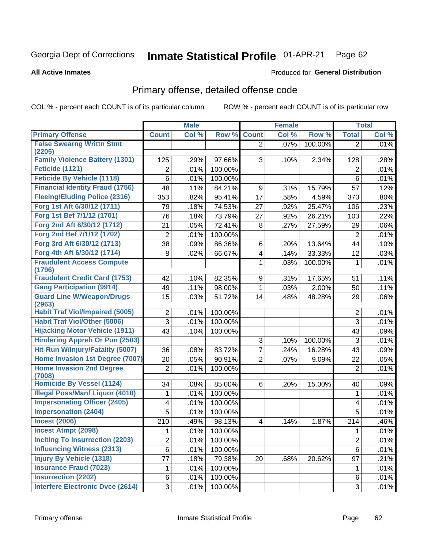#### Inmate Statistical Profile 01-APR-21 Page 62

**All Active Inmates** 

## **Produced for General Distribution**

## Primary offense, detailed offense code

COL % - percent each COUNT is of its particular column

|                                                          |                | <b>Male</b> |         |                | <b>Female</b> |         |                | <b>Total</b> |
|----------------------------------------------------------|----------------|-------------|---------|----------------|---------------|---------|----------------|--------------|
| <b>Primary Offense</b>                                   | <b>Count</b>   | Col %       | Row %   | <b>Count</b>   | Col %         | Row %   | <b>Total</b>   | Col %        |
| <b>False Swearng Writtn Stmt</b>                         |                |             |         | $\overline{2}$ | .07%          | 100.00% | $\overline{2}$ | .01%         |
| (2205)                                                   |                |             |         |                |               |         |                |              |
| <b>Family Violence Battery (1301)</b><br>Feticide (1121) | 125            | .29%        | 97.66%  | 3              | .10%          | 2.34%   | 128            | .28%         |
|                                                          | 2              | .01%        | 100.00% |                |               |         | 2              | .01%         |
| <b>Feticide By Vehicle (1118)</b>                        | 6              | .01%        | 100.00% |                |               |         | 6              | .01%         |
| <b>Financial Identity Fraud (1756)</b>                   | 48             | .11%        | 84.21%  | 9              | .31%          | 15.79%  | 57             | .12%         |
| <b>Fleeing/Eluding Police (2316)</b>                     | 353            | .82%        | 95.41%  | 17             | .58%          | 4.59%   | 370            | .80%         |
| Forg 1st Aft 6/30/12 (1711)                              | 79             | .18%        | 74.53%  | 27             | .92%          | 25.47%  | 106            | .23%         |
| Forg 1st Bef 7/1/12 (1701)                               | 76             | .18%        | 73.79%  | 27             | .92%          | 26.21%  | 103            | .22%         |
| Forg 2nd Aft 6/30/12 (1712)                              | 21             | .05%        | 72.41%  | 8              | .27%          | 27.59%  | 29             | .06%         |
| Forg 2nd Bef 7/1/12 (1702)                               | 2              | .01%        | 100.00% |                |               |         | $\overline{2}$ | .01%         |
| Forg 3rd Aft 6/30/12 (1713)                              | 38             | .09%        | 86.36%  | 6              | .20%          | 13.64%  | 44             | .10%         |
| Forg 4th Aft 6/30/12 (1714)                              | 8              | .02%        | 66.67%  | 4              | .14%          | 33.33%  | 12             | .03%         |
| <b>Fraudulent Access Compute</b><br>(1796)               |                |             |         | 1              | .03%          | 100.00% | 1              | .01%         |
| <b>Fraudulent Credit Card (1753)</b>                     | 42             | .10%        | 82.35%  | 9              | .31%          | 17.65%  | 51             | .11%         |
| <b>Gang Participation (9914)</b>                         | 49             | .11%        | 98.00%  | 1              | .03%          | 2.00%   | 50             | .11%         |
| <b>Guard Line W/Weapon/Drugs</b>                         | 15             | .03%        | 51.72%  | 14             | .48%          | 48.28%  | 29             | .06%         |
| (2963)                                                   |                |             |         |                |               |         |                |              |
| <b>Habit Traf Viol/Impaired (5005)</b>                   | 2              | .01%        | 100.00% |                |               |         | $\overline{2}$ | .01%         |
| <b>Habit Traf Viol/Other (5006)</b>                      | 3              | .01%        | 100.00% |                |               |         | 3              | .01%         |
| <b>Hijacking Motor Vehicle (1911)</b>                    | 43             | .10%        | 100.00% |                |               |         | 43             | .09%         |
| <b>Hindering Appreh Or Pun (2503)</b>                    |                |             |         | 3              | .10%          | 100.00% | 3              | .01%         |
| Hit-Run W/Injury/Fatality (5007)                         | 36             | .08%        | 83.72%  | $\overline{7}$ | .24%          | 16.28%  | 43             | .09%         |
| Home Invasion 1st Degree (7007)                          | 20             | .05%        | 90.91%  | $\overline{2}$ | .07%          | 9.09%   | 22             | .05%         |
| <b>Home Invasion 2nd Degree</b><br>(7008)                | $\overline{2}$ | .01%        | 100.00% |                |               |         | $\overline{2}$ | .01%         |
| <b>Homicide By Vessel (1124)</b>                         | 34             | .08%        | 85.00%  | 6              | .20%          | 15.00%  | 40             | .09%         |
| <b>Illegal Poss/Manf Liquor (4010)</b>                   | 1              | .01%        | 100.00% |                |               |         | 1              | .01%         |
| <b>Impersonating Officer (2405)</b>                      | 4              | .01%        | 100.00% |                |               |         | 4              | .01%         |
| <b>Impersonation (2404)</b>                              | 5              | .01%        | 100.00% |                |               |         | 5              | .01%         |
| <b>Incest (2006)</b>                                     | 210            | .49%        | 98.13%  | 4              | .14%          | 1.87%   | 214            | .46%         |
| <b>Incest Atmpt (2098)</b>                               | 1              | .01%        | 100.00% |                |               |         | 1              | .01%         |
| <b>Inciting To Insurrection (2203)</b>                   | $\overline{2}$ | .01%        | 100.00% |                |               |         | $\overline{2}$ | .01%         |
| <b>Influencing Witness (2313)</b>                        | 6              | .01%        | 100.00% |                |               |         | 6              | .01%         |
| <b>Injury By Vehicle (1318)</b>                          | 77             | .18%        | 79.38%  | 20             | .68%          | 20.62%  | 97             | .21%         |
| <b>Insurance Fraud (7023)</b>                            | 1              | .01%        | 100.00% |                |               |         | 1              | .01%         |
| <b>Insurrection (2202)</b>                               | 6              | .01%        | 100.00% |                |               |         | 6              | .01%         |
| <b>Interfere Electronic Dvce (2614)</b>                  | 3              | .01%        | 100.00% |                |               |         | $\mathfrak{S}$ | .01%         |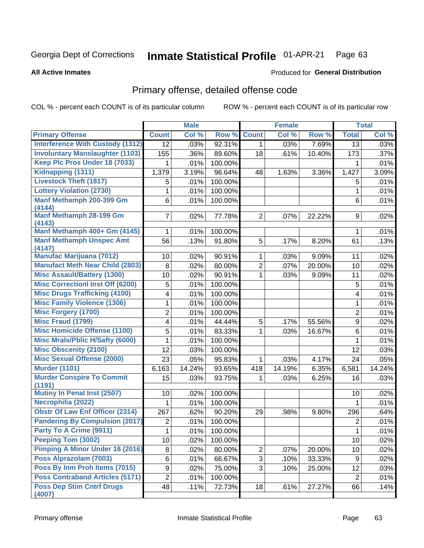#### **Inmate Statistical Profile 01-APR-21** Page 63

### **All Active Inmates**

## **Produced for General Distribution**

## Primary offense, detailed offense code

COL % - percent each COUNT is of its particular column

|                                            |                 | <b>Male</b> |         |                | <b>Female</b> |        |                | <b>Total</b> |
|--------------------------------------------|-----------------|-------------|---------|----------------|---------------|--------|----------------|--------------|
| <b>Primary Offense</b>                     | <b>Count</b>    | Col %       | Row %   | <b>Count</b>   | Col %         | Row %  | <b>Total</b>   | Col %        |
| <b>Interference With Custody (1312)</b>    | $\overline{12}$ | .03%        | 92.31%  | $\mathbf 1$    | .03%          | 7.69%  | 13             | .03%         |
| <b>Involuntary Manslaughter (1103)</b>     | 155             | .36%        | 89.60%  | 18             | .61%          | 10.40% | 173            | .37%         |
| Keep Plc Pros Under 18 (7033)              |                 | .01%        | 100.00% |                |               |        |                | .01%         |
| Kidnapping (1311)                          | 1,379           | 3.19%       | 96.64%  | 48             | 1.63%         | 3.36%  | 1,427          | 3.09%        |
| <b>Livestock Theft (1817)</b>              | 5               | .01%        | 100.00% |                |               |        | 5              | .01%         |
| <b>Lottery Violation (2730)</b>            | 1               | .01%        | 100.00% |                |               |        | $\mathbf{1}$   | .01%         |
| Manf Methamph 200-399 Gm<br>(4144)         | 6               | .01%        | 100.00% |                |               |        | 6              | .01%         |
| <b>Manf Methamph 28-199 Gm</b><br>(4143)   | 7               | .02%        | 77.78%  | $\overline{2}$ | .07%          | 22.22% | 9              | .02%         |
| Manf Methamph 400+ Gm (4145)               | 1               | .01%        | 100.00% |                |               |        | 1              | .01%         |
| <b>Manf Methamph Unspec Amt</b><br>(4147)  | 56              | .13%        | 91.80%  | 5              | .17%          | 8.20%  | 61             | .13%         |
| <b>Manufac Marijuana (7012)</b>            | 10              | .02%        | 90.91%  | $\mathbf 1$    | .03%          | 9.09%  | 11             | .02%         |
| <b>Manufact Meth Near Child (2803)</b>     | 8               | .02%        | 80.00%  | $\overline{2}$ | .07%          | 20.00% | 10             | .02%         |
| <b>Misc Assault/Battery (1300)</b>         | 10              | .02%        | 90.91%  | $\mathbf{1}$   | .03%          | 9.09%  | 11             | .02%         |
| <b>Misc Correctionl Inst Off (6200)</b>    | 5               | .01%        | 100.00% |                |               |        | 5              | .01%         |
| <b>Misc Drugs Trafficking (4100)</b>       | 4               | .01%        | 100.00% |                |               |        | 4              | .01%         |
| <b>Misc Family Violence (1306)</b>         | 1               | .01%        | 100.00% |                |               |        | 1              | .01%         |
| <b>Misc Forgery (1700)</b>                 | $\overline{2}$  | .01%        | 100.00% |                |               |        | $\overline{2}$ | .01%         |
| <b>Misc Fraud (1799)</b>                   | 4               | .01%        | 44.44%  | 5              | .17%          | 55.56% | 9              | .02%         |
| <b>Misc Homicide Offense (1100)</b>        | 5               | .01%        | 83.33%  | $\mathbf{1}$   | .03%          | 16.67% | 6              | .01%         |
| <b>Misc Mrals/Pblic H/Safty (6000)</b>     | 1               | .01%        | 100.00% |                |               |        | 1              | .01%         |
| <b>Misc Obscenity (2100)</b>               | 12              | .03%        | 100.00% |                |               |        | 12             | .03%         |
| <b>Misc Sexual Offense (2000)</b>          | 23              | .05%        | 95.83%  | $\mathbf{1}$   | .03%          | 4.17%  | 24             | .05%         |
| <b>Murder (1101)</b>                       | 6,163           | 14.24%      | 93.65%  | 418            | 14.19%        | 6.35%  | 6,581          | 14.24%       |
| <b>Murder Conspire To Commit</b><br>(1191) | 15              | .03%        | 93.75%  | 1.             | .03%          | 6.25%  | 16             | .03%         |
| Mutiny In Penal Inst (2507)                | 10              | .02%        | 100.00% |                |               |        | 10             | .02%         |
| Necrophilia (2022)                         | 1               | .01%        | 100.00% |                |               |        | 1              | .01%         |
| <b>Obstr Of Law Enf Officer (2314)</b>     | 267             | .62%        | 90.20%  | 29             | .98%          | 9.80%  | 296            | .64%         |
| <b>Pandering By Compulsion (2017)</b>      | 2               | .01%        | 100.00% |                |               |        | $\overline{2}$ | .01%         |
| Party To A Crime (9911)                    | $\mathbf 1$     | .01%        | 100.00% |                |               |        | $\mathbf 1$    | .01%         |
| <b>Peeping Tom (3002)</b>                  | 10              | .02%        | 100.00% |                |               |        | 10             | .02%         |
| <b>Pimping A Minor Under 18 (2016)</b>     | 8               | .02%        | 80.00%  | $\overline{2}$ | .07%          | 20.00% | 10             | .02%         |
| Poss Alprazolam (7003)                     | 6               | .01%        | 66.67%  | $\overline{3}$ | .10%          | 33.33% | 9              | .02%         |
| Poss By Inm Proh Items (7015)              | 9               | .02%        | 75.00%  | 3              | .10%          | 25.00% | 12             | .03%         |
| <b>Poss Contraband Articles (5171)</b>     | $\overline{2}$  | .01%        | 100.00% |                |               |        | $\overline{2}$ | .01%         |
| <b>Poss Dep Stim Cntrf Drugs</b><br>(4007) | 48              | .11%        | 72.73%  | 18             | .61%          | 27.27% | 66             | .14%         |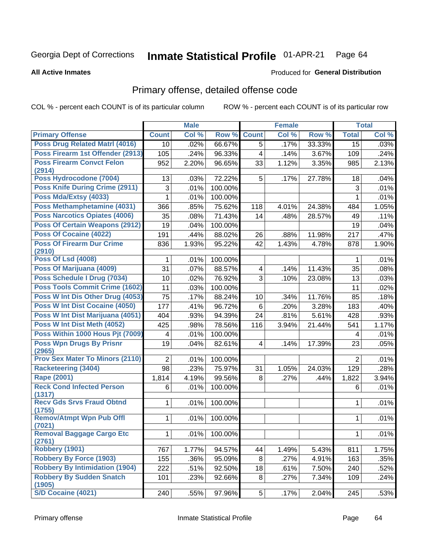#### Inmate Statistical Profile 01-APR-21 Page 64

### **All Active Inmates**

### Produced for General Distribution

## Primary offense, detailed offense code

COL % - percent each COUNT is of its particular column

|                                            |                 | <b>Male</b> |                  |                         | <b>Female</b> |        |                | <b>Total</b> |
|--------------------------------------------|-----------------|-------------|------------------|-------------------------|---------------|--------|----------------|--------------|
| <b>Primary Offense</b>                     | <b>Count</b>    | Col %       | Row <sup>%</sup> | <b>Count</b>            | Col %         | Row %  | <b>Total</b>   | Col %        |
| <b>Poss Drug Related Matri (4016)</b>      | 10 <sup>1</sup> | .02%        | 66.67%           | $\overline{5}$          | .17%          | 33.33% | 15             | .03%         |
| Poss Firearm 1st Offender (2913)           | 105             | .24%        | 96.33%           | $\overline{\mathbf{4}}$ | .14%          | 3.67%  | 109            | .24%         |
| <b>Poss Firearm Convct Felon</b><br>(2914) | 952             | 2.20%       | 96.65%           | 33                      | 1.12%         | 3.35%  | 985            | 2.13%        |
| Poss Hydrocodone (7004)                    | 13              | .03%        | 72.22%           | 5                       | .17%          | 27.78% | 18             | .04%         |
| <b>Poss Knife During Crime (2911)</b>      | 3               | .01%        | 100.00%          |                         |               |        | 3              | .01%         |
| Poss Mda/Extsy (4033)                      | 1               | .01%        | 100.00%          |                         |               |        | 1              | .01%         |
| Poss Methamphetamine (4031)                | 366             | .85%        | 75.62%           | 118                     | 4.01%         | 24.38% | 484            | 1.05%        |
| <b>Poss Narcotics Opiates (4006)</b>       | 35              | .08%        | 71.43%           | 14                      | .48%          | 28.57% | 49             | .11%         |
| <b>Poss Of Certain Weapons (2912)</b>      | 19              | .04%        | 100.00%          |                         |               |        | 19             | .04%         |
| <b>Poss Of Cocaine (4022)</b>              | 191             | .44%        | 88.02%           | 26                      | .88%          | 11.98% | 217            | .47%         |
| <b>Poss Of Firearm Dur Crime</b>           | 836             | 1.93%       | 95.22%           | 42                      | 1.43%         | 4.78%  | 878            | 1.90%        |
| (2910)                                     |                 |             |                  |                         |               |        |                |              |
| <b>Poss Of Lsd (4008)</b>                  | 1               | .01%        | 100.00%          |                         |               |        | 1              | .01%         |
| Poss Of Marijuana (4009)                   | 31              | .07%        | 88.57%           | $\overline{\mathbf{4}}$ | .14%          | 11.43% | 35             | .08%         |
| Poss Schedule I Drug (7034)                | 10              | .02%        | 76.92%           | 3                       | .10%          | 23.08% | 13             | .03%         |
| <b>Poss Tools Commit Crime (1602)</b>      | 11              | .03%        | 100.00%          |                         |               |        | 11             | .02%         |
| Poss W Int Dis Other Drug (4053)           | 75              | .17%        | 88.24%           | 10                      | .34%          | 11.76% | 85             | .18%         |
| <b>Poss W Int Dist Cocaine (4050)</b>      | 177             | .41%        | 96.72%           | $6\phantom{a}$          | .20%          | 3.28%  | 183            | .40%         |
| Poss W Int Dist Marijuana (4051)           | 404             | .93%        | 94.39%           | 24                      | .81%          | 5.61%  | 428            | .93%         |
| Poss W Int Dist Meth (4052)                | 425             | .98%        | 78.56%           | 116                     | 3.94%         | 21.44% | 541            | 1.17%        |
| Poss Within 1000 Hous Pjt (7009)           | 4               | .01%        | 100.00%          |                         |               |        | 4              | .01%         |
| <b>Poss Wpn Drugs By Prisnr</b><br>(2965)  | 19              | .04%        | 82.61%           | $\overline{\mathbf{4}}$ | .14%          | 17.39% | 23             | .05%         |
| Prov Sex Mater To Minors (2110)            | $\overline{2}$  | .01%        | 100.00%          |                         |               |        | $\overline{2}$ | .01%         |
| <b>Racketeering (3404)</b>                 | 98              | .23%        | 75.97%           | 31                      | 1.05%         | 24.03% | 129            | .28%         |
| Rape (2001)                                | 1,814           | 4.19%       | 99.56%           | 8                       | .27%          | .44%   | 1,822          | 3.94%        |
| <b>Reck Cond Infected Person</b>           | 6               | .01%        | 100.00%          |                         |               |        | 6              | .01%         |
| (1317)                                     |                 |             |                  |                         |               |        |                |              |
| <b>Recv Gds Srvs Fraud Obtnd</b><br>(1755) | $\mathbf{1}$    | .01%        | 100.00%          |                         |               |        | 1              | .01%         |
| <b>Remov/Atmpt Wpn Pub Offl</b>            | $\mathbf{1}$    | .01%        | 100.00%          |                         |               |        | 1              | .01%         |
| (7021)                                     |                 |             |                  |                         |               |        |                |              |
| <b>Removal Baggage Cargo Etc</b><br>(2761) | 1               | .01%        | 100.00%          |                         |               |        | $\mathbf 1$    | .01%         |
| <b>Robbery (1901)</b>                      | 767             | 1.77%       | 94.57%           | 44                      | 1.49%         | 5.43%  | 811            | 1.75%        |
| <b>Robbery By Force (1903)</b>             | 155             | .36%        | 95.09%           | 8                       | .27%          | 4.91%  | 163            | .35%         |
| <b>Robbery By Intimidation (1904)</b>      | 222             | .51%        | 92.50%           | 18                      | .61%          | 7.50%  | 240            | .52%         |
| <b>Robbery By Sudden Snatch</b><br>(1905)  | 101             | .23%        | 92.66%           | 8                       | .27%          | 7.34%  | 109            | .24%         |
| S/D Cocaine (4021)                         | 240             | .55%        | 97.96%           | 5                       | .17%          | 2.04%  | 245            | .53%         |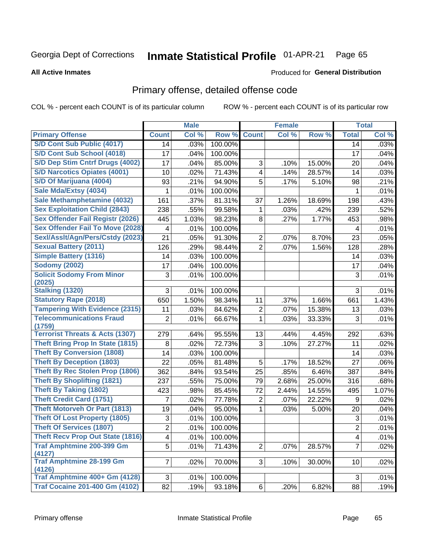#### Inmate Statistical Profile 01-APR-21 Page 65

### **All Active Inmates**

## **Produced for General Distribution**

## Primary offense, detailed offense code

COL % - percent each COUNT is of its particular column

|                                            |                | <b>Male</b> |         |                         | <b>Female</b> |        |                | <b>Total</b> |
|--------------------------------------------|----------------|-------------|---------|-------------------------|---------------|--------|----------------|--------------|
| <b>Primary Offense</b>                     | <b>Count</b>   | Col %       | Row %   | <b>Count</b>            | Col %         | Row %  | <b>Total</b>   | Col %        |
| S/D Cont Sub Public (4017)                 | 14             | .03%        | 100.00% |                         |               |        | 14             | .03%         |
| S/D Cont Sub School (4018)                 | 17             | .04%        | 100.00% |                         |               |        | 17             | .04%         |
| S/D Dep Stim Cntrf Drugs (4002)            | 17             | .04%        | 85.00%  | 3                       | .10%          | 15.00% | 20             | .04%         |
| <b>S/D Narcotics Opiates (4001)</b>        | 10             | .02%        | 71.43%  | $\overline{\mathbf{4}}$ | .14%          | 28.57% | 14             | .03%         |
| S/D Of Marijuana (4004)                    | 93             | .21%        | 94.90%  | 5                       | .17%          | 5.10%  | 98             | .21%         |
| Sale Mda/Extsy (4034)                      | 1              | .01%        | 100.00% |                         |               |        | 1              | .01%         |
| Sale Methamphetamine (4032)                | 161            | .37%        | 81.31%  | 37                      | 1.26%         | 18.69% | 198            | .43%         |
| <b>Sex Exploitation Child (2843)</b>       | 238            | .55%        | 99.58%  | 1                       | .03%          | .42%   | 239            | .52%         |
| <b>Sex Offender Fail Registr (2026)</b>    | 445            | 1.03%       | 98.23%  | 8                       | .27%          | 1.77%  | 453            | .98%         |
| <b>Sex Offender Fail To Move (2028)</b>    | 4              | .01%        | 100.00% |                         |               |        | 4              | .01%         |
| Sexl/Asslt/Agn/Pers/Cstdy (2023)           | 21             | .05%        | 91.30%  | $\overline{c}$          | .07%          | 8.70%  | 23             | .05%         |
| <b>Sexual Battery (2011)</b>               | 126            | .29%        | 98.44%  | $\overline{2}$          | .07%          | 1.56%  | 128            | .28%         |
| <b>Simple Battery (1316)</b>               | 14             | .03%        | 100.00% |                         |               |        | 14             | .03%         |
| <b>Sodomy (2002)</b>                       | 17             | .04%        | 100.00% |                         |               |        | 17             | .04%         |
| <b>Solicit Sodomy From Minor</b>           | 3              | .01%        | 100.00% |                         |               |        | 3              | .01%         |
| (2025)                                     |                |             |         |                         |               |        |                |              |
| <b>Stalking (1320)</b>                     | 3              | .01%        | 100.00% |                         |               |        | 3              | .01%         |
| <b>Statutory Rape (2018)</b>               | 650            | 1.50%       | 98.34%  | 11                      | .37%          | 1.66%  | 661            | 1.43%        |
| <b>Tampering With Evidence (2315)</b>      | 11             | .03%        | 84.62%  | 2                       | .07%          | 15.38% | 13             | .03%         |
| <b>Telecommunications Fraud</b><br>(1759)  | $\overline{2}$ | .01%        | 66.67%  | 1                       | .03%          | 33.33% | 3              | .01%         |
| <b>Terrorist Threats &amp; Acts (1307)</b> | 279            | .64%        | 95.55%  | 13                      | .44%          | 4.45%  | 292            | .63%         |
| <b>Theft Bring Prop In State (1815)</b>    | 8              | .02%        | 72.73%  | 3                       | .10%          | 27.27% | 11             | .02%         |
| <b>Theft By Conversion (1808)</b>          | 14             | .03%        | 100.00% |                         |               |        | 14             | .03%         |
| <b>Theft By Deception (1803)</b>           | 22             | .05%        | 81.48%  | 5                       | .17%          | 18.52% | 27             | .06%         |
| <b>Theft By Rec Stolen Prop (1806)</b>     | 362            | .84%        | 93.54%  | 25                      | .85%          | 6.46%  | 387            | .84%         |
| <b>Theft By Shoplifting (1821)</b>         | 237            | .55%        | 75.00%  | 79                      | 2.68%         | 25.00% | 316            | .68%         |
| <b>Theft By Taking (1802)</b>              | 423            | .98%        | 85.45%  | 72                      | 2.44%         | 14.55% | 495            | 1.07%        |
| <b>Theft Credit Card (1751)</b>            | 7              | .02%        | 77.78%  | $\overline{2}$          | .07%          | 22.22% | 9              | .02%         |
| <b>Theft Motorveh Or Part (1813)</b>       | 19             | .04%        | 95.00%  | 1                       | .03%          | 5.00%  | 20             | .04%         |
| <b>Theft Of Lost Property (1805)</b>       | 3              | .01%        | 100.00% |                         |               |        | 3              | .01%         |
| <b>Theft Of Services (1807)</b>            | $\overline{2}$ | .01%        | 100.00% |                         |               |        | $\overline{2}$ | .01%         |
| <b>Theft Recv Prop Out State (1816)</b>    | 4              | .01%        | 100.00% |                         |               |        | 4              | .01%         |
| <b>Traf Amphtmine 200-399 Gm</b>           | 5              | .01%        | 71.43%  | $\overline{2}$          | .07%          | 28.57% | $\overline{7}$ | .02%         |
| (4127)                                     |                |             |         |                         |               |        |                |              |
| <b>Traf Amphtmine 28-199 Gm</b>            | $\overline{7}$ | .02%        | 70.00%  | 3                       | .10%          | 30.00% | 10             | .02%         |
| (4126)<br>Traf Amphtmine 400+ Gm (4128)    |                |             |         |                         |               |        |                |              |
|                                            | $\mathfrak{S}$ | .01%        | 100.00% |                         |               |        | $\sqrt{3}$     | .01%         |
| <b>Traf Cocaine 201-400 Gm (4102)</b>      | 82             | .19%        | 93.18%  | $6\vert$                | .20%          | 6.82%  | 88             | .19%         |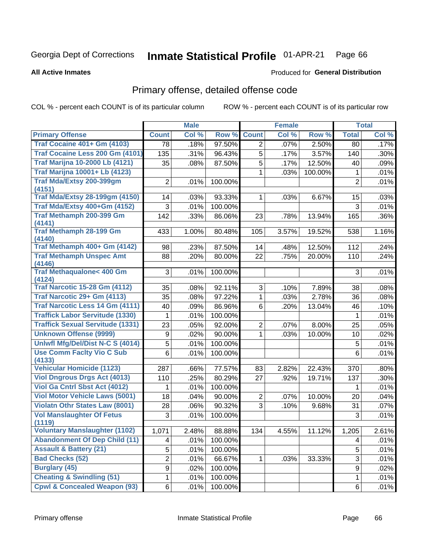#### Inmate Statistical Profile 01-APR-21 Page 66

**All Active Inmates** 

### Produced for General Distribution

## Primary offense, detailed offense code

COL % - percent each COUNT is of its particular column

|                                               |                | <b>Male</b> |         |                | <b>Female</b> |         |                | <b>Total</b> |
|-----------------------------------------------|----------------|-------------|---------|----------------|---------------|---------|----------------|--------------|
| <b>Primary Offense</b>                        | <b>Count</b>   | Col %       | Row %   | <b>Count</b>   | Col %         | Row %   | <b>Total</b>   | Col %        |
| <b>Traf Cocaine 401+ Gm (4103)</b>            | 78             | .18%        | 97.50%  | $\overline{2}$ | .07%          | 2.50%   | 80             | .17%         |
| Traf Cocaine Less 200 Gm (4101)               | 135            | .31%        | 96.43%  | 5              | .17%          | 3.57%   | 140            | .30%         |
| <b>Traf Marijna 10-2000 Lb (4121)</b>         | 35             | .08%        | 87.50%  | 5              | .17%          | 12.50%  | 40             | .09%         |
| <b>Traf Marijna 10001+ Lb (4123)</b>          |                |             |         | $\mathbf 1$    | .03%          | 100.00% | 1              | .01%         |
| <b>Traf Mda/Extsy 200-399gm</b>               | $\overline{2}$ | .01%        | 100.00% |                |               |         | $\overline{2}$ | .01%         |
| (4151)                                        |                |             |         |                |               |         |                |              |
| <b>Traf Mda/Extsy 28-199gm (4150)</b>         | 14             | .03%        | 93.33%  | $\mathbf{1}$   | .03%          | 6.67%   | 15             | .03%         |
| Traf Mda/Extsy 400+Gm (4152)                  | 3              | .01%        | 100.00% |                |               |         | 3              | .01%         |
| <b>Traf Methamph 200-399 Gm</b><br>(4141)     | 142            | .33%        | 86.06%  | 23             | .78%          | 13.94%  | 165            | .36%         |
| <b>Traf Methamph 28-199 Gm</b><br>(4140)      | 433            | 1.00%       | 80.48%  | 105            | 3.57%         | 19.52%  | 538            | 1.16%        |
| Traf Methamph 400+ Gm (4142)                  | 98             | .23%        | 87.50%  | 14             | .48%          | 12.50%  | 112            | .24%         |
| <b>Traf Methamph Unspec Amt</b>               | 88             | .20%        | 80.00%  | 22             | .75%          | 20.00%  | 110            | .24%         |
| (4146)                                        |                |             |         |                |               |         |                |              |
| <b>Traf Methaqualone&lt; 400 Gm</b><br>(4124) | 3              | .01%        | 100.00% |                |               |         | 3              | .01%         |
| <b>Traf Narcotic 15-28 Gm (4112)</b>          | 35             | .08%        | 92.11%  | 3              | .10%          | 7.89%   | 38             | .08%         |
| Traf Narcotic 29+ Gm (4113)                   | 35             | .08%        | 97.22%  | $\mathbf{1}$   | .03%          | 2.78%   | 36             | .08%         |
| <b>Traf Narcotic Less 14 Gm (4111)</b>        | 40             | .09%        | 86.96%  | 6              | .20%          | 13.04%  | 46             | .10%         |
| <b>Traffick Labor Servitude (1330)</b>        | 1              | .01%        | 100.00% |                |               |         | 1              | .01%         |
| <b>Traffick Sexual Servitude (1331)</b>       | 23             | .05%        | 92.00%  | $\overline{2}$ | .07%          | 8.00%   | 25             | .05%         |
| <b>Unknown Offense (9999)</b>                 | 9              | .02%        | 90.00%  | $\mathbf{1}$   | .03%          | 10.00%  | 10             | .02%         |
| Uniwfl Mfg/Del/Dist N-C S (4014)              | 5              | .01%        | 100.00% |                |               |         | 5              | .01%         |
| <b>Use Comm Facity Vio C Sub</b>              | 6              | .01%        | 100.00% |                |               |         | $6\phantom{1}$ | .01%         |
| (4133)                                        |                |             |         |                |               |         |                |              |
| <b>Vehicular Homicide (1123)</b>              | 287            | .66%        | 77.57%  | 83             | 2.82%         | 22.43%  | 370            | .80%         |
| <b>Viol Dngrous Drgs Act (4013)</b>           | 110            | .25%        | 80.29%  | 27             | .92%          | 19.71%  | 137            | .30%         |
| Viol Ga Cntrl Sbst Act (4012)                 | 1              | .01%        | 100.00% |                |               |         | 1              | .01%         |
| <b>Viol Motor Vehicle Laws (5001)</b>         | 18             | .04%        | 90.00%  | $\overline{2}$ | .07%          | 10.00%  | 20             | .04%         |
| <b>Violatn Othr States Law (8001)</b>         | 28             | .06%        | 90.32%  | 3              | .10%          | 9.68%   | 31             | .07%         |
| <b>Vol Manslaughter Of Fetus</b>              | 3              | .01%        | 100.00% |                |               |         | 3              | .01%         |
| (1119)                                        |                |             |         |                |               |         |                |              |
| <b>Voluntary Manslaughter (1102)</b>          | 1,071          | 2.48%       | 88.88%  | 134            | 4.55%         | 11.12%  | 1,205          | 2.61%        |
| <b>Abandonment Of Dep Child (11)</b>          | 4              | .01%        | 100.00% |                |               |         | 4              | .01%         |
| <b>Assault &amp; Battery (21)</b>             | 5              | .01%        | 100.00% |                |               |         | 5              | .01%         |
| <b>Bad Checks (52)</b>                        | 2              | .01%        | 66.67%  | $\mathbf{1}$   | .03%          | 33.33%  | 3              | .01%         |
| <b>Burglary (45)</b>                          | 9              | .02%        | 100.00% |                |               |         | 9              | .02%         |
| <b>Cheating &amp; Swindling (51)</b>          | 1              | .01%        | 100.00% |                |               |         | $\mathbf 1$    | .01%         |
| <b>Cpwl &amp; Concealed Weapon (93)</b>       | 6              | .01%        | 100.00% |                |               |         | 6              | .01%         |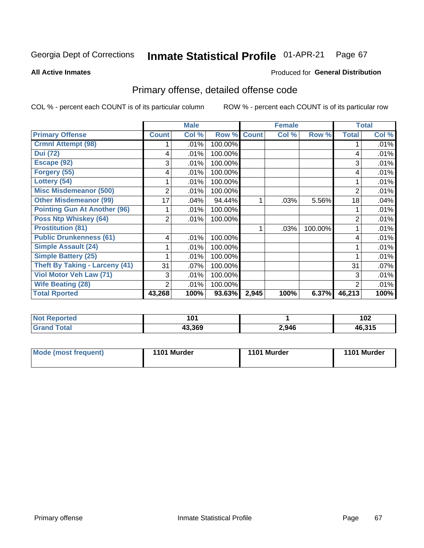#### Inmate Statistical Profile 01-APR-21 Page 67

**All Active Inmates** 

### Produced for General Distribution

## Primary offense, detailed offense code

COL % - percent each COUNT is of its particular column

|                                       |              | <b>Male</b> |         |              | <b>Female</b> |         |                | <b>Total</b> |
|---------------------------------------|--------------|-------------|---------|--------------|---------------|---------|----------------|--------------|
| <b>Primary Offense</b>                | <b>Count</b> | Col %       | Row %   | <b>Count</b> | Col %         | Row %   | <b>Total</b>   | Col %        |
| <b>Crmnl Attempt (98)</b>             |              | .01%        | 100.00% |              |               |         |                | .01%         |
| <b>Dui</b> (72)                       | 4            | .01%        | 100.00% |              |               |         | 4              | .01%         |
| Escape (92)                           | 3            | .01%        | 100.00% |              |               |         | 3              | .01%         |
| Forgery (55)                          | 4            | .01%        | 100.00% |              |               |         | 4              | .01%         |
| Lottery (54)                          |              | .01%        | 100.00% |              |               |         |                | .01%         |
| <b>Misc Misdemeanor (500)</b>         | 2            | .01%        | 100.00% |              |               |         | 2              | .01%         |
| <b>Other Misdemeanor (99)</b>         | 17           | .04%        | 94.44%  |              | .03%          | 5.56%   | 18             | .04%         |
| <b>Pointing Gun At Another (96)</b>   |              | .01%        | 100.00% |              |               |         |                | .01%         |
| <b>Poss Ntp Whiskey (64)</b>          | 2            | .01%        | 100.00% |              |               |         | $\overline{2}$ | .01%         |
| <b>Prostitution (81)</b>              |              |             |         |              | .03%          | 100.00% |                | .01%         |
| <b>Public Drunkenness (61)</b>        | 4            | .01%        | 100.00% |              |               |         | 4              | .01%         |
| <b>Simple Assault (24)</b>            |              | .01%        | 100.00% |              |               |         |                | .01%         |
| <b>Simple Battery (25)</b>            |              | .01%        | 100.00% |              |               |         |                | .01%         |
| <b>Theft By Taking - Larceny (41)</b> | 31           | .07%        | 100.00% |              |               |         | 31             | .07%         |
| Viol Motor Veh Law (71)               | 3            | .01%        | 100.00% |              |               |         | 3              | .01%         |
| <b>Wife Beating (28)</b>              | 2            | .01%        | 100.00% |              |               |         | $\overline{2}$ | .01%         |
| <b>Total Rported</b>                  | 43,268       | 100%        | 93.63%  | 2,945        | 100%          | 6.37%   | 46,213         | 100%         |

| Reported    | 4 O 4  |       | ィハク                     |
|-------------|--------|-------|-------------------------|
| $\sim$      | 1 V I  |       | 1 V 4                   |
| <b>otal</b> | 43,369 | 2,946 | $AB$ 31 $F$<br>FU.J I J |

| Mode (most frequent) | 1101 Murder | 1101 Murder | 1101 Murder |
|----------------------|-------------|-------------|-------------|
|----------------------|-------------|-------------|-------------|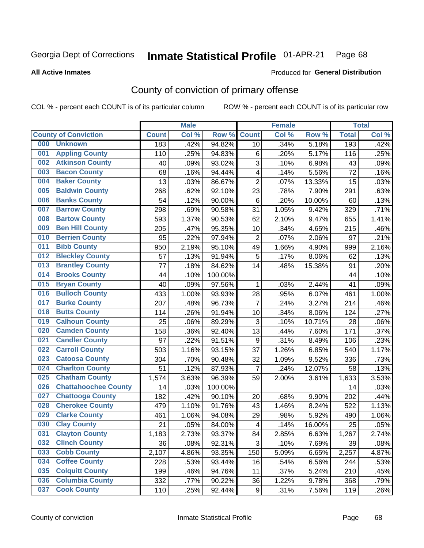#### Inmate Statistical Profile 01-APR-21 Page 68

**All Active Inmates** 

### Produced for General Distribution

## County of conviction of primary offense

COL % - percent each COUNT is of its particular column

|     |                             |              | <b>Male</b> |         |                           | <b>Female</b> |        |              | <b>Total</b> |
|-----|-----------------------------|--------------|-------------|---------|---------------------------|---------------|--------|--------------|--------------|
|     | <b>County of Conviction</b> | <b>Count</b> | Col %       | Row %   | <b>Count</b>              | Col %         | Row %  | <b>Total</b> | Col %        |
| 000 | <b>Unknown</b>              | 183          | .42%        | 94.82%  | 10                        | .34%          | 5.18%  | 193          | .42%         |
| 001 | <b>Appling County</b>       | 110          | .25%        | 94.83%  | 6                         | .20%          | 5.17%  | 116          | .25%         |
| 002 | <b>Atkinson County</b>      | 40           | .09%        | 93.02%  | 3                         | .10%          | 6.98%  | 43           | .09%         |
| 003 | <b>Bacon County</b>         | 68           | .16%        | 94.44%  | 4                         | .14%          | 5.56%  | 72           | .16%         |
| 004 | <b>Baker County</b>         | 13           | .03%        | 86.67%  | $\overline{2}$            | .07%          | 13.33% | 15           | .03%         |
| 005 | <b>Baldwin County</b>       | 268          | .62%        | 92.10%  | 23                        | .78%          | 7.90%  | 291          | .63%         |
| 006 | <b>Banks County</b>         | 54           | .12%        | 90.00%  | 6                         | .20%          | 10.00% | 60           | .13%         |
| 007 | <b>Barrow County</b>        | 298          | .69%        | 90.58%  | 31                        | 1.05%         | 9.42%  | 329          | .71%         |
| 008 | <b>Bartow County</b>        | 593          | 1.37%       | 90.53%  | 62                        | 2.10%         | 9.47%  | 655          | 1.41%        |
| 009 | <b>Ben Hill County</b>      | 205          | .47%        | 95.35%  | 10                        | .34%          | 4.65%  | 215          | .46%         |
| 010 | <b>Berrien County</b>       | 95           | .22%        | 97.94%  | $\overline{2}$            | .07%          | 2.06%  | 97           | .21%         |
| 011 | <b>Bibb County</b>          | 950          | 2.19%       | 95.10%  | 49                        | 1.66%         | 4.90%  | 999          | 2.16%        |
| 012 | <b>Bleckley County</b>      | 57           | .13%        | 91.94%  | 5                         | .17%          | 8.06%  | 62           | .13%         |
| 013 | <b>Brantley County</b>      | 77           | .18%        | 84.62%  | 14                        | .48%          | 15.38% | 91           | .20%         |
| 014 | <b>Brooks County</b>        | 44           | .10%        | 100.00% |                           |               |        | 44           | .10%         |
| 015 | <b>Bryan County</b>         | 40           | .09%        | 97.56%  | 1                         | .03%          | 2.44%  | 41           | .09%         |
| 016 | <b>Bulloch County</b>       | 433          | 1.00%       | 93.93%  | 28                        | .95%          | 6.07%  | 461          | 1.00%        |
| 017 | <b>Burke County</b>         | 207          | .48%        | 96.73%  | $\overline{7}$            | .24%          | 3.27%  | 214          | .46%         |
| 018 | <b>Butts County</b>         | 114          | .26%        | 91.94%  | 10                        | .34%          | 8.06%  | 124          | .27%         |
| 019 | <b>Calhoun County</b>       | 25           | .06%        | 89.29%  | $\ensuremath{\mathsf{3}}$ | .10%          | 10.71% | 28           | .06%         |
| 020 | <b>Camden County</b>        | 158          | .36%        | 92.40%  | 13                        | .44%          | 7.60%  | 171          | .37%         |
| 021 | <b>Candler County</b>       | 97           | .22%        | 91.51%  | 9                         | .31%          | 8.49%  | 106          | .23%         |
| 022 | <b>Carroll County</b>       | 503          | 1.16%       | 93.15%  | 37                        | 1.26%         | 6.85%  | 540          | 1.17%        |
| 023 | <b>Catoosa County</b>       | 304          | .70%        | 90.48%  | 32                        | 1.09%         | 9.52%  | 336          | .73%         |
| 024 | <b>Charlton County</b>      | 51           | .12%        | 87.93%  | $\overline{7}$            | .24%          | 12.07% | 58           | .13%         |
| 025 | <b>Chatham County</b>       | 1,574        | 3.63%       | 96.39%  | 59                        | 2.00%         | 3.61%  | 1,633        | 3.53%        |
| 026 | <b>Chattahoochee County</b> | 14           | .03%        | 100.00% |                           |               |        | 14           | .03%         |
| 027 | <b>Chattooga County</b>     | 182          | .42%        | 90.10%  | 20                        | .68%          | 9.90%  | 202          | .44%         |
| 028 | <b>Cherokee County</b>      | 479          | 1.10%       | 91.76%  | 43                        | 1.46%         | 8.24%  | 522          | 1.13%        |
| 029 | <b>Clarke County</b>        | 461          | 1.06%       | 94.08%  | 29                        | .98%          | 5.92%  | 490          | 1.06%        |
| 030 | <b>Clay County</b>          | 21           | .05%        | 84.00%  | $\overline{\mathcal{A}}$  | .14%          | 16.00% | 25           | .05%         |
| 031 | <b>Clayton County</b>       | 1,183        | 2.73%       | 93.37%  | 84                        | 2.85%         | 6.63%  | 1,267        | 2.74%        |
| 032 | <b>Clinch County</b>        | 36           | .08%        | 92.31%  | 3                         | .10%          | 7.69%  | 39           | .08%         |
| 033 | <b>Cobb County</b>          | 2,107        | 4.86%       | 93.35%  | 150                       | 5.09%         | 6.65%  | 2,257        | 4.87%        |
| 034 | <b>Coffee County</b>        | 228          | .53%        | 93.44%  | 16                        | .54%          | 6.56%  | 244          | .53%         |
| 035 | <b>Colquitt County</b>      | 199          | .46%        | 94.76%  | 11                        | .37%          | 5.24%  | 210          | .45%         |
| 036 | <b>Columbia County</b>      | 332          | .77%        | 90.22%  | 36                        | 1.22%         | 9.78%  | 368          | .79%         |
| 037 | <b>Cook County</b>          | 110          | .25%        | 92.44%  | 9                         | .31%          | 7.56%  | 119          | .26%         |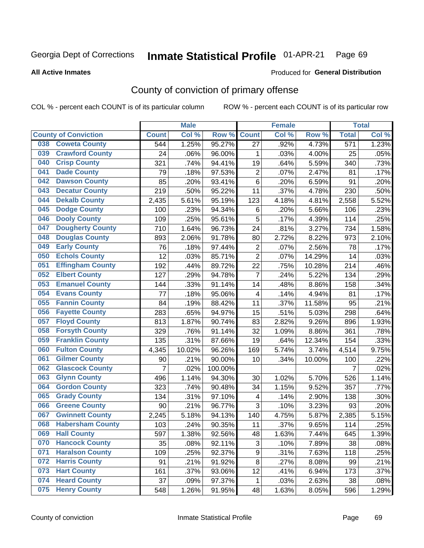#### Inmate Statistical Profile 01-APR-21 Page 69

**All Active Inmates** 

### Produced for General Distribution

## County of conviction of primary offense

COL % - percent each COUNT is of its particular column

|                                |                | <b>Male</b> |         |                         | <b>Female</b> |        |                  | <b>Total</b> |
|--------------------------------|----------------|-------------|---------|-------------------------|---------------|--------|------------------|--------------|
| <b>County of Conviction</b>    | <b>Count</b>   | Col %       | Row %   | <b>Count</b>            | Col %         | Row %  | <b>Total</b>     | Col %        |
| <b>Coweta County</b><br>038    | 544            | 1.25%       | 95.27%  | 27                      | .92%          | 4.73%  | $\overline{571}$ | 1.23%        |
| <b>Crawford County</b><br>039  | 24             | .06%        | 96.00%  | 1                       | .03%          | 4.00%  | 25               | .05%         |
| <b>Crisp County</b><br>040     | 321            | .74%        | 94.41%  | 19                      | .64%          | 5.59%  | 340              | .73%         |
| <b>Dade County</b><br>041      | 79             | .18%        | 97.53%  | $\overline{2}$          | .07%          | 2.47%  | 81               | .17%         |
| <b>Dawson County</b><br>042    | 85             | .20%        | 93.41%  | 6                       | .20%          | 6.59%  | 91               | .20%         |
| 043<br><b>Decatur County</b>   | 219            | .50%        | 95.22%  | 11                      | .37%          | 4.78%  | 230              | .50%         |
| <b>Dekalb County</b><br>044    | 2,435          | 5.61%       | 95.19%  | 123                     | 4.18%         | 4.81%  | 2,558            | 5.52%        |
| <b>Dodge County</b><br>045     | 100            | .23%        | 94.34%  | 6                       | .20%          | 5.66%  | 106              | .23%         |
| <b>Dooly County</b><br>046     | 109            | .25%        | 95.61%  | 5                       | .17%          | 4.39%  | 114              | .25%         |
| 047<br><b>Dougherty County</b> | 710            | 1.64%       | 96.73%  | 24                      | .81%          | 3.27%  | 734              | 1.58%        |
| <b>Douglas County</b><br>048   | 893            | 2.06%       | 91.78%  | 80                      | 2.72%         | 8.22%  | 973              | 2.10%        |
| <b>Early County</b><br>049     | 76             | .18%        | 97.44%  | $\mathbf 2$             | .07%          | 2.56%  | 78               | .17%         |
| <b>Echols County</b><br>050    | 12             | .03%        | 85.71%  | $\overline{2}$          | .07%          | 14.29% | 14               | .03%         |
| 051<br><b>Effingham County</b> | 192            | .44%        | 89.72%  | 22                      | .75%          | 10.28% | 214              | .46%         |
| <b>Elbert County</b><br>052    | 127            | .29%        | 94.78%  | $\overline{7}$          | .24%          | 5.22%  | 134              | .29%         |
| <b>Emanuel County</b><br>053   | 144            | .33%        | 91.14%  | 14                      | .48%          | 8.86%  | 158              | .34%         |
| <b>Evans County</b><br>054     | 77             | .18%        | 95.06%  | 4                       | .14%          | 4.94%  | 81               | .17%         |
| <b>Fannin County</b><br>055    | 84             | .19%        | 88.42%  | 11                      | .37%          | 11.58% | 95               | .21%         |
| <b>Fayette County</b><br>056   | 283            | .65%        | 94.97%  | 15                      | .51%          | 5.03%  | 298              | .64%         |
| <b>Floyd County</b><br>057     | 813            | 1.87%       | 90.74%  | 83                      | 2.82%         | 9.26%  | 896              | 1.93%        |
| <b>Forsyth County</b><br>058   | 329            | .76%        | 91.14%  | 32                      | 1.09%         | 8.86%  | 361              | .78%         |
| <b>Franklin County</b><br>059  | 135            | .31%        | 87.66%  | 19                      | .64%          | 12.34% | 154              | .33%         |
| <b>Fulton County</b><br>060    | 4,345          | 10.02%      | 96.26%  | 169                     | 5.74%         | 3.74%  | 4,514            | 9.75%        |
| <b>Gilmer County</b><br>061    | 90             | .21%        | 90.00%  | 10                      | .34%          | 10.00% | 100              | .22%         |
| <b>Glascock County</b><br>062  | $\overline{7}$ | .02%        | 100.00% |                         |               |        | $\overline{7}$   | .02%         |
| 063<br><b>Glynn County</b>     | 496            | 1.14%       | 94.30%  | 30                      | 1.02%         | 5.70%  | 526              | 1.14%        |
| <b>Gordon County</b><br>064    | 323            | .74%        | 90.48%  | 34                      | 1.15%         | 9.52%  | 357              | .77%         |
| <b>Grady County</b><br>065     | 134            | .31%        | 97.10%  | $\overline{\mathbf{4}}$ | .14%          | 2.90%  | 138              | .30%         |
| <b>Greene County</b><br>066    | 90             | .21%        | 96.77%  | 3                       | .10%          | 3.23%  | 93               | .20%         |
| <b>Gwinnett County</b><br>067  | 2,245          | 5.18%       | 94.13%  | 140                     | 4.75%         | 5.87%  | 2,385            | 5.15%        |
| <b>Habersham County</b><br>068 | 103            | .24%        | 90.35%  | 11                      | .37%          | 9.65%  | 114              | .25%         |
| 069<br><b>Hall County</b>      | 597            | 1.38%       | 92.56%  | 48                      | 1.63%         | 7.44%  | 645              | 1.39%        |
| <b>Hancock County</b><br>070   | 35             | .08%        | 92.11%  | 3                       | .10%          | 7.89%  | 38               | .08%         |
| <b>Haralson County</b><br>071  | 109            | .25%        | 92.37%  | 9                       | .31%          | 7.63%  | 118              | .25%         |
| 072<br><b>Harris County</b>    | 91             | .21%        | 91.92%  | 8                       | .27%          | 8.08%  | 99               | .21%         |
| <b>Hart County</b><br>073      | 161            | .37%        | 93.06%  | 12                      | .41%          | 6.94%  | 173              | .37%         |
| <b>Heard County</b><br>074     | 37             | .09%        | 97.37%  | $\mathbf 1$             | .03%          | 2.63%  | 38               | .08%         |
| <b>Henry County</b><br>075     | 548            | 1.26%       | 91.95%  | 48                      | 1.63%         | 8.05%  | 596              | 1.29%        |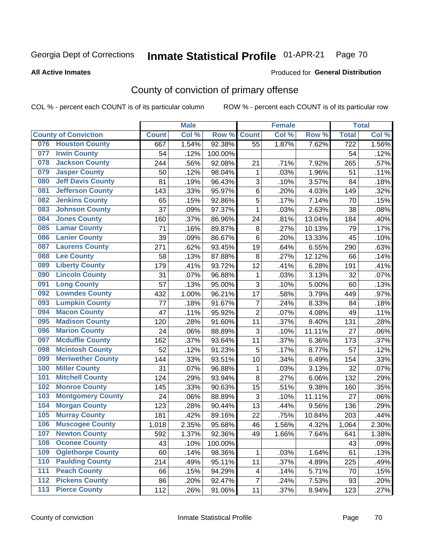#### Inmate Statistical Profile 01-APR-21 Page 70

### **All Active Inmates**

## Produced for General Distribution

## County of conviction of primary offense

COL % - percent each COUNT is of its particular column

|       |                             |              | <b>Male</b> |         |                | <b>Female</b> |        |                  | <b>Total</b> |
|-------|-----------------------------|--------------|-------------|---------|----------------|---------------|--------|------------------|--------------|
|       | <b>County of Conviction</b> | <b>Count</b> | Col %       | Row %   | <b>Count</b>   | Col %         | Row %  | <b>Total</b>     | Col %        |
| 076   | <b>Houston County</b>       | 667          | 1.54%       | 92.38%  | 55             | 1.87%         | 7.62%  | $\overline{722}$ | 1.56%        |
| 077   | <b>Irwin County</b>         | 54           | .12%        | 100.00% |                |               |        | 54               | .12%         |
| 078   | <b>Jackson County</b>       | 244          | .56%        | 92.08%  | 21             | .71%          | 7.92%  | 265              | .57%         |
| 079   | <b>Jasper County</b>        | 50           | .12%        | 98.04%  | 1              | .03%          | 1.96%  | 51               | .11%         |
| 080   | <b>Jeff Davis County</b>    | 81           | .19%        | 96.43%  | 3              | .10%          | 3.57%  | 84               | .18%         |
| 081   | <b>Jefferson County</b>     | 143          | .33%        | 95.97%  | 6              | .20%          | 4.03%  | 149              | .32%         |
| 082   | <b>Jenkins County</b>       | 65           | .15%        | 92.86%  | 5              | .17%          | 7.14%  | 70               | .15%         |
| 083   | <b>Johnson County</b>       | 37           | .09%        | 97.37%  | $\mathbf{1}$   | .03%          | 2.63%  | 38               | .08%         |
| 084   | <b>Jones County</b>         | 160          | .37%        | 86.96%  | 24             | .81%          | 13.04% | 184              | .40%         |
| 085   | <b>Lamar County</b>         | 71           | .16%        | 89.87%  | 8              | .27%          | 10.13% | 79               | .17%         |
| 086   | <b>Lanier County</b>        | 39           | .09%        | 86.67%  | $\,6$          | .20%          | 13.33% | 45               | .10%         |
| 087   | <b>Laurens County</b>       | 271          | .62%        | 93.45%  | 19             | .64%          | 6.55%  | 290              | .63%         |
| 088   | <b>Lee County</b>           | 58           | .13%        | 87.88%  | 8              | .27%          | 12.12% | 66               | .14%         |
| 089   | <b>Liberty County</b>       | 179          | .41%        | 93.72%  | 12             | .41%          | 6.28%  | 191              | .41%         |
| 090   | <b>Lincoln County</b>       | 31           | .07%        | 96.88%  | $\mathbf 1$    | .03%          | 3.13%  | 32               | .07%         |
| 091   | <b>Long County</b>          | 57           | .13%        | 95.00%  | 3              | .10%          | 5.00%  | 60               | .13%         |
| 092   | <b>Lowndes County</b>       | 432          | 1.00%       | 96.21%  | 17             | .58%          | 3.79%  | 449              | .97%         |
| 093   | <b>Lumpkin County</b>       | 77           | .18%        | 91.67%  | $\overline{7}$ | .24%          | 8.33%  | 84               | .18%         |
| 094   | <b>Macon County</b>         | 47           | .11%        | 95.92%  | $\overline{c}$ | .07%          | 4.08%  | 49               | .11%         |
| 095   | <b>Madison County</b>       | 120          | .28%        | 91.60%  | 11             | .37%          | 8.40%  | 131              | .28%         |
| 096   | <b>Marion County</b>        | 24           | .06%        | 88.89%  | 3              | .10%          | 11.11% | 27               | .06%         |
| 097   | <b>Mcduffie County</b>      | 162          | .37%        | 93.64%  | 11             | .37%          | 6.36%  | 173              | .37%         |
| 098   | <b>Mcintosh County</b>      | 52           | .12%        | 91.23%  | 5              | .17%          | 8.77%  | 57               | .12%         |
| 099   | <b>Meriwether County</b>    | 144          | .33%        | 93.51%  | 10             | .34%          | 6.49%  | 154              | .33%         |
| 100   | <b>Miller County</b>        | 31           | .07%        | 96.88%  | $\mathbf 1$    | .03%          | 3.13%  | 32               | .07%         |
| 101   | <b>Mitchell County</b>      | 124          | .29%        | 93.94%  | 8              | .27%          | 6.06%  | 132              | .29%         |
| 102   | <b>Monroe County</b>        | 145          | .33%        | 90.63%  | 15             | .51%          | 9.38%  | 160              | .35%         |
| 103   | <b>Montgomery County</b>    | 24           | .06%        | 88.89%  | 3              | .10%          | 11.11% | 27               | .06%         |
| 104   | <b>Morgan County</b>        | 123          | .28%        | 90.44%  | 13             | .44%          | 9.56%  | 136              | .29%         |
| 105   | <b>Murray County</b>        | 181          | .42%        | 89.16%  | 22             | $.75\%$       | 10.84% | 203              | .44%         |
| 106   | <b>Muscogee County</b>      | 1,018        | 2.35%       | 95.68%  | 46             | 1.56%         | 4.32%  | 1,064            | 2.30%        |
| 107   | <b>Newton County</b>        | 592          | 1.37%       | 92.36%  | 49             | 1.66%         | 7.64%  | 641              | 1.38%        |
| 108   | <b>Oconee County</b>        | 43           | .10%        | 100.00% |                |               |        | 43               | .09%         |
| 109   | <b>Oglethorpe County</b>    | 60           | .14%        | 98.36%  | 1              | .03%          | 1.64%  | 61               | .13%         |
| 110   | <b>Paulding County</b>      | 214          | .49%        | 95.11%  | 11             | .37%          | 4.89%  | 225              | .49%         |
| 111   | <b>Peach County</b>         | 66           | .15%        | 94.29%  | 4              | .14%          | 5.71%  | 70               | .15%         |
| $112$ | <b>Pickens County</b>       | 86           | .20%        | 92.47%  | $\overline{7}$ | .24%          | 7.53%  | 93               | .20%         |
| 113   | <b>Pierce County</b>        | 112          | .26%        | 91.06%  | 11             | .37%          | 8.94%  | 123              | .27%         |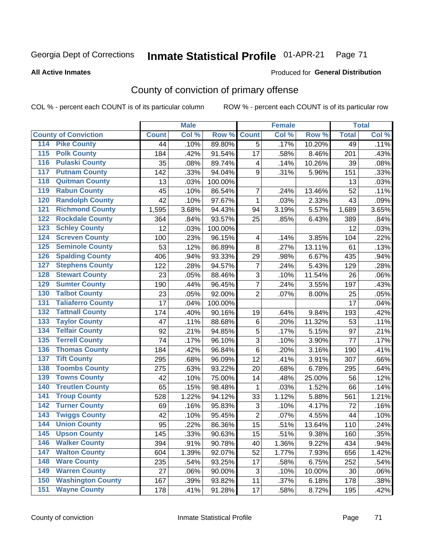#### Inmate Statistical Profile 01-APR-21 Page 71

Produced for General Distribution

### **All Active Inmates**

# County of conviction of primary offense

COL % - percent each COUNT is of its particular column

|                                          |              | <b>Male</b> |         |                | <b>Female</b> |        |              | <b>Total</b> |
|------------------------------------------|--------------|-------------|---------|----------------|---------------|--------|--------------|--------------|
| <b>County of Conviction</b>              | <b>Count</b> | Col %       | Row %   | <b>Count</b>   | Col %         | Row %  | <b>Total</b> | Col %        |
| <b>Pike County</b><br>114                | 44           | .10%        | 89.80%  | 5              | .17%          | 10.20% | 49           | .11%         |
| <b>Polk County</b><br>$\overline{115}$   | 184          | .42%        | 91.54%  | 17             | .58%          | 8.46%  | 201          | .43%         |
| <b>Pulaski County</b><br>116             | 35           | .08%        | 89.74%  | 4              | .14%          | 10.26% | 39           | .08%         |
| <b>Putnam County</b><br>117              | 142          | .33%        | 94.04%  | 9              | .31%          | 5.96%  | 151          | .33%         |
| <b>Quitman County</b><br>118             | 13           | .03%        | 100.00% |                |               |        | 13           | .03%         |
| <b>Rabun County</b><br>119               | 45           | .10%        | 86.54%  | $\overline{7}$ | .24%          | 13.46% | 52           | .11%         |
| <b>Randolph County</b><br>120            | 42           | .10%        | 97.67%  | $\mathbf{1}$   | .03%          | 2.33%  | 43           | .09%         |
| <b>Richmond County</b><br>121            | 1,595        | 3.68%       | 94.43%  | 94             | 3.19%         | 5.57%  | 1,689        | 3.65%        |
| <b>Rockdale County</b><br>122            | 364          | .84%        | 93.57%  | 25             | .85%          | 6.43%  | 389          | .84%         |
| <b>Schley County</b><br>123              | 12           | .03%        | 100.00% |                |               |        | 12           | .03%         |
| <b>Screven County</b><br>124             | 100          | .23%        | 96.15%  | 4              | .14%          | 3.85%  | 104          | .22%         |
| <b>Seminole County</b><br>125            | 53           | .12%        | 86.89%  | 8              | .27%          | 13.11% | 61           | .13%         |
| <b>Spalding County</b><br>126            | 406          | .94%        | 93.33%  | 29             | .98%          | 6.67%  | 435          | .94%         |
| 127<br><b>Stephens County</b>            | 122          | .28%        | 94.57%  | $\overline{7}$ | .24%          | 5.43%  | 129          | .28%         |
| <b>Stewart County</b><br>128             | 23           | .05%        | 88.46%  | 3              | .10%          | 11.54% | 26           | .06%         |
| <b>Sumter County</b><br>129              | 190          | .44%        | 96.45%  | $\overline{7}$ | .24%          | 3.55%  | 197          | .43%         |
| <b>Talbot County</b><br>130              | 23           | .05%        | 92.00%  | $\overline{2}$ | .07%          | 8.00%  | 25           | .05%         |
| <b>Taliaferro County</b><br>131          | 17           | .04%        | 100.00% |                |               |        | 17           | .04%         |
| <b>Tattnall County</b><br>132            | 174          | .40%        | 90.16%  | 19             | .64%          | 9.84%  | 193          | .42%         |
| <b>Taylor County</b><br>133              | 47           | .11%        | 88.68%  | 6              | .20%          | 11.32% | 53           | .11%         |
| <b>Telfair County</b><br>134             | 92           | .21%        | 94.85%  | 5              | .17%          | 5.15%  | 97           | .21%         |
| <b>Terrell County</b><br>135             | 74           | .17%        | 96.10%  | 3              | .10%          | 3.90%  | 77           | .17%         |
| <b>Thomas County</b><br>136              | 184          | .42%        | 96.84%  | 6              | .20%          | 3.16%  | 190          | .41%         |
| <b>Tift County</b><br>137                | 295          | .68%        | 96.09%  | 12             | .41%          | 3.91%  | 307          | .66%         |
| <b>Toombs County</b><br>138              | 275          | .63%        | 93.22%  | 20             | .68%          | 6.78%  | 295          | .64%         |
| <b>Towns County</b><br>139               | 42           | .10%        | 75.00%  | 14             | .48%          | 25.00% | 56           | .12%         |
| <b>Treutlen County</b><br>140            | 65           | .15%        | 98.48%  | 1              | .03%          | 1.52%  | 66           | .14%         |
| <b>Troup County</b><br>141               | 528          | 1.22%       | 94.12%  | 33             | 1.12%         | 5.88%  | 561          | 1.21%        |
| <b>Turner County</b><br>142              | 69           | .16%        | 95.83%  | 3              | .10%          | 4.17%  | 72           | .16%         |
| <b>Twiggs County</b><br>$\overline{143}$ | 42           | .10%        | 95.45%  | $\overline{2}$ | .07%          | 4.55%  | 44           | .10%         |
| <b>Union County</b><br>144               | 95           | .22%        | 86.36%  | 15             | .51%          | 13.64% | 110          | .24%         |
| 145<br><b>Upson County</b>               | 145          | .33%        | 90.63%  | 15             | .51%          | 9.38%  | 160          | .35%         |
| <b>Walker County</b><br>146              | 394          | .91%        | 90.78%  | 40             | 1.36%         | 9.22%  | 434          | .94%         |
| <b>Walton County</b><br>147              | 604          | 1.39%       | 92.07%  | 52             | 1.77%         | 7.93%  | 656          | 1.42%        |
| <b>Ware County</b><br>148                | 235          | .54%        | 93.25%  | 17             | .58%          | 6.75%  | 252          | .54%         |
| <b>Warren County</b><br>149              | 27           | .06%        | 90.00%  | 3              | .10%          | 10.00% | 30           | .06%         |
| <b>Washington County</b><br>150          | 167          | .39%        | 93.82%  | 11             | .37%          | 6.18%  | 178          | .38%         |
| <b>Wayne County</b><br>151               | 178          | .41%        | 91.28%  | 17             | .58%          | 8.72%  | 195          | .42%         |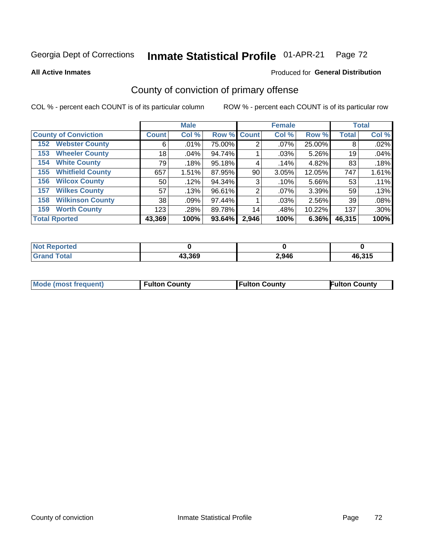#### Inmate Statistical Profile 01-APR-21 Page 72

**All Active Inmates** 

### Produced for General Distribution

## County of conviction of primary offense

COL % - percent each COUNT is of its particular column

|                                |              | <b>Male</b> |             |                | <b>Female</b> |        |              | <b>Total</b> |
|--------------------------------|--------------|-------------|-------------|----------------|---------------|--------|--------------|--------------|
| <b>County of Conviction</b>    | <b>Count</b> | Col %       | Row % Count |                | Col %         | Row %  | <b>Total</b> | Col %        |
| <b>Webster County</b><br>152   | 6            | .01%        | 75.00%      | 2              | $.07\%$       | 25.00% | 8            | .02%         |
| <b>Wheeler County</b><br>153   | 18           | .04%        | 94.74%      |                | .03%          | 5.26%  | 19           | .04%         |
| <b>White County</b><br>154     | 79           | .18%        | $95.18\%$   | 4              | .14%          | 4.82%  | 83           | .18%         |
| <b>Whitfield County</b><br>155 | 657          | 1.51%       | 87.95%      | 90             | 3.05%         | 12.05% | 747          | 1.61%        |
| <b>Wilcox County</b><br>156    | 50           | .12%        | 94.34%      | 3              | .10%          | 5.66%  | 53           | .11%         |
| <b>Wilkes County</b><br>157    | 57           | .13%        | 96.61%      | $\overline{2}$ | $.07\%$       | 3.39%  | 59           | .13%         |
| <b>Wilkinson County</b><br>158 | 38           | .09%        | 97.44%      |                | .03%          | 2.56%  | 39           | .08%         |
| <b>Worth County</b><br>159     | 123          | .28%        | 89.78%      | 14             | .48%          | 10.22% | 137          | .30%         |
| <b>Total Rported</b>           | 43,369       | 100%        | 93.64%      | 2,946          | 100%          | 6.36%  | 46,315       | 100%         |

| <b>Not Reported</b> |        |       |        |
|---------------------|--------|-------|--------|
| <b>Grand Total</b>  | 43,369 | 2,946 | 46,315 |

| Mode (most frequent) | <b>Fulton County</b> | <b>Fulton County</b> | <b>Fulton County</b> |
|----------------------|----------------------|----------------------|----------------------|
|                      |                      |                      |                      |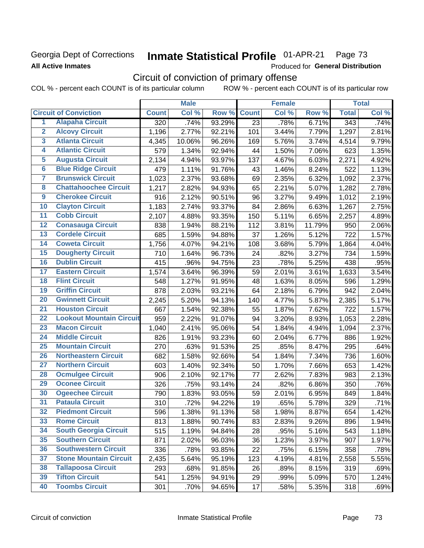## Georgia Dept of Corrections **All Active Inmates**

#### Inmate Statistical Profile 01-APR-21 Page 73

Produced for General Distribution

# Circuit of conviction of primary offense

COL % - percent each COUNT is of its particular column ROW % - percent each COUNT is of its particular row

|                         |                                 | <b>Male</b>      |        |        | <b>Female</b>   |       |        | <b>Total</b>     |       |
|-------------------------|---------------------------------|------------------|--------|--------|-----------------|-------|--------|------------------|-------|
|                         | <b>Circuit of Conviction</b>    | <b>Count</b>     | Col %  | Row %  | <b>Count</b>    | Col % | Row %  | <b>Total</b>     | Col % |
| 1                       | <b>Alapaha Circuit</b>          | $\overline{320}$ | .74%   | 93.29% | $\overline{23}$ | .78%  | 6.71%  | $\overline{343}$ | .74%  |
| $\overline{2}$          | <b>Alcovy Circuit</b>           | 1,196            | 2.77%  | 92.21% | 101             | 3.44% | 7.79%  | 1,297            | 2.81% |
| $\overline{\mathbf{3}}$ | <b>Atlanta Circuit</b>          | 4,345            | 10.06% | 96.26% | 169             | 5.76% | 3.74%  | 4,514            | 9.79% |
| 4                       | <b>Atlantic Circuit</b>         | 579              | 1.34%  | 92.94% | 44              | 1.50% | 7.06%  | 623              | 1.35% |
| 5                       | <b>Augusta Circuit</b>          | 2,134            | 4.94%  | 93.97% | 137             | 4.67% | 6.03%  | 2,271            | 4.92% |
| $\overline{6}$          | <b>Blue Ridge Circuit</b>       | 479              | 1.11%  | 91.76% | 43              | 1.46% | 8.24%  | 522              | 1.13% |
| $\overline{\mathbf{7}}$ | <b>Brunswick Circuit</b>        | 1,023            | 2.37%  | 93.68% | 69              | 2.35% | 6.32%  | 1,092            | 2.37% |
| $\overline{\mathbf{8}}$ | <b>Chattahoochee Circuit</b>    | 1,217            | 2.82%  | 94.93% | 65              | 2.21% | 5.07%  | 1,282            | 2.78% |
| $\overline{9}$          | <b>Cherokee Circuit</b>         | 916              | 2.12%  | 90.51% | 96              | 3.27% | 9.49%  | 1,012            | 2.19% |
| 10                      | <b>Clayton Circuit</b>          | 1,183            | 2.74%  | 93.37% | 84              | 2.86% | 6.63%  | 1,267            | 2.75% |
| $\overline{11}$         | <b>Cobb Circuit</b>             | 2,107            | 4.88%  | 93.35% | 150             | 5.11% | 6.65%  | 2,257            | 4.89% |
| $\overline{12}$         | <b>Conasauga Circuit</b>        | 838              | 1.94%  | 88.21% | 112             | 3.81% | 11.79% | 950              | 2.06% |
| 13                      | <b>Cordele Circuit</b>          | 685              | 1.59%  | 94.88% | 37              | 1.26% | 5.12%  | 722              | 1.57% |
| 14                      | <b>Coweta Circuit</b>           | 1,756            | 4.07%  | 94.21% | 108             | 3.68% | 5.79%  | 1,864            | 4.04% |
| 15                      | <b>Dougherty Circuit</b>        | 710              | 1.64%  | 96.73% | 24              | .82%  | 3.27%  | 734              | 1.59% |
| 16                      | <b>Dublin Circuit</b>           | 415              | .96%   | 94.75% | 23              | .78%  | 5.25%  | 438              | .95%  |
| 17                      | <b>Eastern Circuit</b>          | 1,574            | 3.64%  | 96.39% | 59              | 2.01% | 3.61%  | 1,633            | 3.54% |
| 18                      | <b>Flint Circuit</b>            | 548              | 1.27%  | 91.95% | 48              | 1.63% | 8.05%  | 596              | 1.29% |
| 19                      | <b>Griffin Circuit</b>          | 878              | 2.03%  | 93.21% | 64              | 2.18% | 6.79%  | 942              | 2.04% |
| $\overline{20}$         | <b>Gwinnett Circuit</b>         | 2,245            | 5.20%  | 94.13% | 140             | 4.77% | 5.87%  | 2,385            | 5.17% |
| $\overline{21}$         | <b>Houston Circuit</b>          | 667              | 1.54%  | 92.38% | 55              | 1.87% | 7.62%  | 722              | 1.57% |
| $\overline{22}$         | <b>Lookout Mountain Circuit</b> | 959              | 2.22%  | 91.07% | 94              | 3.20% | 8.93%  | 1,053            | 2.28% |
| 23                      | <b>Macon Circuit</b>            | 1,040            | 2.41%  | 95.06% | 54              | 1.84% | 4.94%  | 1,094            | 2.37% |
| $\overline{24}$         | <b>Middle Circuit</b>           | 826              | 1.91%  | 93.23% | 60              | 2.04% | 6.77%  | 886              | 1.92% |
| 25                      | <b>Mountain Circuit</b>         | 270              | .63%   | 91.53% | 25              | .85%  | 8.47%  | 295              | .64%  |
| 26                      | <b>Northeastern Circuit</b>     | 682              | 1.58%  | 92.66% | 54              | 1.84% | 7.34%  | 736              | 1.60% |
| $\overline{27}$         | <b>Northern Circuit</b>         | 603              | 1.40%  | 92.34% | 50              | 1.70% | 7.66%  | 653              | 1.42% |
| 28                      | <b>Ocmulgee Circuit</b>         | 906              | 2.10%  | 92.17% | 77              | 2.62% | 7.83%  | 983              | 2.13% |
| 29                      | <b>Oconee Circuit</b>           | 326              | .75%   | 93.14% | 24              | .82%  | 6.86%  | 350              | .76%  |
| 30                      | <b>Ogeechee Circuit</b>         | 790              | 1.83%  | 93.05% | 59              | 2.01% | 6.95%  | 849              | 1.84% |
| $\overline{31}$         | <b>Pataula Circuit</b>          | 310              | .72%   | 94.22% | 19              | .65%  | 5.78%  | 329              | .71%  |
| 32                      | <b>Piedmont Circuit</b>         | 596              | 1.38%  | 91.13% | 58              | 1.98% | 8.87%  | 654              | 1.42% |
| 33                      | <b>Rome Circuit</b>             | 813              | 1.88%  | 90.74% | 83              | 2.83% | 9.26%  | 896              | 1.94% |
| 34                      | <b>South Georgia Circuit</b>    | 515              | 1.19%  | 94.84% | 28              | .95%  | 5.16%  | 543              | 1.18% |
| 35                      | <b>Southern Circuit</b>         | 871              | 2.02%  | 96.03% | 36              | 1.23% | 3.97%  | 907              | 1.97% |
| 36                      | <b>Southwestern Circuit</b>     | 336              | .78%   | 93.85% | 22              | .75%  | 6.15%  | 358              | .78%  |
| 37                      | <b>Stone Mountain Circuit</b>   | 2,435            | 5.64%  | 95.19% | 123             | 4.19% | 4.81%  | 2,558            | 5.55% |
| 38                      | <b>Tallapoosa Circuit</b>       | 293              | .68%   | 91.85% | 26              | .89%  | 8.15%  | 319              | .69%  |
| 39                      | <b>Tifton Circuit</b>           | 541              | 1.25%  | 94.91% | 29              | .99%  | 5.09%  | 570              | 1.24% |
| 40                      | <b>Toombs Circuit</b>           | 301              | .70%   | 94.65% | 17              | .58%  | 5.35%  | 318              | .69%  |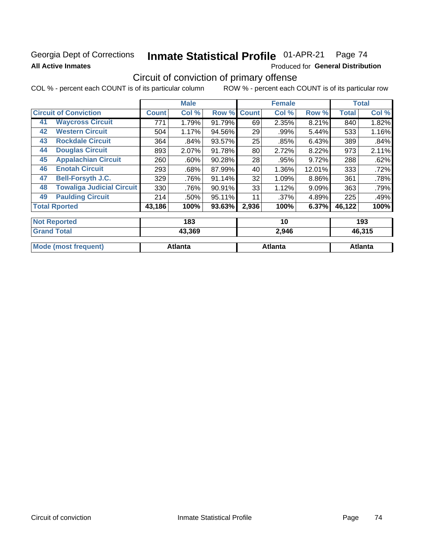## Georgia Dept of Corrections **All Active Inmates**

# Inmate Statistical Profile 01-APR-21 Page 74

Produced for General Distribution

# Circuit of conviction of primary offense

|    |                                  |              | <b>Male</b> |           |              | <b>Female</b> |        |              | <b>Total</b> |
|----|----------------------------------|--------------|-------------|-----------|--------------|---------------|--------|--------------|--------------|
|    | <b>Circuit of Conviction</b>     | <b>Count</b> | Col %       | Row %     | <b>Count</b> | Col %         | Row %  | <b>Total</b> | Col %        |
| 41 | <b>Waycross Circuit</b>          | 771          | 1.79%       | 91.79%    | 69           | 2.35%         | 8.21%  | 840          | 1.82%        |
| 42 | <b>Western Circuit</b>           | 504          | 1.17%       | 94.56%    | 29           | .99%          | 5.44%  | 533          | 1.16%        |
| 43 | <b>Rockdale Circuit</b>          | 364          | .84%        | 93.57%    | 25           | .85%          | 6.43%  | 389          | .84%         |
| 44 | <b>Douglas Circuit</b>           | 893          | 2.07%       | 91.78%    | 80           | 2.72%         | 8.22%  | 973          | 2.11%        |
| 45 | <b>Appalachian Circuit</b>       | 260          | .60%        | 90.28%    | 28           | .95%          | 9.72%  | 288          | .62%         |
| 46 | <b>Enotah Circuit</b>            | 293          | .68%        | 87.99%    | 40           | 1.36%         | 12.01% | 333          | .72%         |
| 47 | <b>Bell-Forsyth J.C.</b>         | 329          | .76%        | 91.14%    | 32           | 1.09%         | 8.86%  | 361          | .78%         |
| 48 | <b>Towaliga Judicial Circuit</b> | 330          | .76%        | 90.91%    | 33           | 1.12%         | 9.09%  | 363          | .79%         |
| 49 | <b>Paulding Circuit</b>          | 214          | .50%        | $95.11\%$ | 11           | .37%          | 4.89%  | 225          | .49%         |
|    | <b>Total Rported</b>             | 43,186       | 100%        | 93.63%    | 2,936        | 100%          | 6.37%  | 46,122       | 100%         |
|    |                                  |              |             |           |              |               |        |              |              |
|    | <b>Not Reported</b>              |              | 183         |           |              | 10            |        |              | 193          |

| 43,369  | 2,946   | 46,315  |
|---------|---------|---------|
| Atlanta | Atlanta | Atlanta |
|         |         |         |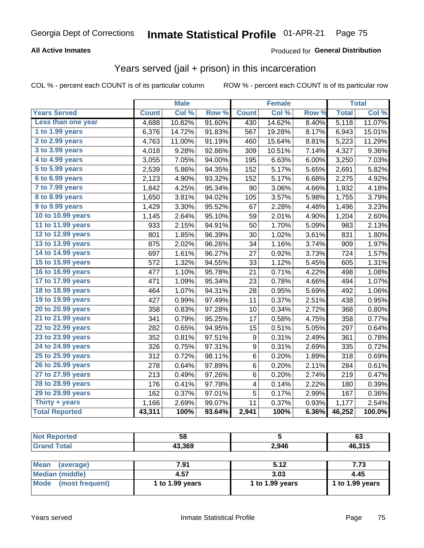#### **All Active Inmates**

#### Produced for **General Distribution**

## Years served (jail + prison) in this incarceration

|                       |              | <b>Male</b> |        |              | <b>Female</b> |       |              | <b>Total</b> |
|-----------------------|--------------|-------------|--------|--------------|---------------|-------|--------------|--------------|
| <b>Years Served</b>   | <b>Count</b> | Col %       | Row %  | <b>Count</b> | Col %         | Row % | <b>Total</b> | Col %        |
| Less than one year    | 4,688        | 10.82%      | 91.60% | 430          | 14.62%        | 8.40% | 5,118        | 11.07%       |
| 1 to 1.99 years       | 6,376        | 14.72%      | 91.83% | 567          | 19.28%        | 8.17% | 6,943        | 15.01%       |
| 2 to 2.99 years       | 4,763        | 11.00%      | 91.19% | 460          | 15.64%        | 8.81% | 5,223        | 11.29%       |
| 3 to 3.99 years       | 4,018        | 9.28%       | 92.86% | 309          | 10.51%        | 7.14% | 4,327        | 9.36%        |
| 4 to 4.99 years       | 3,055        | 7.05%       | 94.00% | 195          | 6.63%         | 6.00% | 3,250        | 7.03%        |
| 5 to 5.99 years       | 2,539        | 5.86%       | 94.35% | 152          | 5.17%         | 5.65% | 2,691        | 5.82%        |
| 6 to 6.99 years       | 2,123        | 4.90%       | 93.32% | 152          | 5.17%         | 6.68% | 2,275        | 4.92%        |
| 7 to 7.99 years       | 1,842        | 4.25%       | 95.34% | 90           | 3.06%         | 4.66% | 1,932        | 4.18%        |
| 8 to 8.99 years       | 1,650        | 3.81%       | 94.02% | 105          | 3.57%         | 5.98% | 1,755        | 3.79%        |
| 9 to 9.99 years       | 1,429        | 3.30%       | 95.52% | 67           | 2.28%         | 4.48% | 1,496        | 3.23%        |
| 10 to 10.99 years     | 1,145        | 2.64%       | 95.10% | 59           | 2.01%         | 4.90% | 1,204        | 2.60%        |
| 11 to 11.99 years     | 933          | 2.15%       | 94.91% | 50           | 1.70%         | 5.09% | 983          | 2.13%        |
| 12 to 12.99 years     | 801          | 1.85%       | 96.39% | 30           | 1.02%         | 3.61% | 831          | 1.80%        |
| 13 to 13.99 years     | 875          | 2.02%       | 96.26% | 34           | 1.16%         | 3.74% | 909          | 1.97%        |
| 14 to 14.99 years     | 697          | 1.61%       | 96.27% | 27           | 0.92%         | 3.73% | 724          | 1.57%        |
| 15 to 15.99 years     | 572          | 1.32%       | 94.55% | 33           | 1.12%         | 5.45% | 605          | 1.31%        |
| 16 to 16.99 years     | 477          | 1.10%       | 95.78% | 21           | 0.71%         | 4.22% | 498          | 1.08%        |
| 17 to 17.99 years     | 471          | 1.09%       | 95.34% | 23           | 0.78%         | 4.66% | 494          | 1.07%        |
| 18 to 18.99 years     | 464          | 1.07%       | 94.31% | 28           | 0.95%         | 5.69% | 492          | 1.06%        |
| 19 to 19.99 years     | 427          | 0.99%       | 97.49% | 11           | 0.37%         | 2.51% | 438          | 0.95%        |
| 20 to 20.99 years     | 358          | 0.83%       | 97.28% | 10           | 0.34%         | 2.72% | 368          | 0.80%        |
| 21 to 21.99 years     | 341          | 0.79%       | 95.25% | 17           | 0.58%         | 4.75% | 358          | 0.77%        |
| 22 to 22.99 years     | 282          | 0.65%       | 94.95% | 15           | 0.51%         | 5.05% | 297          | 0.64%        |
| 23 to 23.99 years     | 352          | 0.81%       | 97.51% | 9            | 0.31%         | 2.49% | 361          | 0.78%        |
| 24 to 24.99 years     | 326          | 0.75%       | 97.31% | 9            | 0.31%         | 2.69% | 335          | 0.72%        |
| 25 to 25.99 years     | 312          | 0.72%       | 98.11% | 6            | 0.20%         | 1.89% | 318          | 0.69%        |
| 26 to 26.99 years     | 278          | 0.64%       | 97.89% | 6            | 0.20%         | 2.11% | 284          | 0.61%        |
| 27 to 27.99 years     | 213          | 0.49%       | 97.26% | 6            | 0.20%         | 2.74% | 219          | 0.47%        |
| 28 to 28.99 years     | 176          | 0.41%       | 97.78% | 4            | 0.14%         | 2.22% | 180          | 0.39%        |
| 29 to 29.99 years     | 162          | 0.37%       | 97.01% | 5            | 0.17%         | 2.99% | 167          | 0.36%        |
| Thirty + years        | 1,166        | 2.69%       | 99.07% | 11           | 0.37%         | 0.93% | 1,177        | 2.54%        |
| <b>Total Reported</b> | 43,311       | 100%        | 93.64% | 2,941        | 100%          | 6.36% | 46,252       | 100.0%       |

| <b>Not Reported</b>      | 58              |                 | 63              |
|--------------------------|-----------------|-----------------|-----------------|
| <b>Grand Total</b>       | 43,369          | 2.946           | 46,315          |
|                          |                 |                 |                 |
| <b>Mean</b><br>(average) | 7.91            | 5.12            | 7.73            |
| <b>Median (middle)</b>   | 4.57            | 3.03            | 4.45            |
| Mode (most frequent)     | 1 to 1.99 years | 1 to 1.99 years | 1 to 1.99 years |
|                          |                 |                 |                 |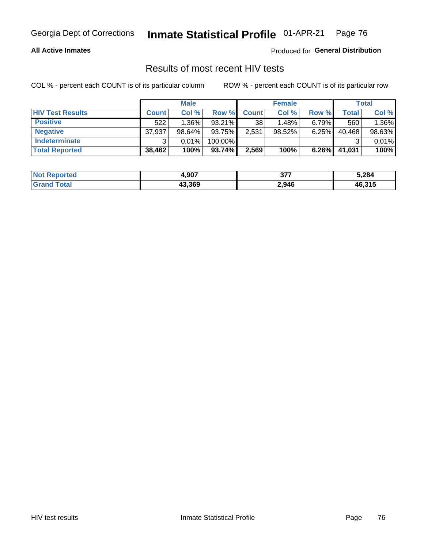#### **All Active Inmates**

Produced for **General Distribution**

### Results of most recent HIV tests

|                         |              | <b>Male</b> |           |              | <b>Female</b> |          |        | Total  |
|-------------------------|--------------|-------------|-----------|--------------|---------------|----------|--------|--------|
| <b>HIV Test Results</b> | <b>Count</b> | Col%        | Row %I    | <b>Count</b> | Col %         | Row %    | Total  | Col %  |
| <b>Positive</b>         | 522          | $1.36\%$    | $93.21\%$ | 38           | 1.48%         | $6.79\%$ | 560    | 1.36%  |
| <b>Negative</b>         | 37,937       | 98.64%      | 93.75%    | 2,531        | $98.52\%$     | 6.25%    | 40,468 | 98.63% |
| Indeterminate           | າ            | 0.01%       | 100.00%   |              |               |          |        | 0.01%  |
| <b>Total Reported</b>   | 38,462       | 100%        | 93.74%    | 2,569        | 100%          | $6.26\%$ | 41,031 | 100%   |

| <b>Not Reported</b> | 4,907  | っっっ   | 5,284  |
|---------------------|--------|-------|--------|
| <b>Grand Total</b>  | 43,369 | 2,946 | 46,315 |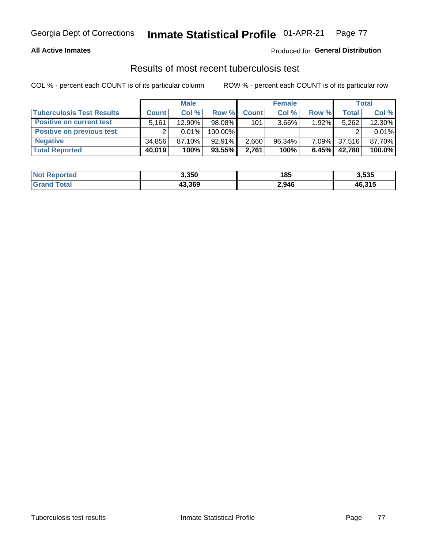#### **All Active Inmates**

#### Produced for **General Distribution**

### Results of most recent tuberculosis test

|                                  |              | <b>Male</b> |           |              | <b>Female</b> |          |              | Total  |
|----------------------------------|--------------|-------------|-----------|--------------|---------------|----------|--------------|--------|
| <b>Tuberculosis Test Results</b> | <b>Count</b> | Col %       | Row %     | <b>Count</b> | Col %         | Row %    | <b>Total</b> | Col %  |
| <b>Positive on current test</b>  | 5,161        | 12.90%      | 98.08%    | 101          | $3.66\%$      | $1.92\%$ | 5,262        | 12.30% |
| <b>Positive on previous test</b> |              | 0.01%       | 100.00%   |              |               |          |              | 0.01%  |
| <b>Negative</b>                  | 34.856       | $87.10\%$   | $92.91\%$ | 2,660        | $96.34\%$     | $7.09\%$ | 37,516       | 87.70% |
| <b>Total Reported</b>            | 40,019       | 100%        | 93.55%    | 2,761        | 100%          | 6.45%    | 42,780       | 100.0% |

| <b>Not Reported</b> | 3,350  | 185   | 3,535  |
|---------------------|--------|-------|--------|
| Total<br>' Grand    | 43,369 | 2,946 | 46,315 |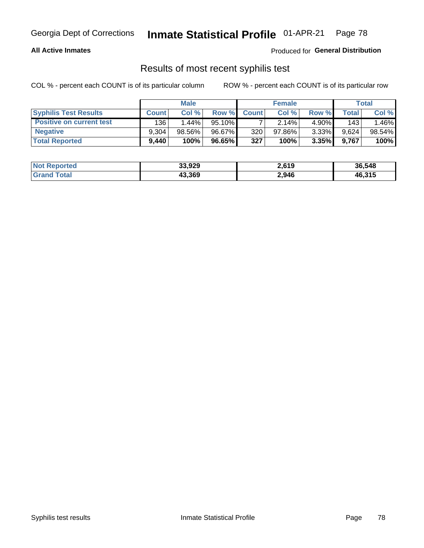#### **All Active Inmates**

Produced for **General Distribution**

### Results of most recent syphilis test

|                                 |              | <b>Male</b> |           |              | <b>Female</b> |          |       | Total  |
|---------------------------------|--------------|-------------|-----------|--------------|---------------|----------|-------|--------|
| <b>Syphilis Test Results</b>    | <b>Count</b> | Col%        | Row %I    | <b>Count</b> | Col %         | Row %I   | Total | Col %  |
| <b>Positive on current test</b> | 136          | $1.44\%$    | $95.10\%$ |              | 2.14%         | $4.90\%$ | 143   | .46%   |
| <b>Negative</b>                 | 9.304        | 98.56%      | 96.67%    | 320          | $97.86\%$     | 3.33%    | 9.624 | 98.54% |
| <b>Total Reported</b>           | 9,440        | 100%        | 96.65%    | 327          | 100%          | 3.35%    | 9.767 | 100%   |

| <b>Not Reported</b> | 33,929 | 2,619 | 36,548 |
|---------------------|--------|-------|--------|
| <b>Grand Total</b>  | 43,369 | 2,946 | 46,315 |